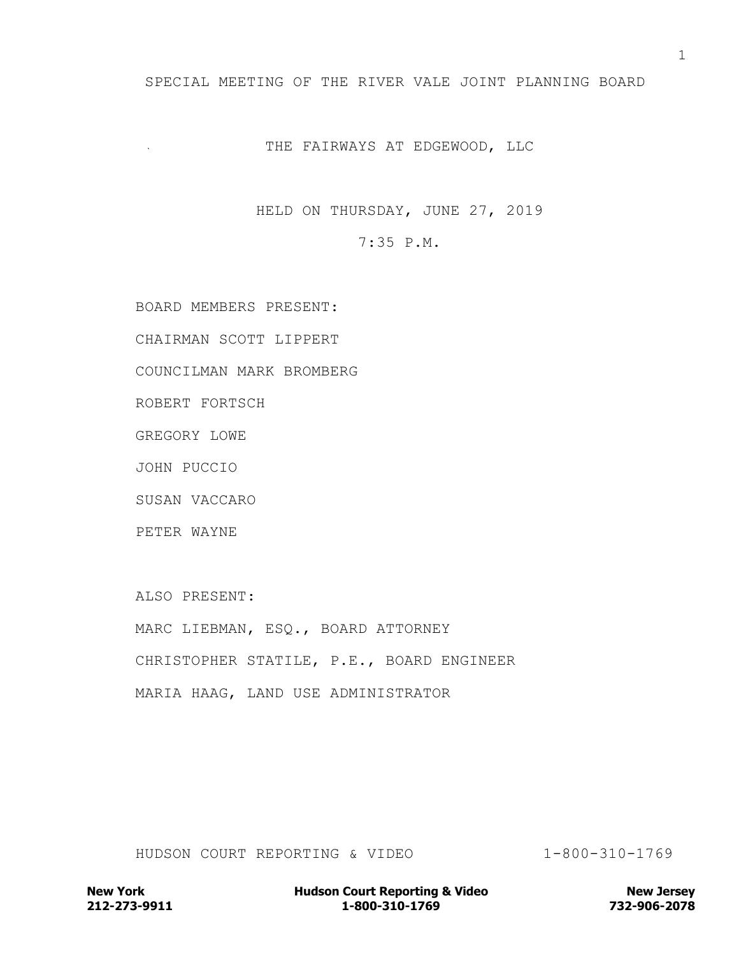## SPECIAL MEETING OF THE RIVER VALE JOINT PLANNING BOARD

## THE FAIRWAYS AT EDGEWOOD, LLC

HELD ON THURSDAY, JUNE 27, 2019

7:35 P.M.

BOARD MEMBERS PRESENT:

CHAIRMAN SCOTT LIPPERT

COUNCILMAN MARK BROMBERG

ROBERT FORTSCH

GREGORY LOWE

JOHN PUCCIO

SUSAN VACCARO

PETER WAYNE

ALSO PRESENT:

MARC LIEBMAN, ESQ., BOARD ATTORNEY CHRISTOPHER STATILE, P.E., BOARD ENGINEER MARIA HAAG, LAND USE ADMINISTRATOR

HUDSON COURT REPORTING & VIDEO 1-800-310-1769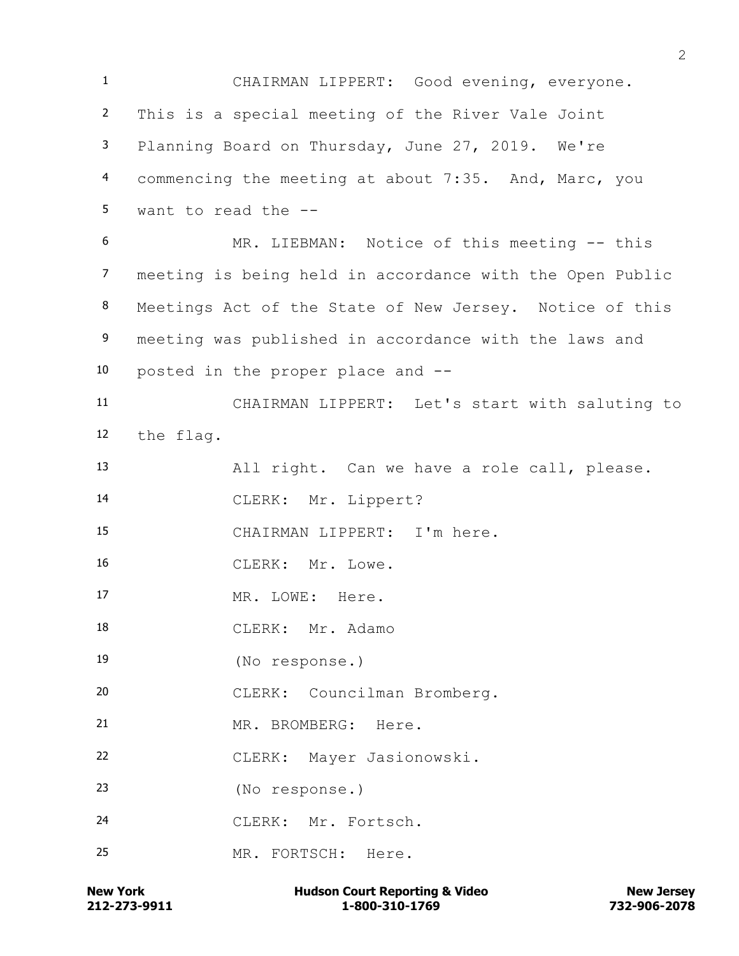CHAIRMAN LIPPERT: Good evening, everyone. This is a special meeting of the River Vale Joint Planning Board on Thursday, June 27, 2019. We're commencing the meeting at about 7:35. And, Marc, you want to read the -- MR. LIEBMAN: Notice of this meeting -- this meeting is being held in accordance with the Open Public Meetings Act of the State of New Jersey. Notice of this 9 meeting was published in accordance with the laws and posted in the proper place and -- CHAIRMAN LIPPERT: Let's start with saluting to the flag. All right. Can we have a role call, please. CLERK: Mr. Lippert? CHAIRMAN LIPPERT: I'm here. CLERK: Mr. Lowe. MR. LOWE: Here. CLERK: Mr. Adamo (No response.) CLERK: Councilman Bromberg. MR. BROMBERG: Here. CLERK: Mayer Jasionowski. (No response.) CLERK: Mr. Fortsch. MR. FORTSCH: Here.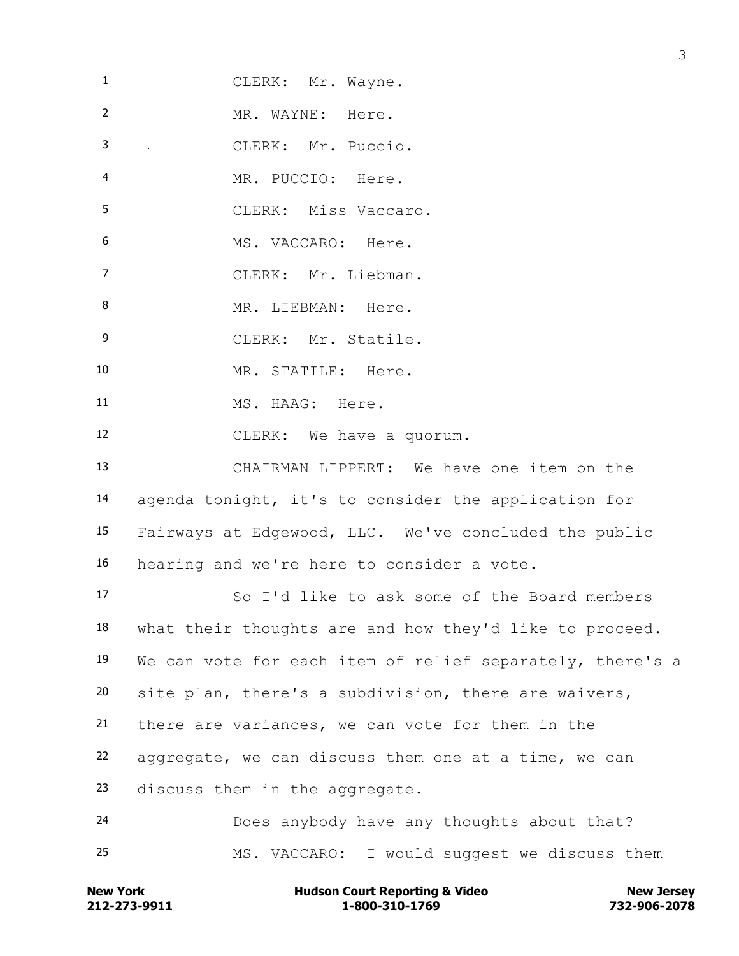| $\mathbf{1}$   | CLERK: Mr. Wayne.                                                               |
|----------------|---------------------------------------------------------------------------------|
| $\overline{2}$ | MR. WAYNE: Here.                                                                |
| 3              | $\mathcal{L}_{\text{max}}$ and $\mathcal{L}_{\text{max}}$<br>CLERK: Mr. Puccio. |
| 4              | MR. PUCCIO: Here.                                                               |
| 5              | CLERK: Miss Vaccaro.                                                            |
| 6              | MS. VACCARO: Here.                                                              |
| $\overline{7}$ | CLERK: Mr. Liebman.                                                             |
| 8              | MR. LIEBMAN: Here.                                                              |
| $\overline{9}$ | CLERK: Mr. Statile.                                                             |
| 10             | MR. STATILE: Here.                                                              |
| 11             | MS. HAAG: Here.                                                                 |
| 12             | CLERK: We have a quorum.                                                        |
| 13             | CHAIRMAN LIPPERT: We have one item on the                                       |
| 14             | agenda tonight, it's to consider the application for                            |
| 15             | Fairways at Edgewood, LLC. We've concluded the public                           |
| 16             | hearing and we're here to consider a vote.                                      |
| 17             | So I'd like to ask some of the Board members                                    |
| 18             | what their thoughts are and how they'd like to proceed.                         |
| 19             | We can vote for each item of relief separately, there's a                       |
| 20             | site plan, there's a subdivision, there are waivers,                            |
| 21             | there are variances, we can vote for them in the                                |
| 22             | aggregate, we can discuss them one at a time, we can                            |
| 23             | discuss them in the aggregate.                                                  |
| 24             | Does anybody have any thoughts about that?                                      |
| 25             | MS. VACCARO: I would suggest we discuss them                                    |
|                |                                                                                 |

**212-273-9911 1-800-310-1769 732-906-2078 New York Hudson Court Reporting & Video New Jersey**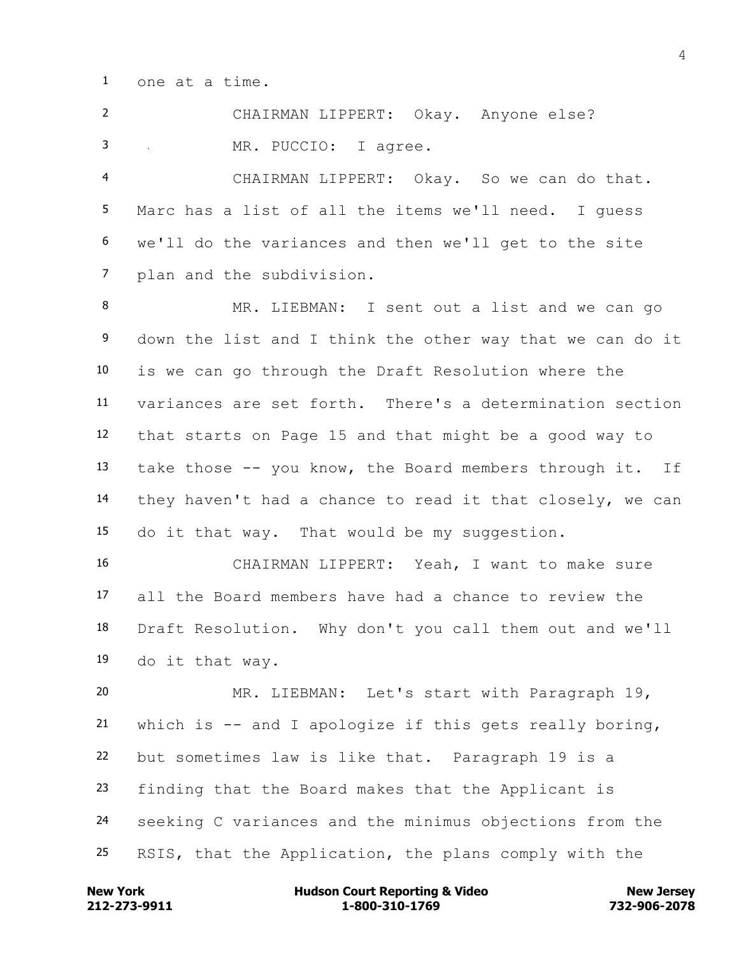one at a time.

 CHAIRMAN LIPPERT: Okay. Anyone else? MR. PUCCIO: I agree. CHAIRMAN LIPPERT: Okay. So we can do that. Marc has a list of all the items we'll need. I guess we'll do the variances and then we'll get to the site plan and the subdivision.

 MR. LIEBMAN: I sent out a list and we can go down the list and I think the other way that we can do it is we can go through the Draft Resolution where the variances are set forth. There's a determination section that starts on Page 15 and that might be a good way to take those -- you know, the Board members through it. If they haven't had a chance to read it that closely, we can do it that way. That would be my suggestion.

 CHAIRMAN LIPPERT: Yeah, I want to make sure all the Board members have had a chance to review the Draft Resolution. Why don't you call them out and we'll do it that way.

 MR. LIEBMAN: Let's start with Paragraph 19, which is -- and I apologize if this gets really boring, but sometimes law is like that. Paragraph 19 is a finding that the Board makes that the Applicant is seeking C variances and the minimus objections from the RSIS, that the Application, the plans comply with the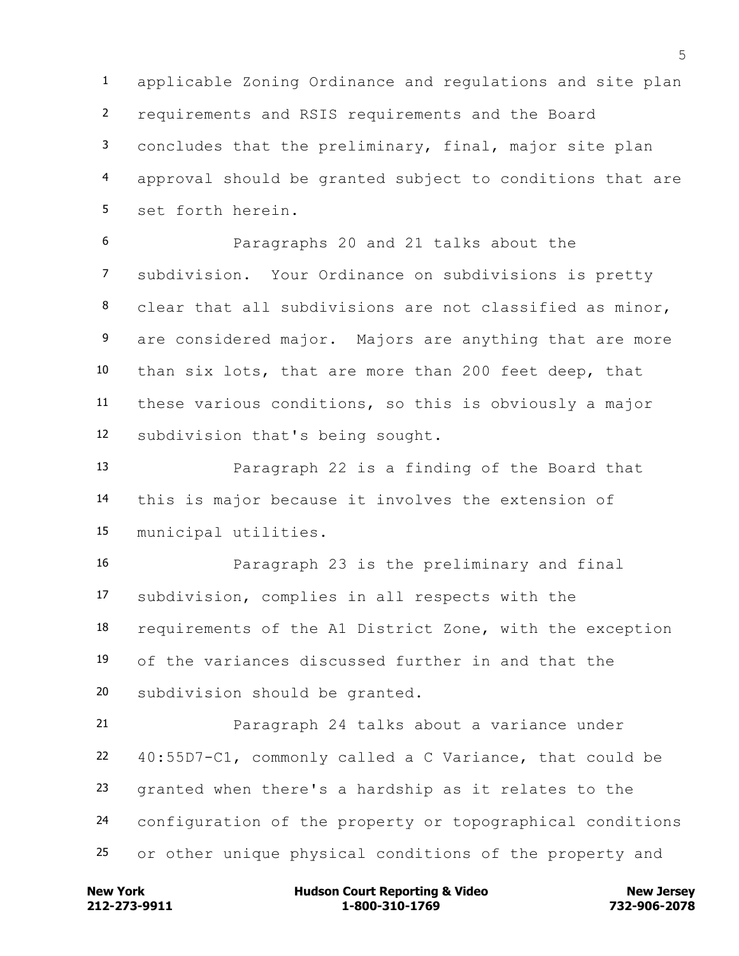applicable Zoning Ordinance and regulations and site plan requirements and RSIS requirements and the Board concludes that the preliminary, final, major site plan approval should be granted subject to conditions that are set forth herein.

 Paragraphs 20 and 21 talks about the subdivision. Your Ordinance on subdivisions is pretty clear that all subdivisions are not classified as minor, 9 are considered major. Majors are anything that are more than six lots, that are more than 200 feet deep, that these various conditions, so this is obviously a major subdivision that's being sought.

 Paragraph 22 is a finding of the Board that this is major because it involves the extension of municipal utilities.

 Paragraph 23 is the preliminary and final subdivision, complies in all respects with the requirements of the A1 District Zone, with the exception of the variances discussed further in and that the subdivision should be granted.

 Paragraph 24 talks about a variance under 40:55D7-C1, commonly called a C Variance, that could be granted when there's a hardship as it relates to the configuration of the property or topographical conditions or other unique physical conditions of the property and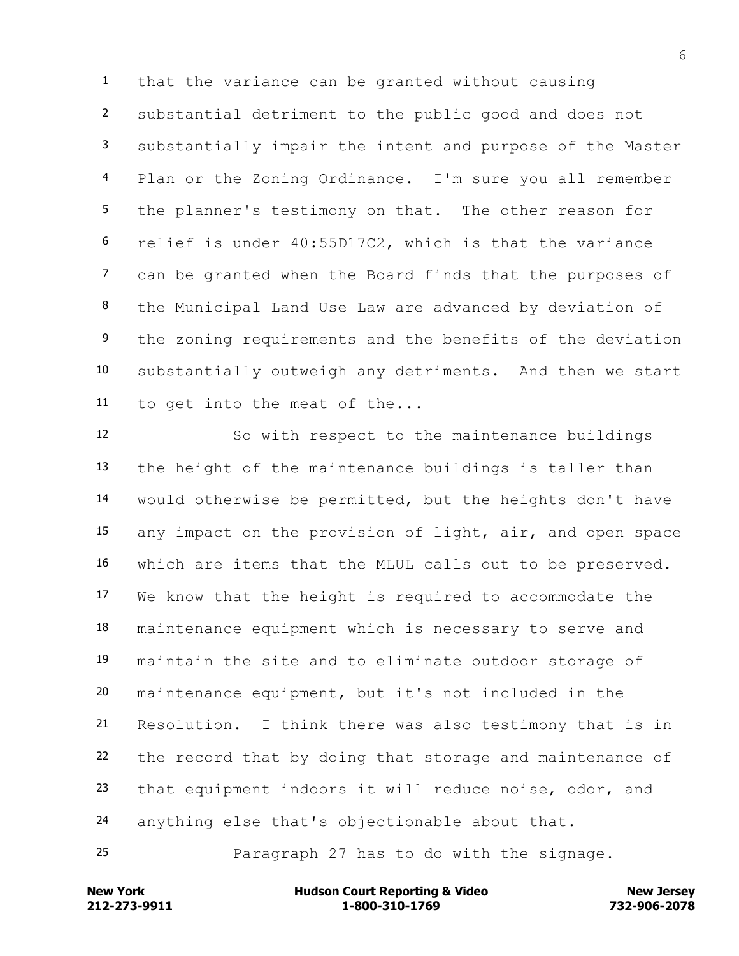that the variance can be granted without causing substantial detriment to the public good and does not substantially impair the intent and purpose of the Master Plan or the Zoning Ordinance. I'm sure you all remember the planner's testimony on that. The other reason for relief is under 40:55D17C2, which is that the variance can be granted when the Board finds that the purposes of the Municipal Land Use Law are advanced by deviation of 9 the zoning requirements and the benefits of the deviation substantially outweigh any detriments. And then we start to get into the meat of the...

 So with respect to the maintenance buildings the height of the maintenance buildings is taller than would otherwise be permitted, but the heights don't have any impact on the provision of light, air, and open space which are items that the MLUL calls out to be preserved. We know that the height is required to accommodate the maintenance equipment which is necessary to serve and maintain the site and to eliminate outdoor storage of maintenance equipment, but it's not included in the Resolution. I think there was also testimony that is in the record that by doing that storage and maintenance of that equipment indoors it will reduce noise, odor, and anything else that's objectionable about that.

Paragraph 27 has to do with the signage.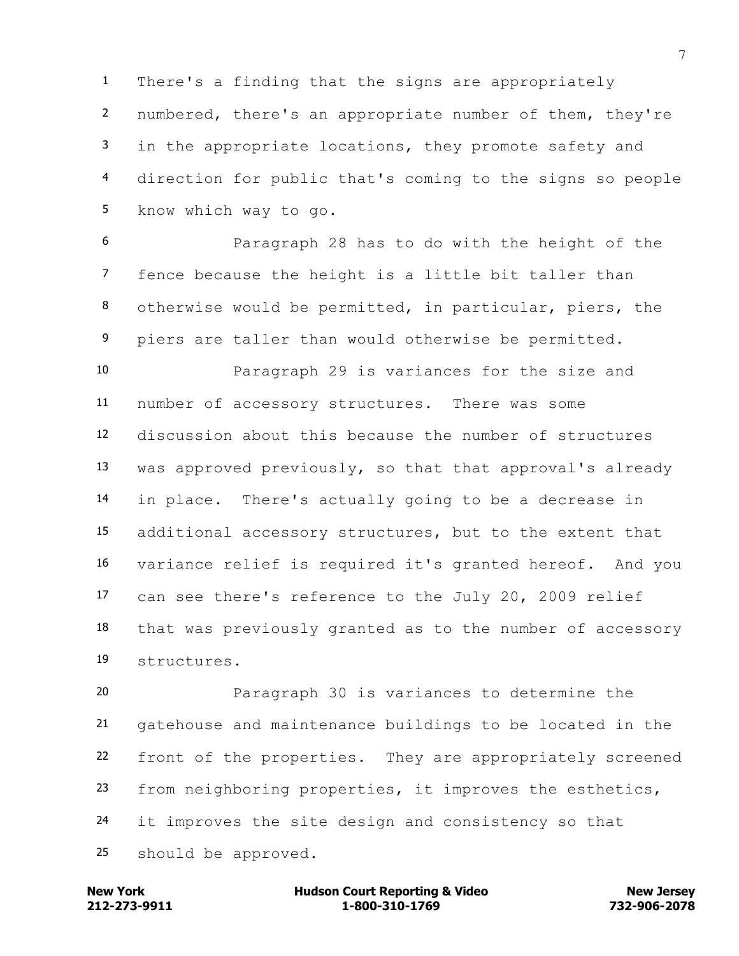There's a finding that the signs are appropriately numbered, there's an appropriate number of them, they're in the appropriate locations, they promote safety and direction for public that's coming to the signs so people know which way to go.

 Paragraph 28 has to do with the height of the fence because the height is a little bit taller than otherwise would be permitted, in particular, piers, the piers are taller than would otherwise be permitted.

 Paragraph 29 is variances for the size and number of accessory structures. There was some discussion about this because the number of structures was approved previously, so that that approval's already in place. There's actually going to be a decrease in additional accessory structures, but to the extent that variance relief is required it's granted hereof. And you can see there's reference to the July 20, 2009 relief that was previously granted as to the number of accessory structures.

 Paragraph 30 is variances to determine the gatehouse and maintenance buildings to be located in the front of the properties. They are appropriately screened from neighboring properties, it improves the esthetics, it improves the site design and consistency so that should be approved.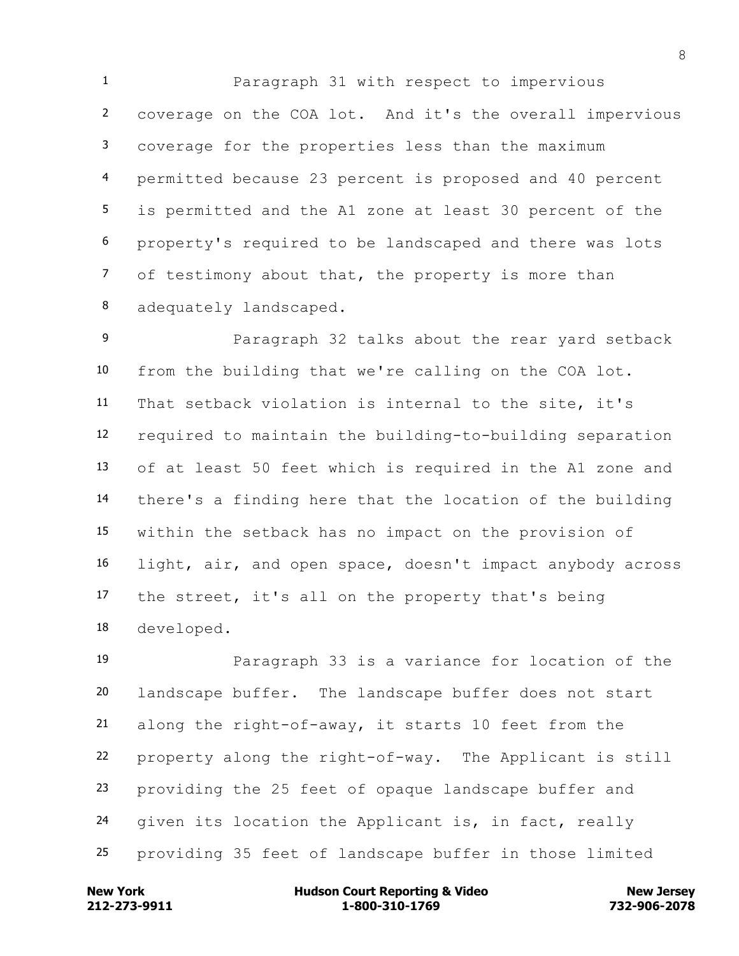Paragraph 31 with respect to impervious coverage on the COA lot. And it's the overall impervious coverage for the properties less than the maximum permitted because 23 percent is proposed and 40 percent is permitted and the A1 zone at least 30 percent of the property's required to be landscaped and there was lots of testimony about that, the property is more than adequately landscaped.

 Paragraph 32 talks about the rear yard setback from the building that we're calling on the COA lot. That setback violation is internal to the site, it's required to maintain the building-to-building separation of at least 50 feet which is required in the A1 zone and there's a finding here that the location of the building within the setback has no impact on the provision of light, air, and open space, doesn't impact anybody across the street, it's all on the property that's being developed.

 Paragraph 33 is a variance for location of the landscape buffer. The landscape buffer does not start along the right-of-away, it starts 10 feet from the property along the right-of-way. The Applicant is still providing the 25 feet of opaque landscape buffer and given its location the Applicant is, in fact, really providing 35 feet of landscape buffer in those limited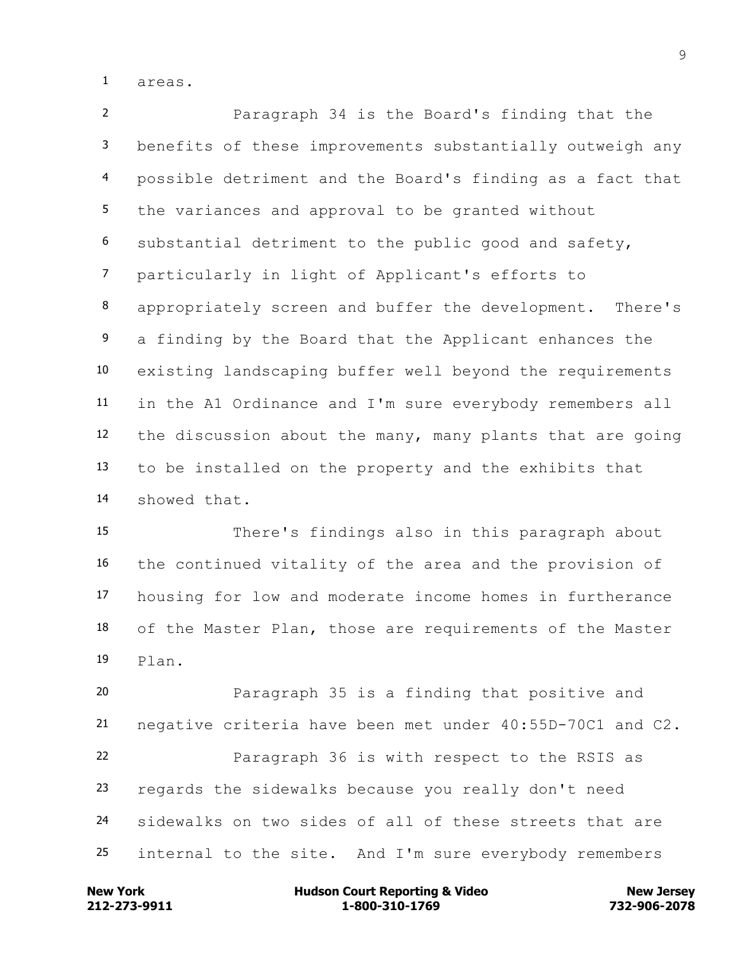areas.

 Paragraph 34 is the Board's finding that the benefits of these improvements substantially outweigh any possible detriment and the Board's finding as a fact that the variances and approval to be granted without substantial detriment to the public good and safety, particularly in light of Applicant's efforts to appropriately screen and buffer the development. There's 9 a finding by the Board that the Applicant enhances the existing landscaping buffer well beyond the requirements in the A1 Ordinance and I'm sure everybody remembers all the discussion about the many, many plants that are going to be installed on the property and the exhibits that showed that.

 There's findings also in this paragraph about the continued vitality of the area and the provision of housing for low and moderate income homes in furtherance of the Master Plan, those are requirements of the Master Plan.

 Paragraph 35 is a finding that positive and negative criteria have been met under 40:55D-70C1 and C2. Paragraph 36 is with respect to the RSIS as regards the sidewalks because you really don't need sidewalks on two sides of all of these streets that are internal to the site. And I'm sure everybody remembers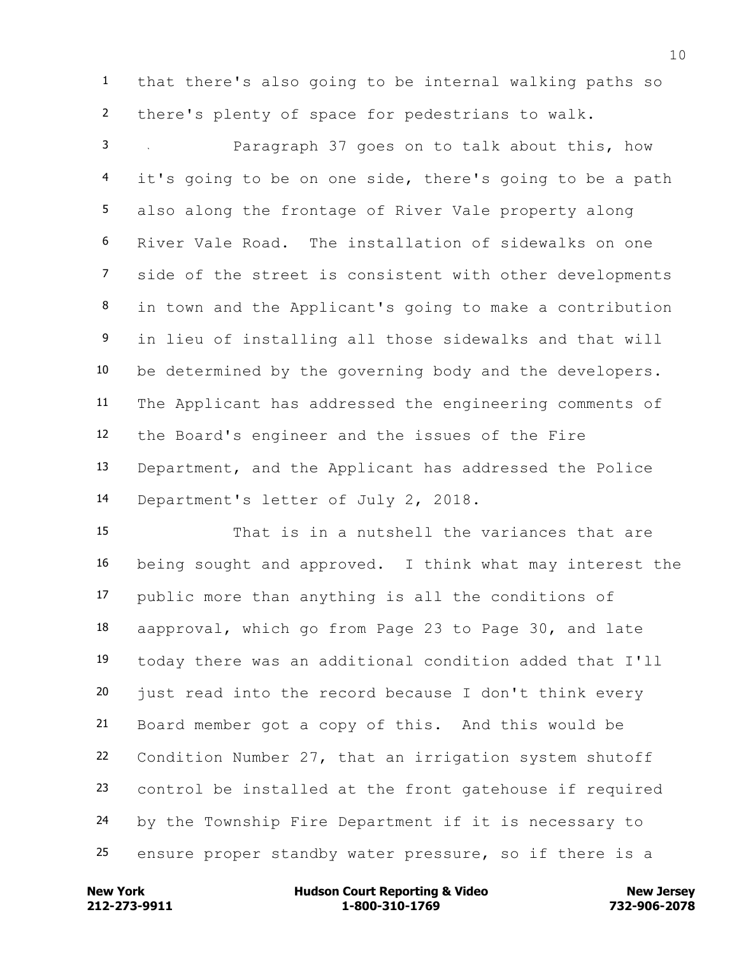that there's also going to be internal walking paths so there's plenty of space for pedestrians to walk.

 Paragraph 37 goes on to talk about this, how it's going to be on one side, there's going to be a path also along the frontage of River Vale property along River Vale Road. The installation of sidewalks on one side of the street is consistent with other developments in town and the Applicant's going to make a contribution in lieu of installing all those sidewalks and that will be determined by the governing body and the developers. The Applicant has addressed the engineering comments of the Board's engineer and the issues of the Fire Department, and the Applicant has addressed the Police Department's letter of July 2, 2018.

 That is in a nutshell the variances that are being sought and approved. I think what may interest the public more than anything is all the conditions of aapproval, which go from Page 23 to Page 30, and late today there was an additional condition added that I'll just read into the record because I don't think every Board member got a copy of this. And this would be Condition Number 27, that an irrigation system shutoff control be installed at the front gatehouse if required by the Township Fire Department if it is necessary to ensure proper standby water pressure, so if there is a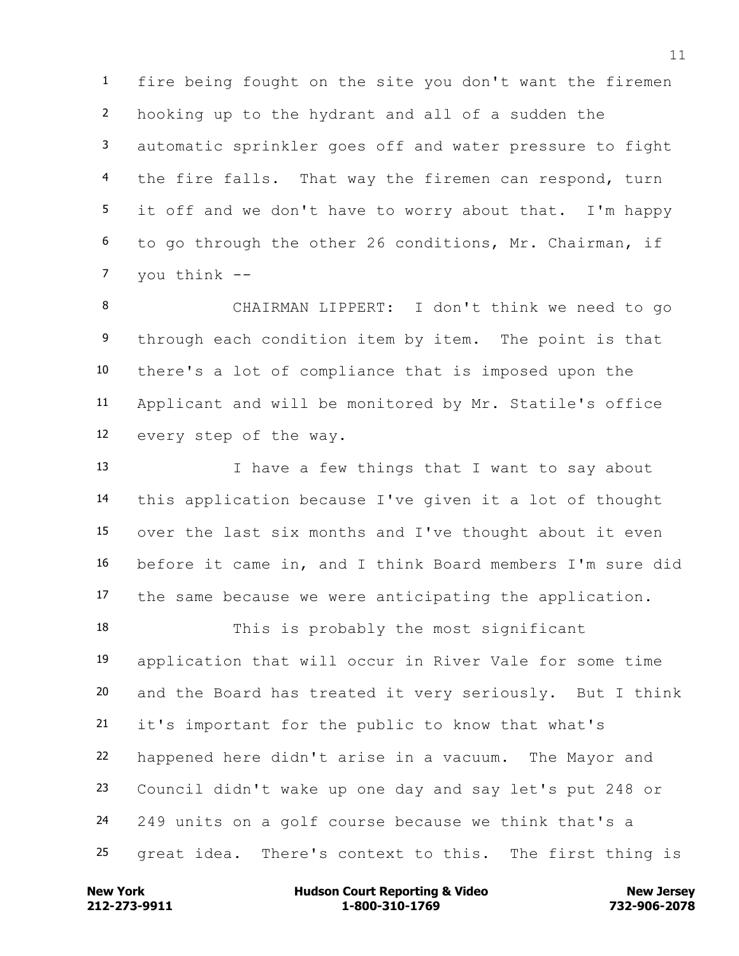fire being fought on the site you don't want the firemen hooking up to the hydrant and all of a sudden the automatic sprinkler goes off and water pressure to fight 4 the fire falls. That way the firemen can respond, turn it off and we don't have to worry about that. I'm happy to go through the other 26 conditions, Mr. Chairman, if you think --

 CHAIRMAN LIPPERT: I don't think we need to go 9 through each condition item by item. The point is that there's a lot of compliance that is imposed upon the Applicant and will be monitored by Mr. Statile's office every step of the way.

13 I have a few things that I want to say about this application because I've given it a lot of thought over the last six months and I've thought about it even before it came in, and I think Board members I'm sure did the same because we were anticipating the application.

 This is probably the most significant application that will occur in River Vale for some time and the Board has treated it very seriously. But I think it's important for the public to know that what's happened here didn't arise in a vacuum. The Mayor and Council didn't wake up one day and say let's put 248 or 249 units on a golf course because we think that's a great idea. There's context to this. The first thing is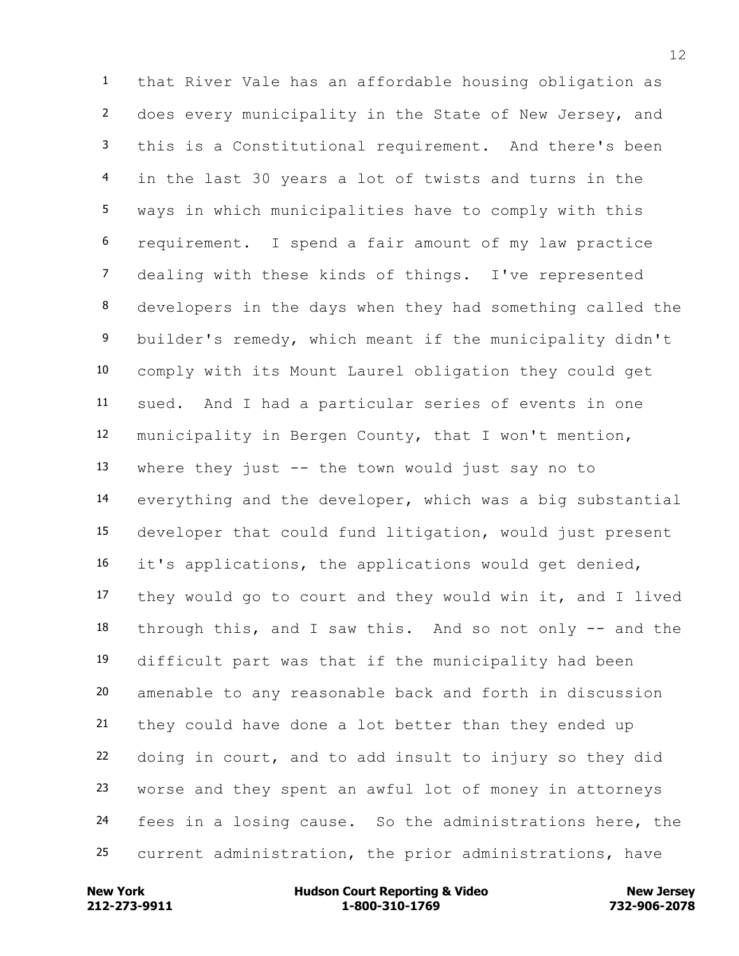that River Vale has an affordable housing obligation as does every municipality in the State of New Jersey, and this is a Constitutional requirement. And there's been in the last 30 years a lot of twists and turns in the ways in which municipalities have to comply with this requirement. I spend a fair amount of my law practice dealing with these kinds of things. I've represented developers in the days when they had something called the builder's remedy, which meant if the municipality didn't comply with its Mount Laurel obligation they could get sued. And I had a particular series of events in one municipality in Bergen County, that I won't mention, where they just -- the town would just say no to everything and the developer, which was a big substantial developer that could fund litigation, would just present it's applications, the applications would get denied, they would go to court and they would win it, and I lived through this, and I saw this. And so not only -- and the difficult part was that if the municipality had been amenable to any reasonable back and forth in discussion they could have done a lot better than they ended up doing in court, and to add insult to injury so they did worse and they spent an awful lot of money in attorneys fees in a losing cause. So the administrations here, the current administration, the prior administrations, have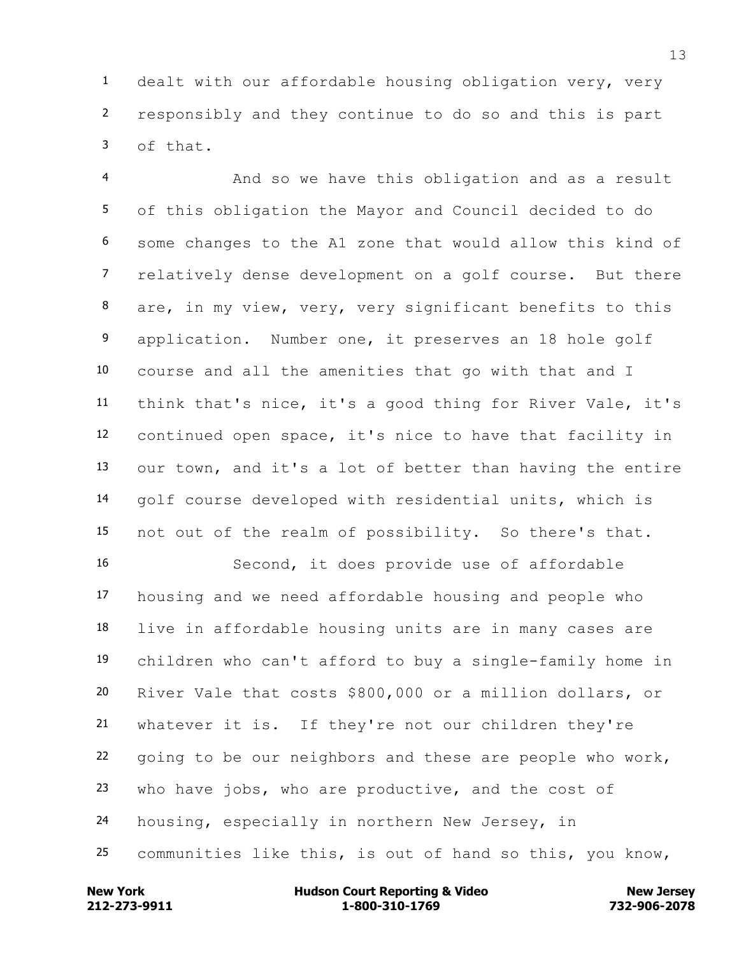dealt with our affordable housing obligation very, very responsibly and they continue to do so and this is part of that.

 And so we have this obligation and as a result of this obligation the Mayor and Council decided to do some changes to the A1 zone that would allow this kind of relatively dense development on a golf course. But there are, in my view, very, very significant benefits to this 9 application. Number one, it preserves an 18 hole golf course and all the amenities that go with that and I think that's nice, it's a good thing for River Vale, it's continued open space, it's nice to have that facility in our town, and it's a lot of better than having the entire golf course developed with residential units, which is not out of the realm of possibility. So there's that.

 Second, it does provide use of affordable housing and we need affordable housing and people who live in affordable housing units are in many cases are children who can't afford to buy a single-family home in River Vale that costs \$800,000 or a million dollars, or whatever it is. If they're not our children they're going to be our neighbors and these are people who work, who have jobs, who are productive, and the cost of housing, especially in northern New Jersey, in communities like this, is out of hand so this, you know,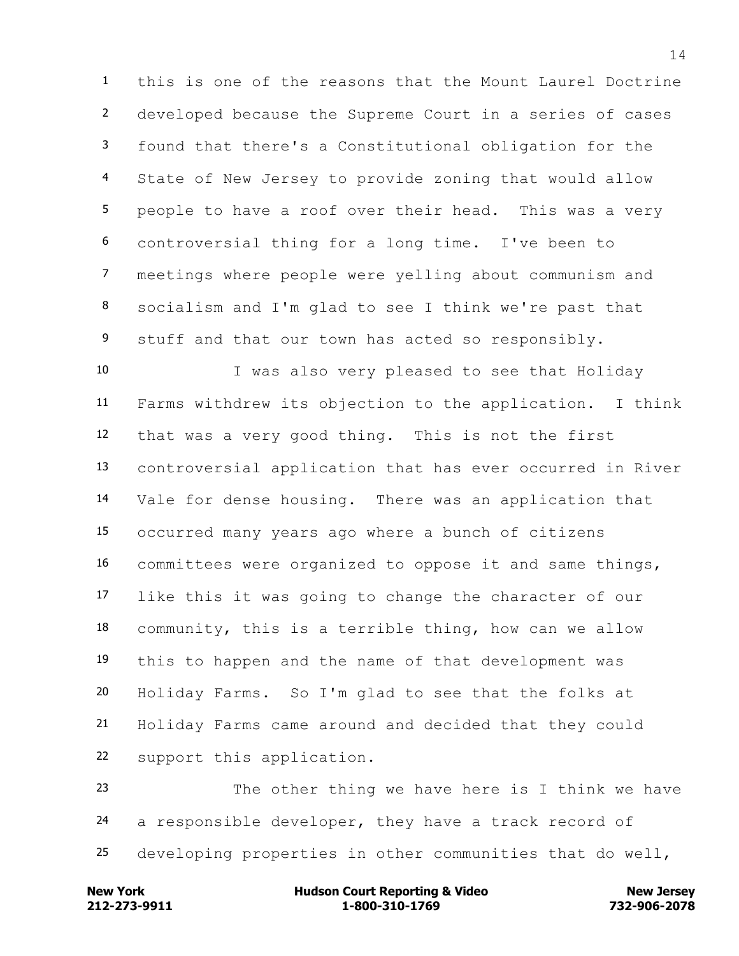this is one of the reasons that the Mount Laurel Doctrine developed because the Supreme Court in a series of cases found that there's a Constitutional obligation for the State of New Jersey to provide zoning that would allow people to have a roof over their head. This was a very controversial thing for a long time. I've been to meetings where people were yelling about communism and socialism and I'm glad to see I think we're past that 9 stuff and that our town has acted so responsibly.

 I was also very pleased to see that Holiday Farms withdrew its objection to the application. I think that was a very good thing. This is not the first controversial application that has ever occurred in River Vale for dense housing. There was an application that occurred many years ago where a bunch of citizens committees were organized to oppose it and same things, like this it was going to change the character of our community, this is a terrible thing, how can we allow this to happen and the name of that development was Holiday Farms. So I'm glad to see that the folks at Holiday Farms came around and decided that they could support this application.

 The other thing we have here is I think we have a responsible developer, they have a track record of developing properties in other communities that do well,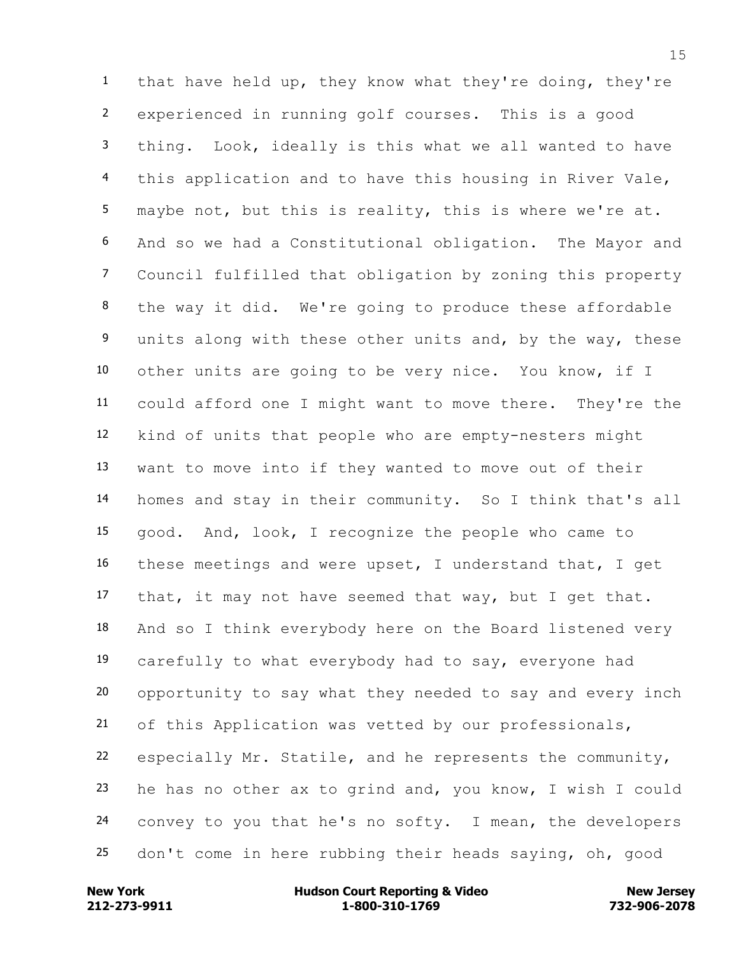that have held up, they know what they're doing, they're experienced in running golf courses. This is a good thing. Look, ideally is this what we all wanted to have this application and to have this housing in River Vale, maybe not, but this is reality, this is where we're at. And so we had a Constitutional obligation. The Mayor and Council fulfilled that obligation by zoning this property the way it did. We're going to produce these affordable 9 units along with these other units and, by the way, these other units are going to be very nice. You know, if I could afford one I might want to move there. They're the kind of units that people who are empty-nesters might want to move into if they wanted to move out of their homes and stay in their community. So I think that's all good. And, look, I recognize the people who came to these meetings and were upset, I understand that, I get that, it may not have seemed that way, but I get that. And so I think everybody here on the Board listened very carefully to what everybody had to say, everyone had opportunity to say what they needed to say and every inch of this Application was vetted by our professionals, especially Mr. Statile, and he represents the community, he has no other ax to grind and, you know, I wish I could convey to you that he's no softy. I mean, the developers don't come in here rubbing their heads saying, oh, good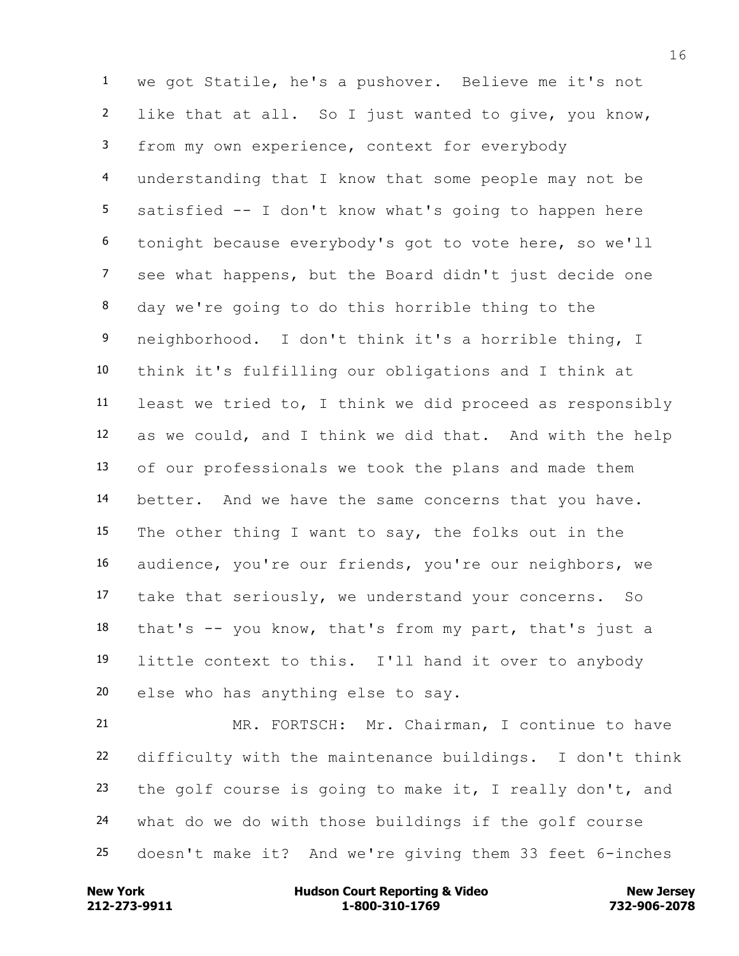we got Statile, he's a pushover. Believe me it's not like that at all. So I just wanted to give, you know, from my own experience, context for everybody understanding that I know that some people may not be satisfied -- I don't know what's going to happen here tonight because everybody's got to vote here, so we'll see what happens, but the Board didn't just decide one day we're going to do this horrible thing to the neighborhood. I don't think it's a horrible thing, I think it's fulfilling our obligations and I think at least we tried to, I think we did proceed as responsibly as we could, and I think we did that. And with the help of our professionals we took the plans and made them better. And we have the same concerns that you have. The other thing I want to say, the folks out in the audience, you're our friends, you're our neighbors, we take that seriously, we understand your concerns. So that's -- you know, that's from my part, that's just a little context to this. I'll hand it over to anybody else who has anything else to say.

 MR. FORTSCH: Mr. Chairman, I continue to have difficulty with the maintenance buildings. I don't think the golf course is going to make it, I really don't, and what do we do with those buildings if the golf course doesn't make it? And we're giving them 33 feet 6-inches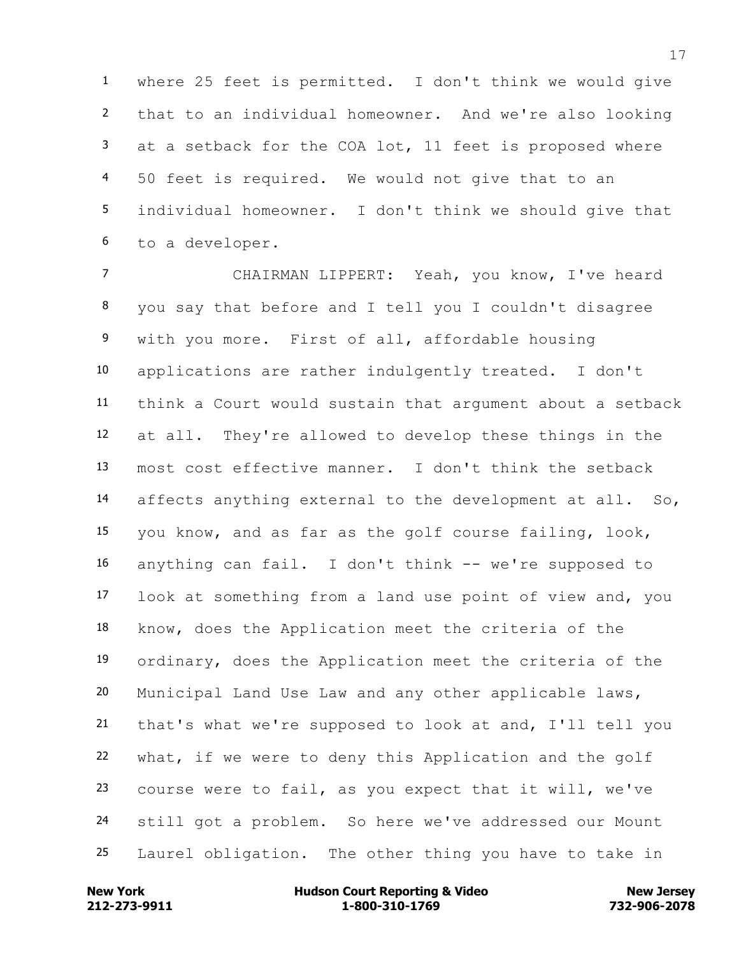where 25 feet is permitted. I don't think we would give that to an individual homeowner. And we're also looking at a setback for the COA lot, 11 feet is proposed where 50 feet is required. We would not give that to an individual homeowner. I don't think we should give that to a developer.

 CHAIRMAN LIPPERT: Yeah, you know, I've heard you say that before and I tell you I couldn't disagree with you more. First of all, affordable housing applications are rather indulgently treated. I don't think a Court would sustain that argument about a setback at all. They're allowed to develop these things in the most cost effective manner. I don't think the setback affects anything external to the development at all. So, you know, and as far as the golf course failing, look, anything can fail. I don't think -- we're supposed to look at something from a land use point of view and, you know, does the Application meet the criteria of the ordinary, does the Application meet the criteria of the Municipal Land Use Law and any other applicable laws, that's what we're supposed to look at and, I'll tell you what, if we were to deny this Application and the golf course were to fail, as you expect that it will, we've still got a problem. So here we've addressed our Mount Laurel obligation. The other thing you have to take in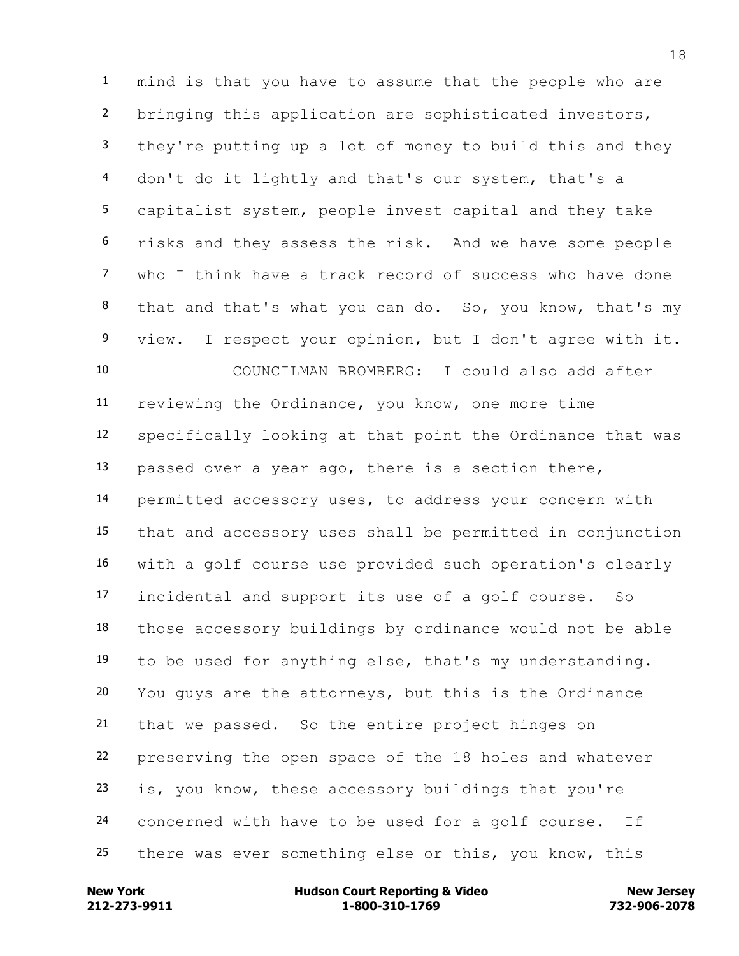mind is that you have to assume that the people who are bringing this application are sophisticated investors, they're putting up a lot of money to build this and they don't do it lightly and that's our system, that's a capitalist system, people invest capital and they take risks and they assess the risk. And we have some people who I think have a track record of success who have done that and that's what you can do. So, you know, that's my view. I respect your opinion, but I don't agree with it. COUNCILMAN BROMBERG: I could also add after reviewing the Ordinance, you know, one more time specifically looking at that point the Ordinance that was passed over a year ago, there is a section there, permitted accessory uses, to address your concern with that and accessory uses shall be permitted in conjunction with a golf course use provided such operation's clearly incidental and support its use of a golf course. So those accessory buildings by ordinance would not be able to be used for anything else, that's my understanding. You guys are the attorneys, but this is the Ordinance that we passed. So the entire project hinges on preserving the open space of the 18 holes and whatever is, you know, these accessory buildings that you're concerned with have to be used for a golf course. If there was ever something else or this, you know, this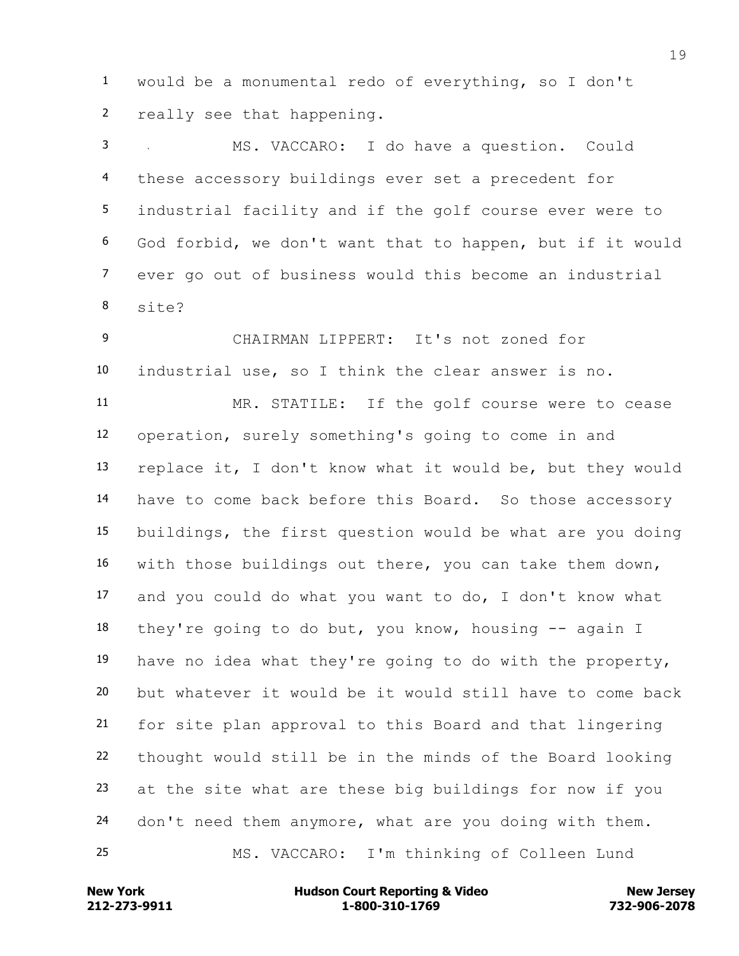would be a monumental redo of everything, so I don't really see that happening.

 MS. VACCARO: I do have a question. Could these accessory buildings ever set a precedent for industrial facility and if the golf course ever were to God forbid, we don't want that to happen, but if it would ever go out of business would this become an industrial site?

 CHAIRMAN LIPPERT: It's not zoned for industrial use, so I think the clear answer is no.

 MR. STATILE: If the golf course were to cease operation, surely something's going to come in and replace it, I don't know what it would be, but they would have to come back before this Board. So those accessory buildings, the first question would be what are you doing with those buildings out there, you can take them down, and you could do what you want to do, I don't know what they're going to do but, you know, housing -- again I have no idea what they're going to do with the property, but whatever it would be it would still have to come back for site plan approval to this Board and that lingering thought would still be in the minds of the Board looking at the site what are these big buildings for now if you don't need them anymore, what are you doing with them. MS. VACCARO: I'm thinking of Colleen Lund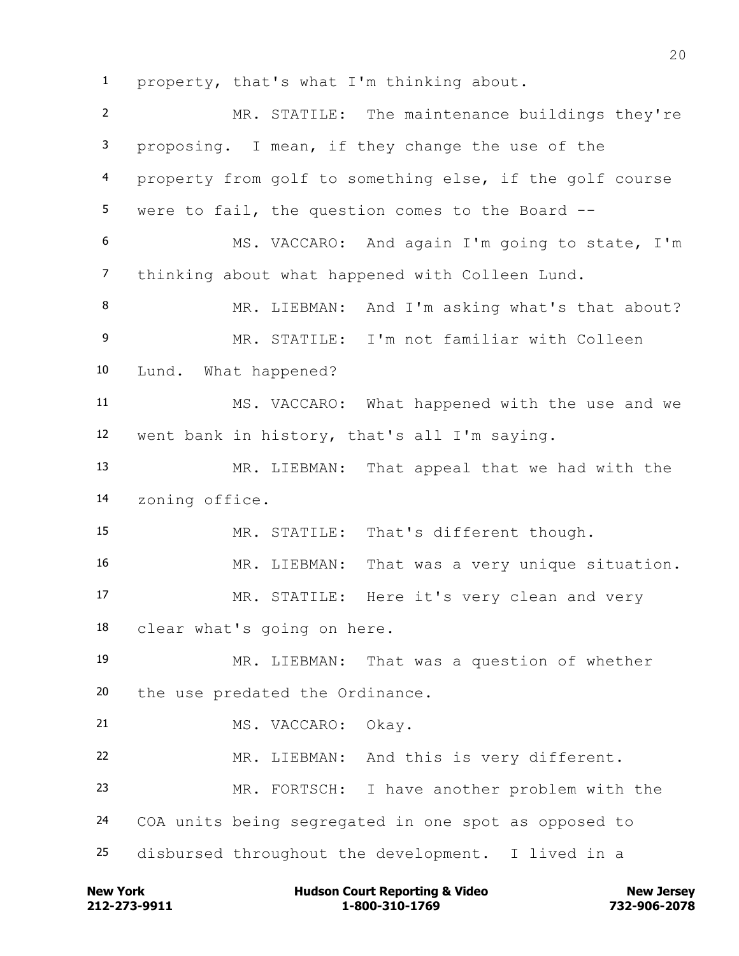property, that's what I'm thinking about.

 MR. STATILE: The maintenance buildings they're proposing. I mean, if they change the use of the property from golf to something else, if the golf course were to fail, the question comes to the Board -- MS. VACCARO: And again I'm going to state, I'm thinking about what happened with Colleen Lund. 8 MR. LIEBMAN: And I'm asking what's that about? MR. STATILE: I'm not familiar with Colleen Lund. What happened? MS. VACCARO: What happened with the use and we went bank in history, that's all I'm saying. MR. LIEBMAN: That appeal that we had with the zoning office. MR. STATILE: That's different though. 16 MR. LIEBMAN: That was a very unique situation. MR. STATILE: Here it's very clean and very clear what's going on here. MR. LIEBMAN: That was a question of whether the use predated the Ordinance. MS. VACCARO: Okay. MR. LIEBMAN: And this is very different. MR. FORTSCH: I have another problem with the COA units being segregated in one spot as opposed to disbursed throughout the development. I lived in a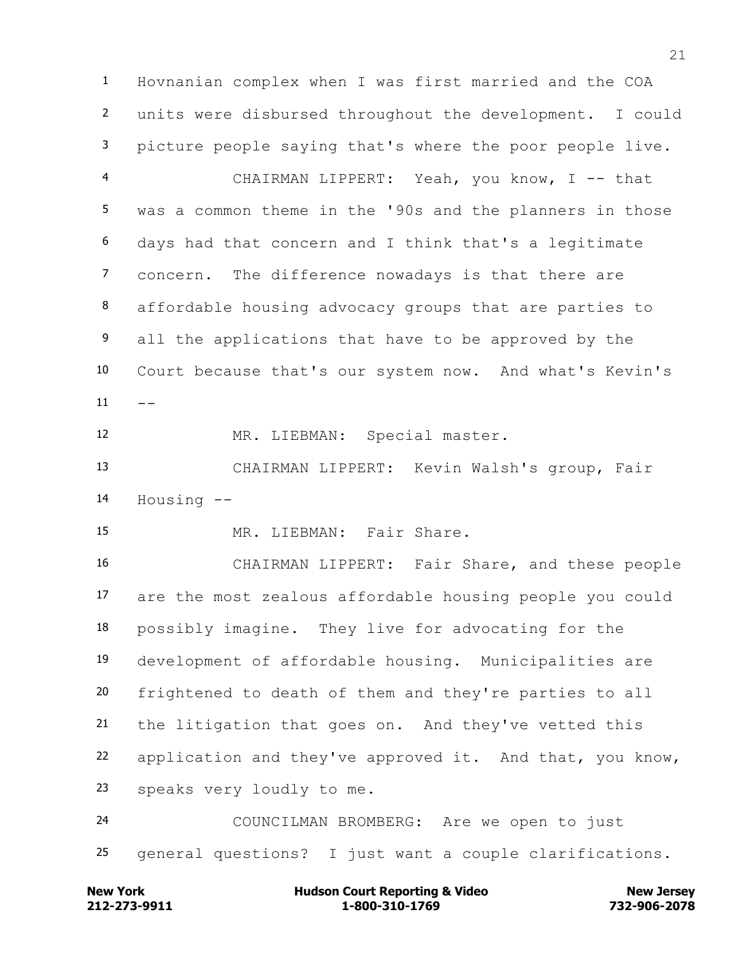Hovnanian complex when I was first married and the COA units were disbursed throughout the development. I could picture people saying that's where the poor people live. CHAIRMAN LIPPERT: Yeah, you know, I -- that was a common theme in the '90s and the planners in those days had that concern and I think that's a legitimate concern. The difference nowadays is that there are affordable housing advocacy groups that are parties to 9 all the applications that have to be approved by the Court because that's our system now. And what's Kevin's  $11 - -$ 

MR. LIEBMAN: Special master.

 CHAIRMAN LIPPERT: Kevin Walsh's group, Fair Housing --

MR. LIEBMAN: Fair Share.

 CHAIRMAN LIPPERT: Fair Share, and these people are the most zealous affordable housing people you could possibly imagine. They live for advocating for the development of affordable housing. Municipalities are frightened to death of them and they're parties to all the litigation that goes on. And they've vetted this application and they've approved it. And that, you know, speaks very loudly to me.

 COUNCILMAN BROMBERG: Are we open to just general questions? I just want a couple clarifications.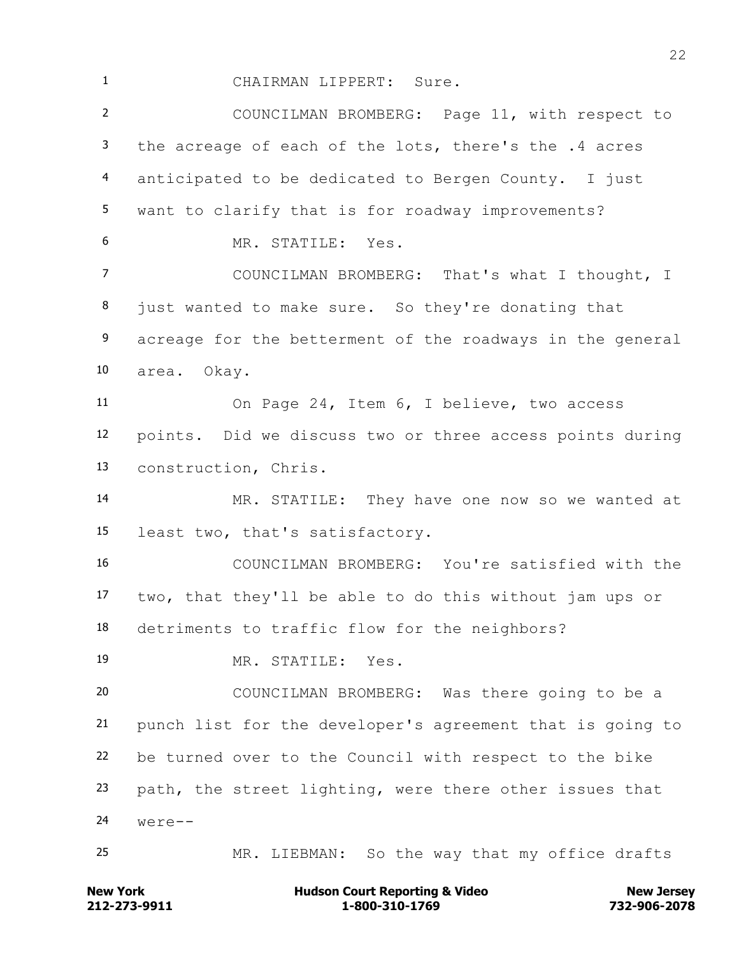CHAIRMAN LIPPERT: Sure.

 COUNCILMAN BROMBERG: Page 11, with respect to the acreage of each of the lots, there's the .4 acres anticipated to be dedicated to Bergen County. I just want to clarify that is for roadway improvements? MR. STATILE: Yes. COUNCILMAN BROMBERG: That's what I thought, I just wanted to make sure. So they're donating that 9 acreage for the betterment of the roadways in the general area. Okay. On Page 24, Item 6, I believe, two access points. Did we discuss two or three access points during construction, Chris.

 MR. STATILE: They have one now so we wanted at least two, that's satisfactory.

 COUNCILMAN BROMBERG: You're satisfied with the two, that they'll be able to do this without jam ups or detriments to traffic flow for the neighbors?

MR. STATILE: Yes.

 COUNCILMAN BROMBERG: Was there going to be a punch list for the developer's agreement that is going to be turned over to the Council with respect to the bike path, the street lighting, were there other issues that were--

MR. LIEBMAN: So the way that my office drafts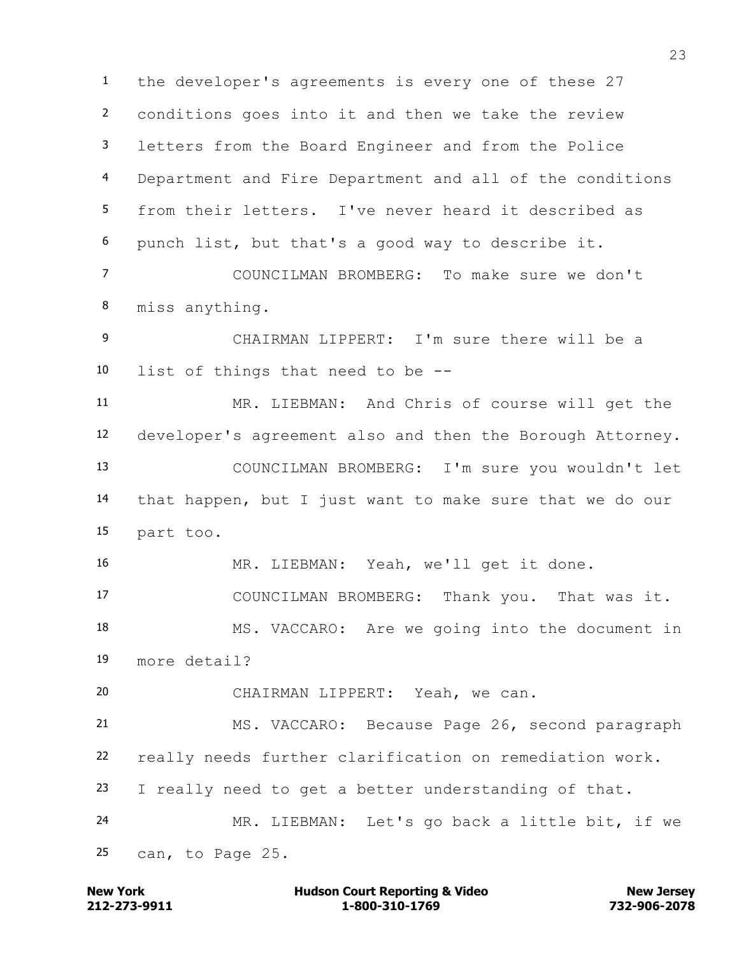the developer's agreements is every one of these 27 conditions goes into it and then we take the review letters from the Board Engineer and from the Police Department and Fire Department and all of the conditions from their letters. I've never heard it described as punch list, but that's a good way to describe it.

 COUNCILMAN BROMBERG: To make sure we don't miss anything.

 CHAIRMAN LIPPERT: I'm sure there will be a list of things that need to be --

 MR. LIEBMAN: And Chris of course will get the developer's agreement also and then the Borough Attorney. COUNCILMAN BROMBERG: I'm sure you wouldn't let that happen, but I just want to make sure that we do our part too.

MR. LIEBMAN: Yeah, we'll get it done.

COUNCILMAN BROMBERG: Thank you. That was it.

 MS. VACCARO: Are we going into the document in more detail?

CHAIRMAN LIPPERT: Yeah, we can.

 MS. VACCARO: Because Page 26, second paragraph really needs further clarification on remediation work. I really need to get a better understanding of that. MR. LIEBMAN: Let's go back a little bit, if we

can, to Page 25.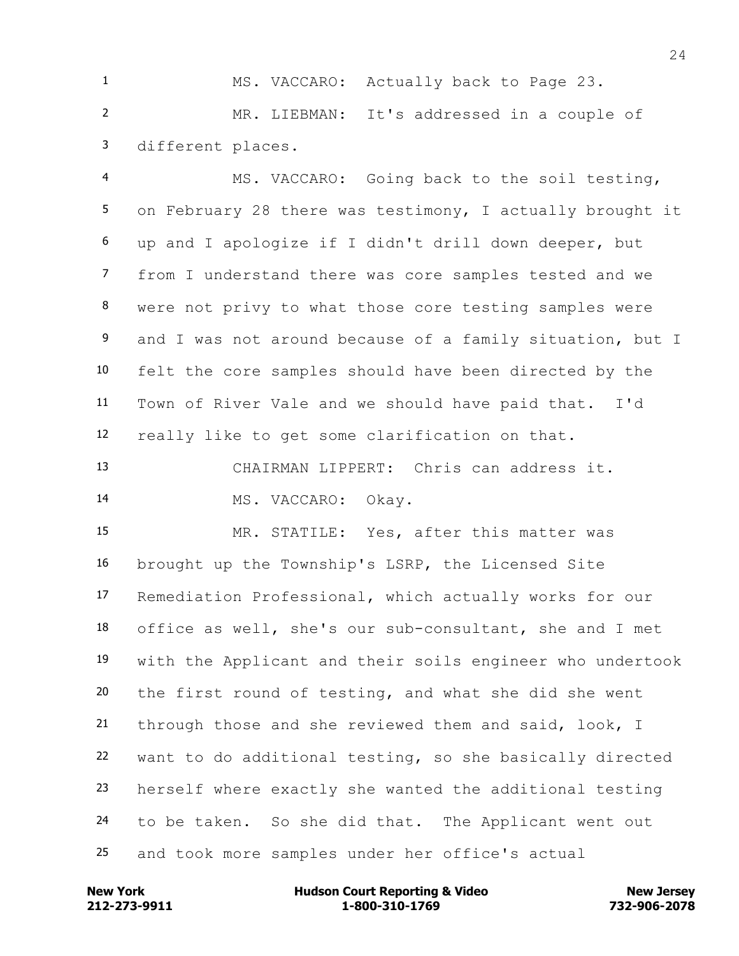MS. VACCARO: Actually back to Page 23. MR. LIEBMAN: It's addressed in a couple of different places.

 MS. VACCARO: Going back to the soil testing, on February 28 there was testimony, I actually brought it up and I apologize if I didn't drill down deeper, but from I understand there was core samples tested and we were not privy to what those core testing samples were and I was not around because of a family situation, but I felt the core samples should have been directed by the Town of River Vale and we should have paid that. I'd really like to get some clarification on that.

 CHAIRMAN LIPPERT: Chris can address it. MS. VACCARO: Okay.

 MR. STATILE: Yes, after this matter was brought up the Township's LSRP, the Licensed Site Remediation Professional, which actually works for our office as well, she's our sub-consultant, she and I met with the Applicant and their soils engineer who undertook the first round of testing, and what she did she went through those and she reviewed them and said, look, I want to do additional testing, so she basically directed herself where exactly she wanted the additional testing to be taken. So she did that. The Applicant went out and took more samples under her office's actual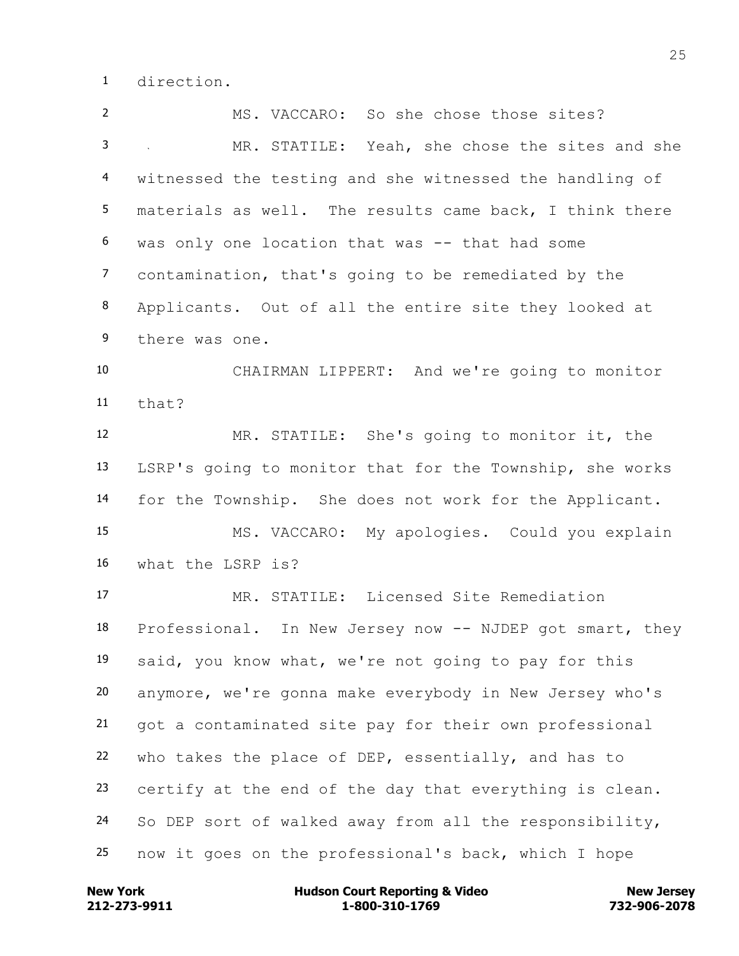direction.

 MS. VACCARO: So she chose those sites? MR. STATILE: Yeah, she chose the sites and she witnessed the testing and she witnessed the handling of materials as well. The results came back, I think there was only one location that was -- that had some contamination, that's going to be remediated by the Applicants. Out of all the entire site they looked at there was one. CHAIRMAN LIPPERT: And we're going to monitor that? MR. STATILE: She's going to monitor it, the LSRP's going to monitor that for the Township, she works for the Township. She does not work for the Applicant. MS. VACCARO: My apologies. Could you explain what the LSRP is? MR. STATILE: Licensed Site Remediation Professional. In New Jersey now -- NJDEP got smart, they said, you know what, we're not going to pay for this anymore, we're gonna make everybody in New Jersey who's got a contaminated site pay for their own professional who takes the place of DEP, essentially, and has to certify at the end of the day that everything is clean. So DEP sort of walked away from all the responsibility, now it goes on the professional's back, which I hope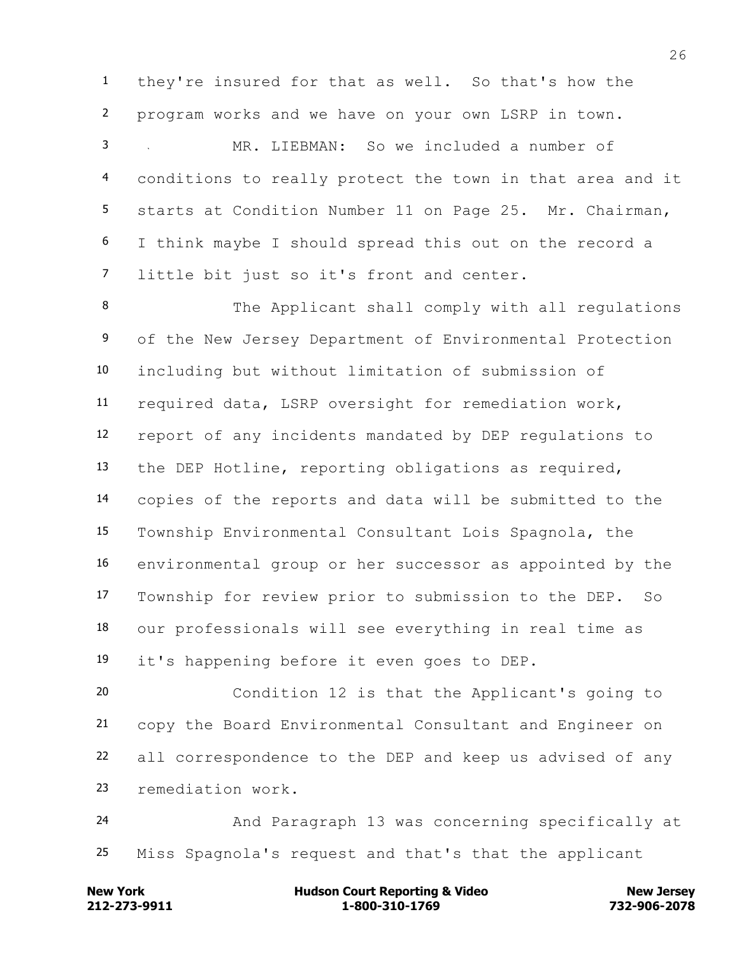they're insured for that as well. So that's how the program works and we have on your own LSRP in town.

 MR. LIEBMAN: So we included a number of conditions to really protect the town in that area and it starts at Condition Number 11 on Page 25. Mr. Chairman, I think maybe I should spread this out on the record a little bit just so it's front and center.

 The Applicant shall comply with all regulations 9 of the New Jersey Department of Environmental Protection including but without limitation of submission of required data, LSRP oversight for remediation work, report of any incidents mandated by DEP regulations to the DEP Hotline, reporting obligations as required, copies of the reports and data will be submitted to the Township Environmental Consultant Lois Spagnola, the environmental group or her successor as appointed by the Township for review prior to submission to the DEP. So our professionals will see everything in real time as it's happening before it even goes to DEP.

 Condition 12 is that the Applicant's going to copy the Board Environmental Consultant and Engineer on all correspondence to the DEP and keep us advised of any remediation work.

 And Paragraph 13 was concerning specifically at Miss Spagnola's request and that's that the applicant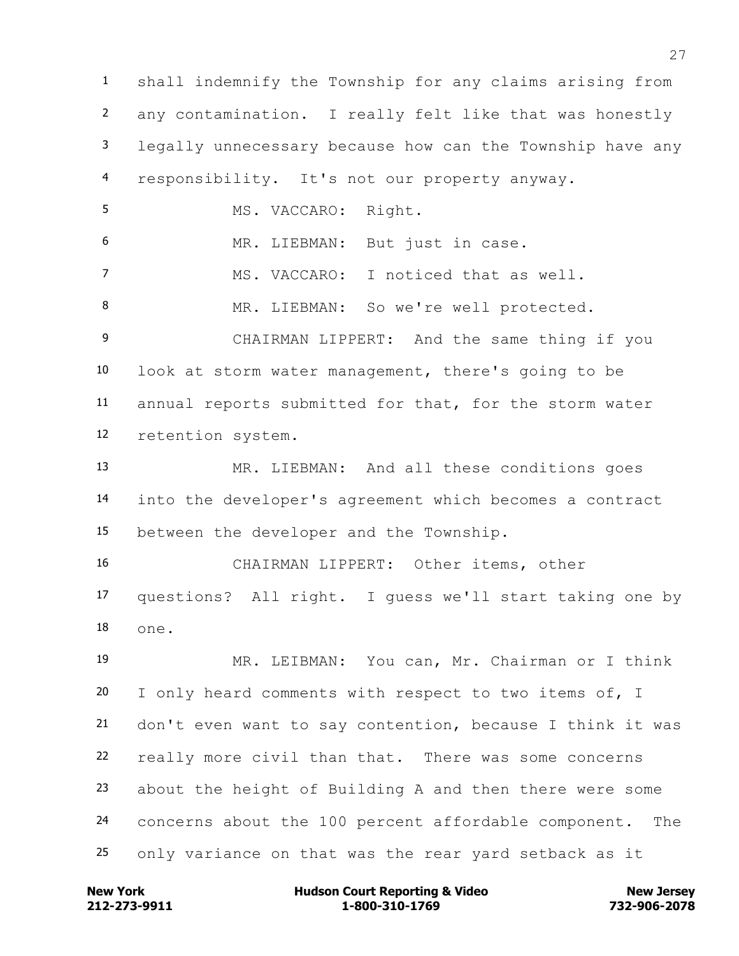shall indemnify the Township for any claims arising from any contamination. I really felt like that was honestly legally unnecessary because how can the Township have any responsibility. It's not our property anyway. MS. VACCARO: Right. MR. LIEBMAN: But just in case. MS. VACCARO: I noticed that as well. MR. LIEBMAN: So we're well protected. CHAIRMAN LIPPERT: And the same thing if you look at storm water management, there's going to be annual reports submitted for that, for the storm water retention system. MR. LIEBMAN: And all these conditions goes

 into the developer's agreement which becomes a contract between the developer and the Township.

 CHAIRMAN LIPPERT: Other items, other questions? All right. I guess we'll start taking one by one.

 MR. LEIBMAN: You can, Mr. Chairman or I think I only heard comments with respect to two items of, I don't even want to say contention, because I think it was really more civil than that. There was some concerns about the height of Building A and then there were some concerns about the 100 percent affordable component. The only variance on that was the rear yard setback as it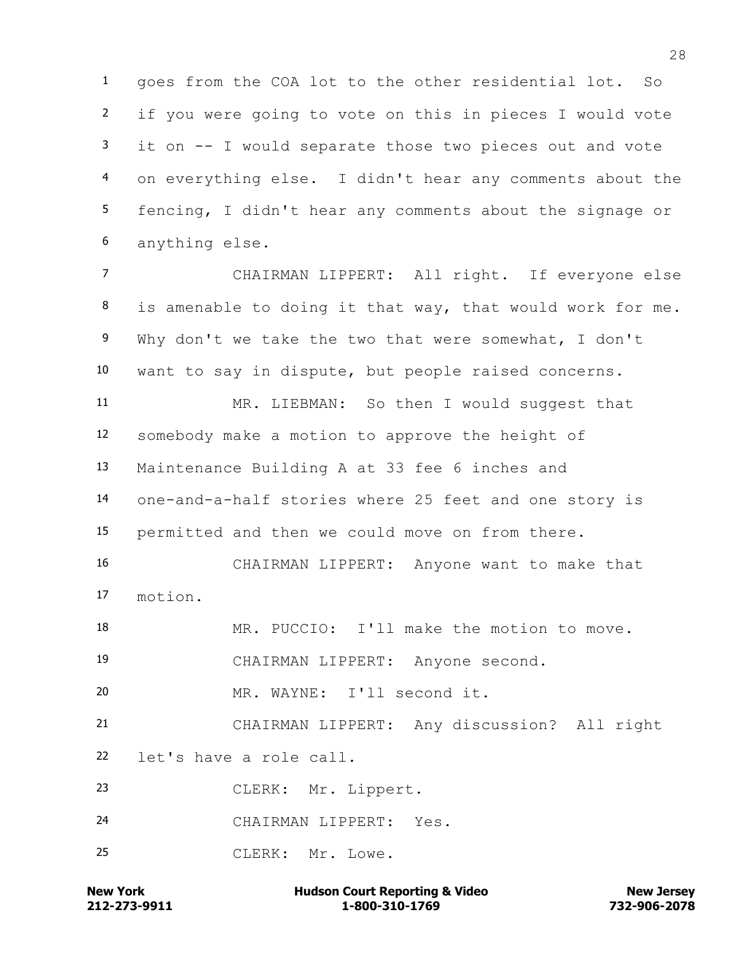goes from the COA lot to the other residential lot. So if you were going to vote on this in pieces I would vote it on -- I would separate those two pieces out and vote on everything else. I didn't hear any comments about the fencing, I didn't hear any comments about the signage or anything else.

 CHAIRMAN LIPPERT: All right. If everyone else is amenable to doing it that way, that would work for me. Why don't we take the two that were somewhat, I don't want to say in dispute, but people raised concerns.

 MR. LIEBMAN: So then I would suggest that somebody make a motion to approve the height of Maintenance Building A at 33 fee 6 inches and one-and-a-half stories where 25 feet and one story is permitted and then we could move on from there.

 CHAIRMAN LIPPERT: Anyone want to make that motion.

MR. PUCCIO: I'll make the motion to move.

CHAIRMAN LIPPERT: Anyone second.

MR. WAYNE: I'll second it.

 CHAIRMAN LIPPERT: Any discussion? All right let's have a role call.

CLERK: Mr. Lippert.

CHAIRMAN LIPPERT: Yes.

CLERK: Mr. Lowe.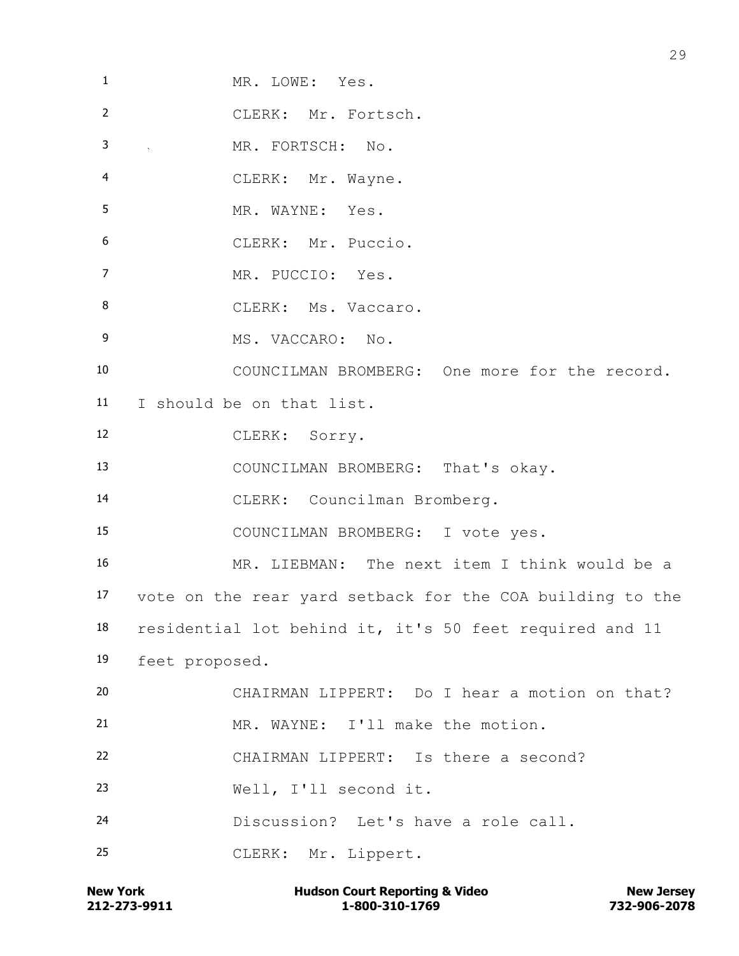| $\mathbf{1}$    | MR. LOWE: Yes.                                            |
|-----------------|-----------------------------------------------------------|
| $\overline{2}$  | CLERK: Mr. Fortsch.                                       |
| 3               | MR. FORTSCH: No.                                          |
| 4               | CLERK: Mr. Wayne.                                         |
| 5               | MR. WAYNE: Yes.                                           |
| 6               | CLERK: Mr. Puccio.                                        |
| 7               | MR. PUCCIO: Yes.                                          |
| 8               | CLERK: Ms. Vaccaro.                                       |
| 9               | MS. VACCARO: No.                                          |
| 10              | COUNCILMAN BROMBERG: One more for the record.             |
| 11 <sub>1</sub> | I should be on that list.                                 |
| 12              | CLERK: Sorry.                                             |
| 13              | COUNCILMAN BROMBERG: That's okay.                         |
| 14              | CLERK: Councilman Bromberg.                               |
| 15              | COUNCILMAN BROMBERG: I vote yes.                          |
| 16              | MR. LIEBMAN: The next item I think would be a             |
| 17              | vote on the rear yard setback for the COA building to the |
| 18              | residential lot behind it, it's 50 feet required and 11   |
| 19              | feet proposed.                                            |
| 20              | CHAIRMAN LIPPERT: Do I hear a motion on that?             |
| 21              | MR. WAYNE: I'll make the motion.                          |
| 22              | CHAIRMAN LIPPERT: Is there a second?                      |
| 23              | Well, I'll second it.                                     |
| 24              | Discussion? Let's have a role call.                       |
| 25              | CLERK: Mr. Lippert.                                       |
|                 |                                                           |

**212-273-9911 1-800-310-1769 732-906-2078 New York Hudson Court Reporting & Video New Jersey**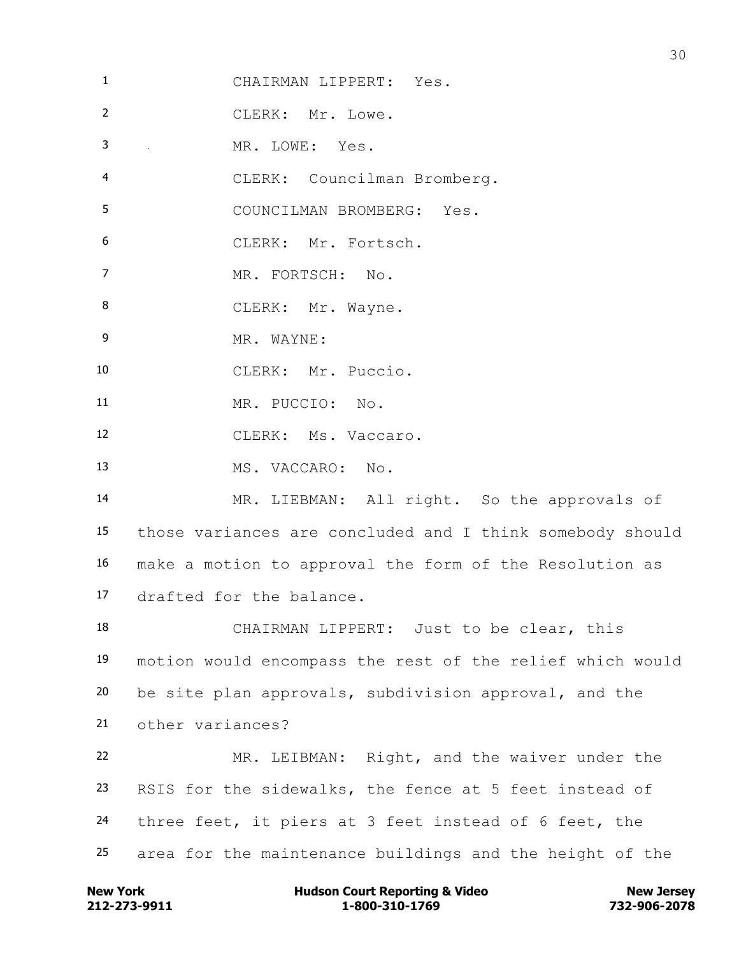| $\mathbf{1}$   | CHAIRMAN LIPPERT: Yes.                                    |
|----------------|-----------------------------------------------------------|
| $\overline{2}$ | CLERK: Mr. Lowe.                                          |
| 3              | MR. LOWE: Yes.<br>and the company of                      |
| 4              | CLERK: Councilman Bromberg.                               |
| 5              | COUNCILMAN BROMBERG: Yes.                                 |
| 6              | CLERK: Mr. Fortsch.                                       |
| 7              | MR. FORTSCH: No.                                          |
| 8              | CLERK: Mr. Wayne.                                         |
| 9              | MR. WAYNE:                                                |
| 10             | CLERK: Mr. Puccio.                                        |
| 11             | MR. PUCCIO: No.                                           |
| 12             | CLERK: Ms. Vaccaro.                                       |
| 13             | MS. VACCARO: No.                                          |
| 14             | MR. LIEBMAN: All right. So the approvals of               |
| 15             | those variances are concluded and I think somebody should |
| 16             | make a motion to approval the form of the Resolution as   |
| 17             | drafted for the balance.                                  |
| 18             | CHAIRMAN LIPPERT: Just to be clear, this                  |
| 19             | motion would encompass the rest of the relief which would |
| 20             | be site plan approvals, subdivision approval, and the     |
| 21             | other variances?                                          |
| 22             | MR. LEIBMAN: Right, and the waiver under the              |
| 23             | RSIS for the sidewalks, the fence at 5 feet instead of    |
| 24             | three feet, it piers at 3 feet instead of 6 feet, the     |
| 25             | area for the maintenance buildings and the height of the  |

**212-273-9911 1-800-310-1769 732-906-2078 New York Hudson Court Reporting & Video New Jersey**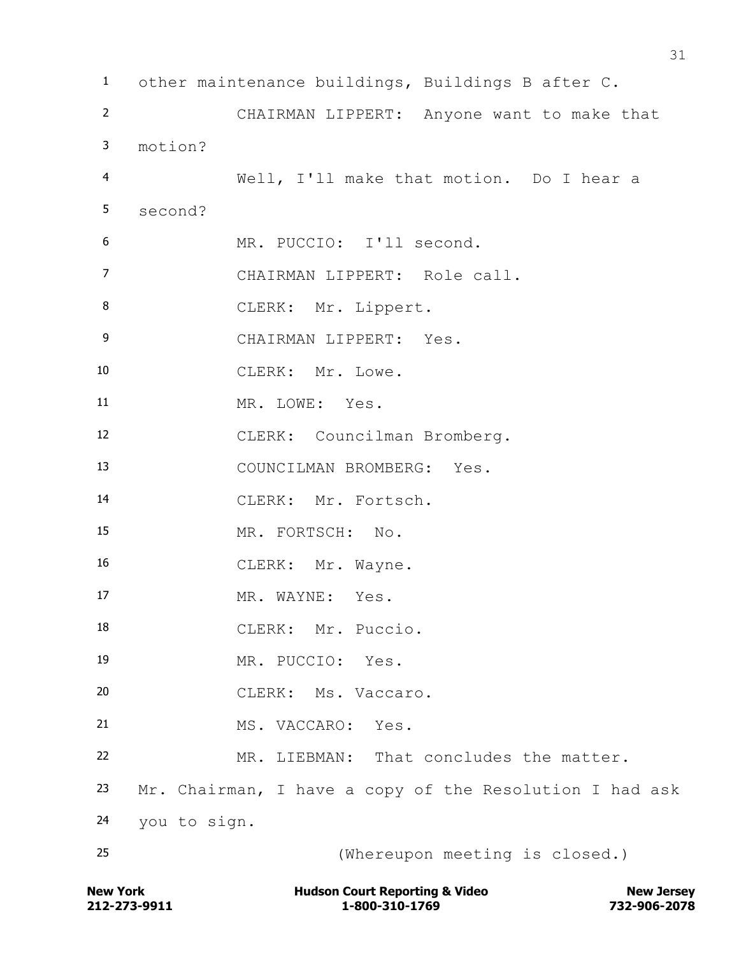other maintenance buildings, Buildings B after C. CHAIRMAN LIPPERT: Anyone want to make that motion? Well, I'll make that motion. Do I hear a second? MR. PUCCIO: I'll second. CHAIRMAN LIPPERT: Role call. 8 CLERK: Mr. Lippert. CHAIRMAN LIPPERT: Yes. 10 CLERK: Mr. Lowe. MR. LOWE: Yes. CLERK: Councilman Bromberg. COUNCILMAN BROMBERG: Yes. CLERK: Mr. Fortsch. MR. FORTSCH: No. 16 CLERK: Mr. Wayne. 17 MR. WAYNE: Yes. 18 CLERK: Mr. Puccio. MR. PUCCIO: Yes. CLERK: Ms. Vaccaro. MS. VACCARO: Yes. MR. LIEBMAN: That concludes the matter. Mr. Chairman, I have a copy of the Resolution I had ask you to sign. (Whereupon meeting is closed.)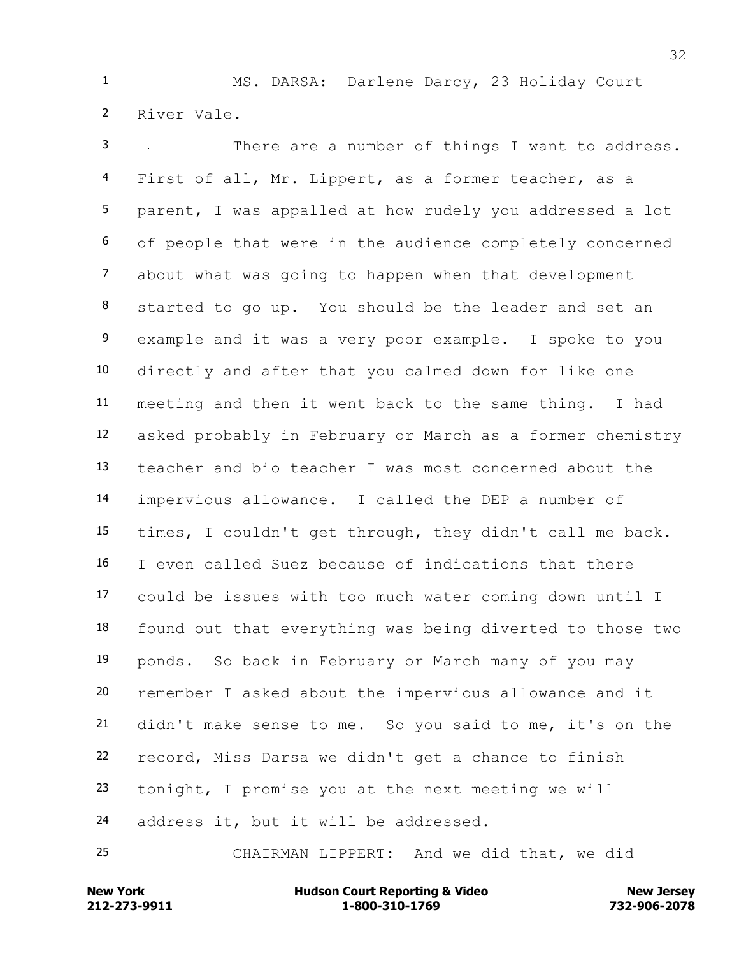MS. DARSA: Darlene Darcy, 23 Holiday Court River Vale.

 There are a number of things I want to address. First of all, Mr. Lippert, as a former teacher, as a parent, I was appalled at how rudely you addressed a lot of people that were in the audience completely concerned about what was going to happen when that development started to go up. You should be the leader and set an example and it was a very poor example. I spoke to you directly and after that you calmed down for like one meeting and then it went back to the same thing. I had asked probably in February or March as a former chemistry teacher and bio teacher I was most concerned about the impervious allowance. I called the DEP a number of times, I couldn't get through, they didn't call me back. I even called Suez because of indications that there could be issues with too much water coming down until I found out that everything was being diverted to those two ponds. So back in February or March many of you may remember I asked about the impervious allowance and it didn't make sense to me. So you said to me, it's on the record, Miss Darsa we didn't get a chance to finish tonight, I promise you at the next meeting we will address it, but it will be addressed.

CHAIRMAN LIPPERT: And we did that, we did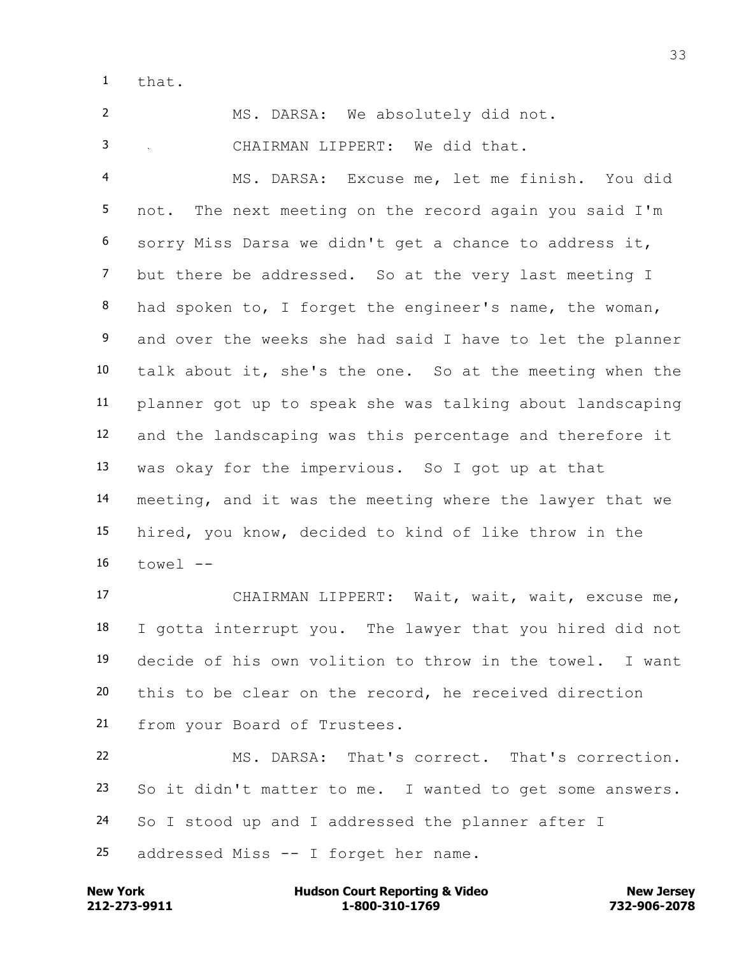that.

MS. DARSA: We absolutely did not.

CHAIRMAN LIPPERT: We did that.

 MS. DARSA: Excuse me, let me finish. You did not. The next meeting on the record again you said I'm sorry Miss Darsa we didn't get a chance to address it, but there be addressed. So at the very last meeting I 8 had spoken to, I forget the engineer's name, the woman, 9 and over the weeks she had said I have to let the planner talk about it, she's the one. So at the meeting when the planner got up to speak she was talking about landscaping and the landscaping was this percentage and therefore it was okay for the impervious. So I got up at that meeting, and it was the meeting where the lawyer that we hired, you know, decided to kind of like throw in the towel  $-$ 

 CHAIRMAN LIPPERT: Wait, wait, wait, excuse me, I gotta interrupt you. The lawyer that you hired did not decide of his own volition to throw in the towel. I want this to be clear on the record, he received direction from your Board of Trustees. MS. DARSA: That's correct. That's correction.

 So it didn't matter to me. I wanted to get some answers. So I stood up and I addressed the planner after I

addressed Miss -- I forget her name.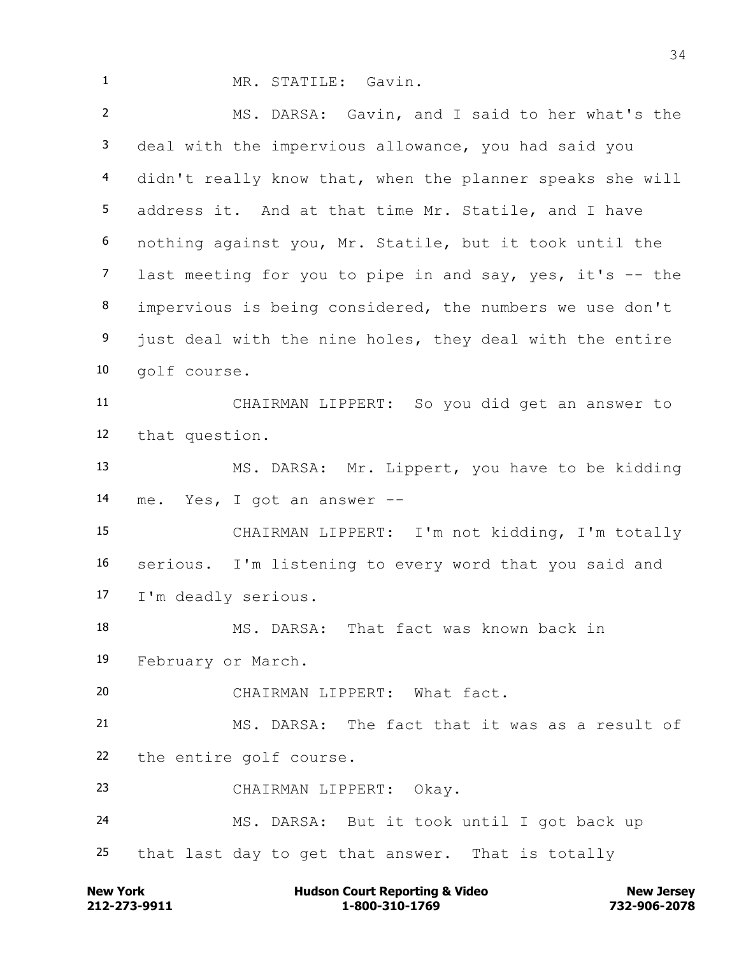MR. STATILE: Gavin. MS. DARSA: Gavin, and I said to her what's the deal with the impervious allowance, you had said you didn't really know that, when the planner speaks she will address it. And at that time Mr. Statile, and I have nothing against you, Mr. Statile, but it took until the last meeting for you to pipe in and say, yes, it's -- the impervious is being considered, the numbers we use don't 9 just deal with the nine holes, they deal with the entire golf course. CHAIRMAN LIPPERT: So you did get an answer to that question. MS. DARSA: Mr. Lippert, you have to be kidding me. Yes, I got an answer -- CHAIRMAN LIPPERT: I'm not kidding, I'm totally serious. I'm listening to every word that you said and I'm deadly serious. MS. DARSA: That fact was known back in February or March. CHAIRMAN LIPPERT: What fact. MS. DARSA: The fact that it was as a result of the entire golf course. CHAIRMAN LIPPERT: Okay. MS. DARSA: But it took until I got back up that last day to get that answer. That is totally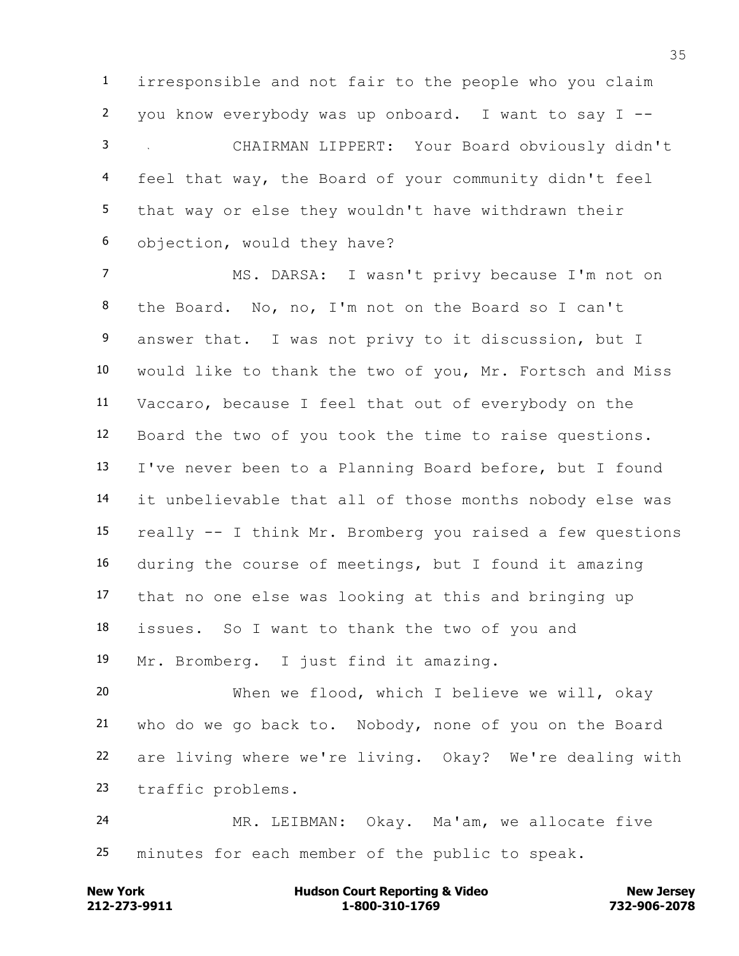irresponsible and not fair to the people who you claim you know everybody was up onboard. I want to say I -- CHAIRMAN LIPPERT: Your Board obviously didn't feel that way, the Board of your community didn't feel that way or else they wouldn't have withdrawn their objection, would they have?

 MS. DARSA: I wasn't privy because I'm not on the Board. No, no, I'm not on the Board so I can't 9 answer that. I was not privy to it discussion, but I would like to thank the two of you, Mr. Fortsch and Miss Vaccaro, because I feel that out of everybody on the Board the two of you took the time to raise questions. I've never been to a Planning Board before, but I found it unbelievable that all of those months nobody else was really -- I think Mr. Bromberg you raised a few questions during the course of meetings, but I found it amazing that no one else was looking at this and bringing up issues. So I want to thank the two of you and Mr. Bromberg. I just find it amazing.

 When we flood, which I believe we will, okay who do we go back to. Nobody, none of you on the Board are living where we're living. Okay? We're dealing with traffic problems.

 MR. LEIBMAN: Okay. Ma'am, we allocate five minutes for each member of the public to speak.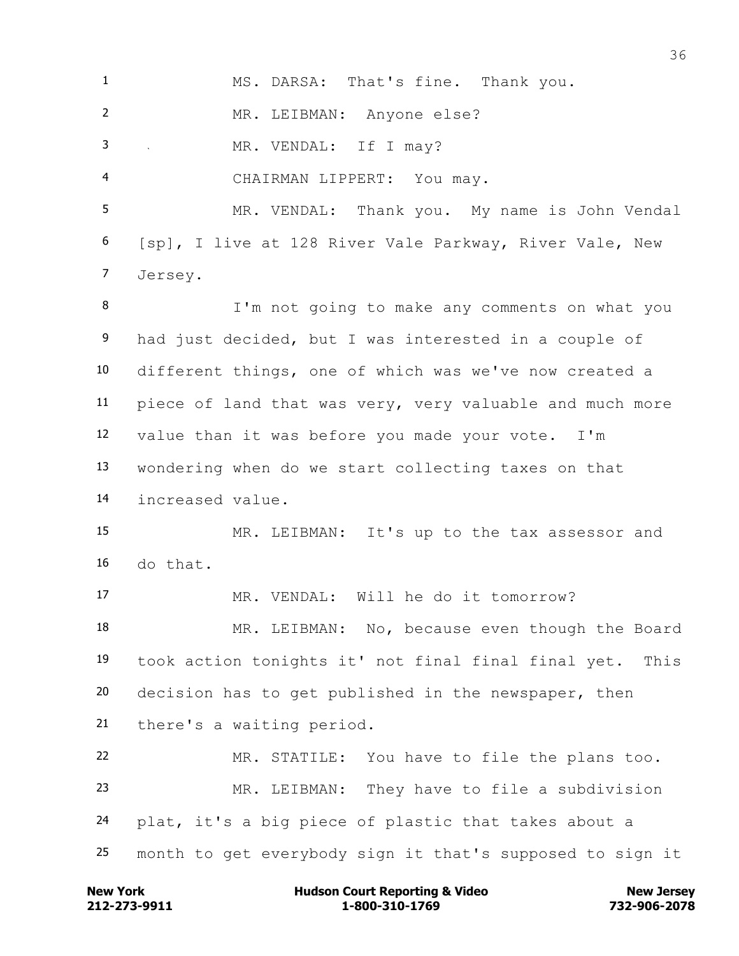MS. DARSA: That's fine. Thank you. MR. LEIBMAN: Anyone else? MR. VENDAL: If I may? CHAIRMAN LIPPERT: You may. MR. VENDAL: Thank you. My name is John Vendal [sp], I live at 128 River Vale Parkway, River Vale, New Jersey. I'm not going to make any comments on what you had just decided, but I was interested in a couple of different things, one of which was we've now created a piece of land that was very, very valuable and much more value than it was before you made your vote. I'm wondering when do we start collecting taxes on that increased value. MR. LEIBMAN: It's up to the tax assessor and do that. MR. VENDAL: Will he do it tomorrow? 18 MR. LEIBMAN: No, because even though the Board took action tonights it' not final final final yet. This decision has to get published in the newspaper, then there's a waiting period. MR. STATILE: You have to file the plans too. MR. LEIBMAN: They have to file a subdivision plat, it's a big piece of plastic that takes about a month to get everybody sign it that's supposed to sign it

**212-273-9911 1-800-310-1769 732-906-2078 New York Communist Court Reporting & Video New Jersey Rew Jersey**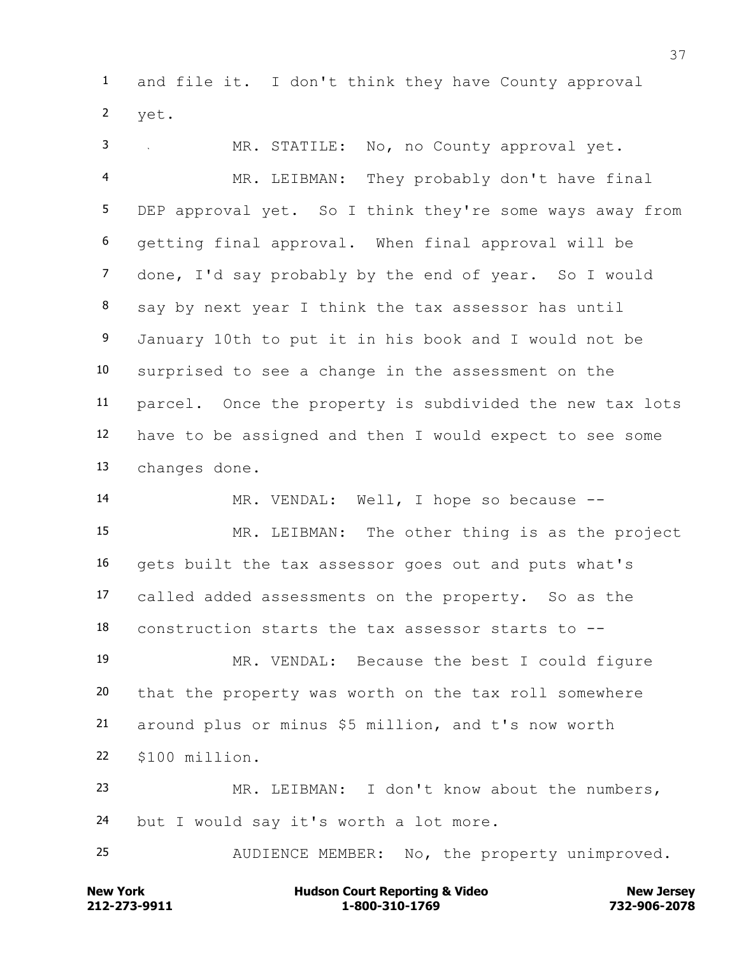and file it. I don't think they have County approval yet.

 MR. STATILE: No, no County approval yet. MR. LEIBMAN: They probably don't have final DEP approval yet. So I think they're some ways away from getting final approval. When final approval will be done, I'd say probably by the end of year. So I would say by next year I think the tax assessor has until January 10th to put it in his book and I would not be surprised to see a change in the assessment on the parcel. Once the property is subdivided the new tax lots have to be assigned and then I would expect to see some changes done.

 MR. VENDAL: Well, I hope so because -- MR. LEIBMAN: The other thing is as the project gets built the tax assessor goes out and puts what's called added assessments on the property. So as the construction starts the tax assessor starts to --

 MR. VENDAL: Because the best I could figure that the property was worth on the tax roll somewhere around plus or minus \$5 million, and t's now worth \$100 million.

 MR. LEIBMAN: I don't know about the numbers, but I would say it's worth a lot more.

AUDIENCE MEMBER: No, the property unimproved.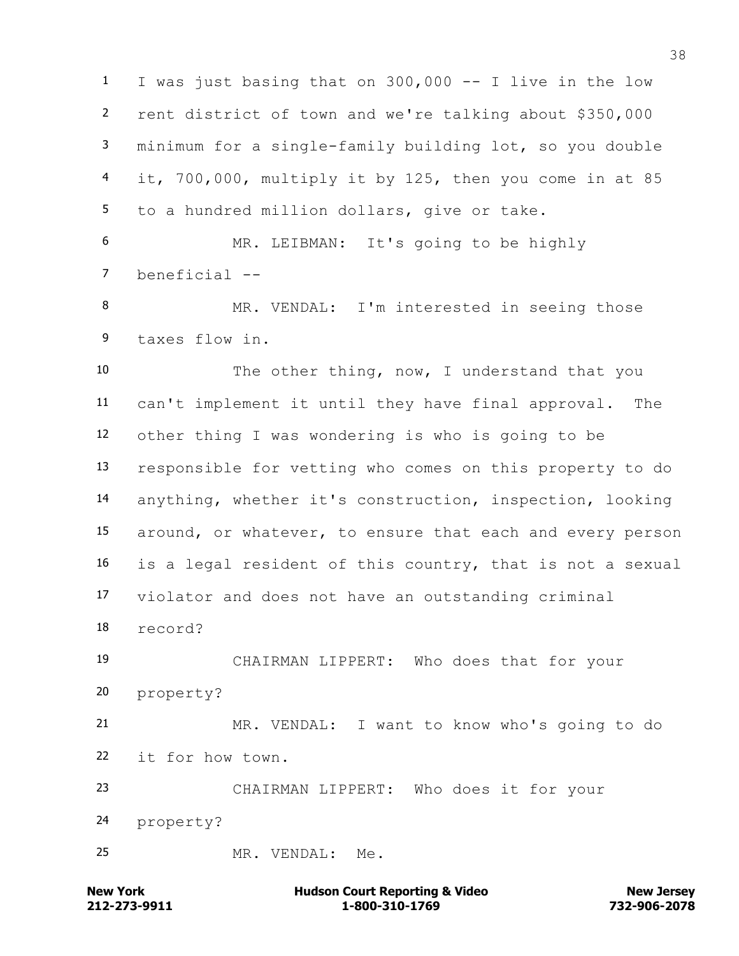I was just basing that on 300,000 -- I live in the low rent district of town and we're talking about \$350,000 minimum for a single-family building lot, so you double it, 700,000, multiply it by 125, then you come in at 85 to a hundred million dollars, give or take.

 MR. LEIBMAN: It's going to be highly beneficial --

8 MR. VENDAL: I'm interested in seeing those taxes flow in.

 The other thing, now, I understand that you can't implement it until they have final approval. The other thing I was wondering is who is going to be responsible for vetting who comes on this property to do anything, whether it's construction, inspection, looking around, or whatever, to ensure that each and every person is a legal resident of this country, that is not a sexual violator and does not have an outstanding criminal record?

 CHAIRMAN LIPPERT: Who does that for your property?

 MR. VENDAL: I want to know who's going to do it for how town.

 CHAIRMAN LIPPERT: Who does it for your property?

MR. VENDAL: Me.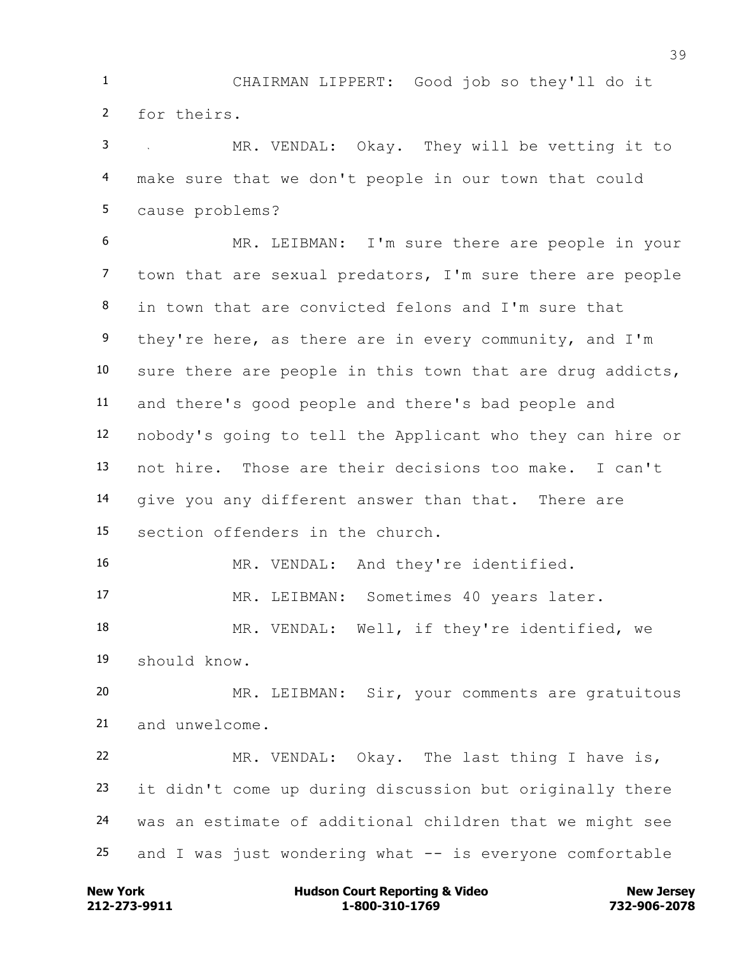CHAIRMAN LIPPERT: Good job so they'll do it for theirs.

 MR. VENDAL: Okay. They will be vetting it to make sure that we don't people in our town that could cause problems?

 MR. LEIBMAN: I'm sure there are people in your town that are sexual predators, I'm sure there are people in town that are convicted felons and I'm sure that 9 they're here, as there are in every community, and I'm sure there are people in this town that are drug addicts, and there's good people and there's bad people and nobody's going to tell the Applicant who they can hire or not hire. Those are their decisions too make. I can't give you any different answer than that. There are section offenders in the church.

MR. VENDAL: And they're identified.

MR. LEIBMAN: Sometimes 40 years later.

 MR. VENDAL: Well, if they're identified, we should know.

 MR. LEIBMAN: Sir, your comments are gratuitous and unwelcome.

 MR. VENDAL: Okay. The last thing I have is, it didn't come up during discussion but originally there was an estimate of additional children that we might see 25 and I was just wondering what  $--$  is everyone comfortable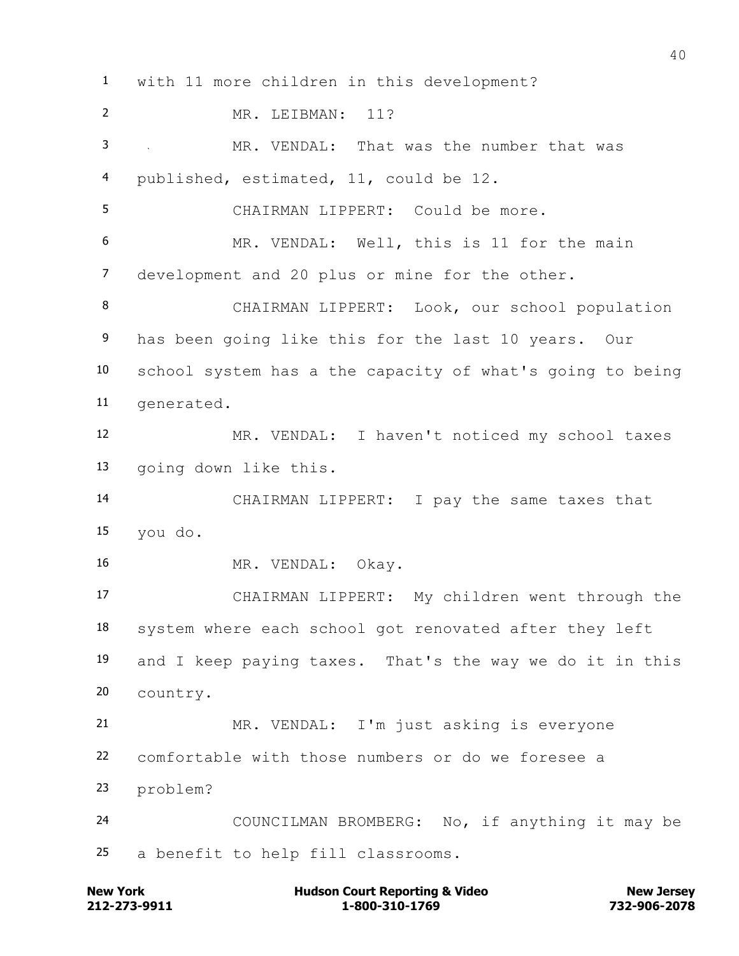with 11 more children in this development? MR. LEIBMAN: 11? MR. VENDAL: That was the number that was published, estimated, 11, could be 12. CHAIRMAN LIPPERT: Could be more. MR. VENDAL: Well, this is 11 for the main development and 20 plus or mine for the other. CHAIRMAN LIPPERT: Look, our school population has been going like this for the last 10 years. Our school system has a the capacity of what's going to being generated. MR. VENDAL: I haven't noticed my school taxes going down like this. CHAIRMAN LIPPERT: I pay the same taxes that you do. MR. VENDAL: Okay. CHAIRMAN LIPPERT: My children went through the system where each school got renovated after they left and I keep paying taxes. That's the way we do it in this country. MR. VENDAL: I'm just asking is everyone comfortable with those numbers or do we foresee a problem? COUNCILMAN BROMBERG: No, if anything it may be a benefit to help fill classrooms.

**212-273-9911 1-800-310-1769 732-906-2078 New York Communist Court Reporting & Video New Jersey Rew Jersey**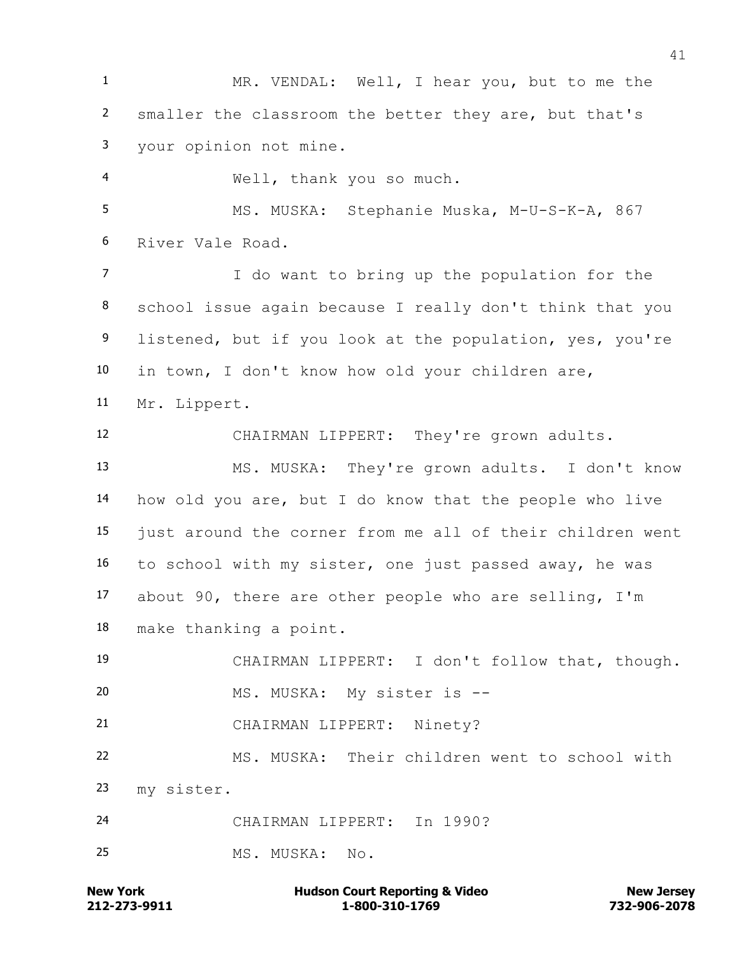MR. VENDAL: Well, I hear you, but to me the smaller the classroom the better they are, but that's your opinion not mine. Well, thank you so much. 5 MS. MUSKA: Stephanie Muska, M-U-S-K-A, 867 River Vale Road. I do want to bring up the population for the school issue again because I really don't think that you

9 listened, but if you look at the population, yes, you're in town, I don't know how old your children are,

Mr. Lippert.

CHAIRMAN LIPPERT: They're grown adults.

 MS. MUSKA: They're grown adults. I don't know how old you are, but I do know that the people who live just around the corner from me all of their children went to school with my sister, one just passed away, he was about 90, there are other people who are selling, I'm make thanking a point.

 CHAIRMAN LIPPERT: I don't follow that, though. MS. MUSKA: My sister is --

CHAIRMAN LIPPERT: Ninety?

 MS. MUSKA: Their children went to school with my sister.

CHAIRMAN LIPPERT: In 1990?

MS. MUSKA: No.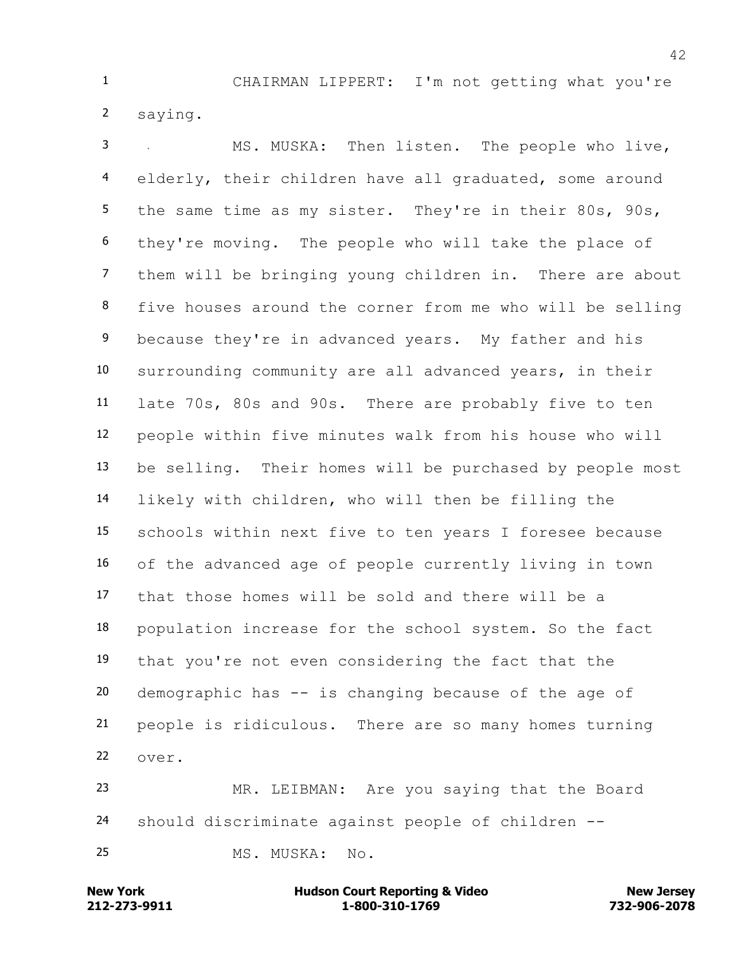CHAIRMAN LIPPERT: I'm not getting what you're saying.

 MS. MUSKA: Then listen. The people who live, elderly, their children have all graduated, some around 5 the same time as my sister. They're in their 80s, 90s, they're moving. The people who will take the place of them will be bringing young children in. There are about five houses around the corner from me who will be selling 9 because they're in advanced years. My father and his surrounding community are all advanced years, in their late 70s, 80s and 90s. There are probably five to ten people within five minutes walk from his house who will be selling. Their homes will be purchased by people most likely with children, who will then be filling the schools within next five to ten years I foresee because of the advanced age of people currently living in town that those homes will be sold and there will be a population increase for the school system. So the fact that you're not even considering the fact that the demographic has -- is changing because of the age of people is ridiculous. There are so many homes turning over.

 MR. LEIBMAN: Are you saying that the Board should discriminate against people of children --

MS. MUSKA: No.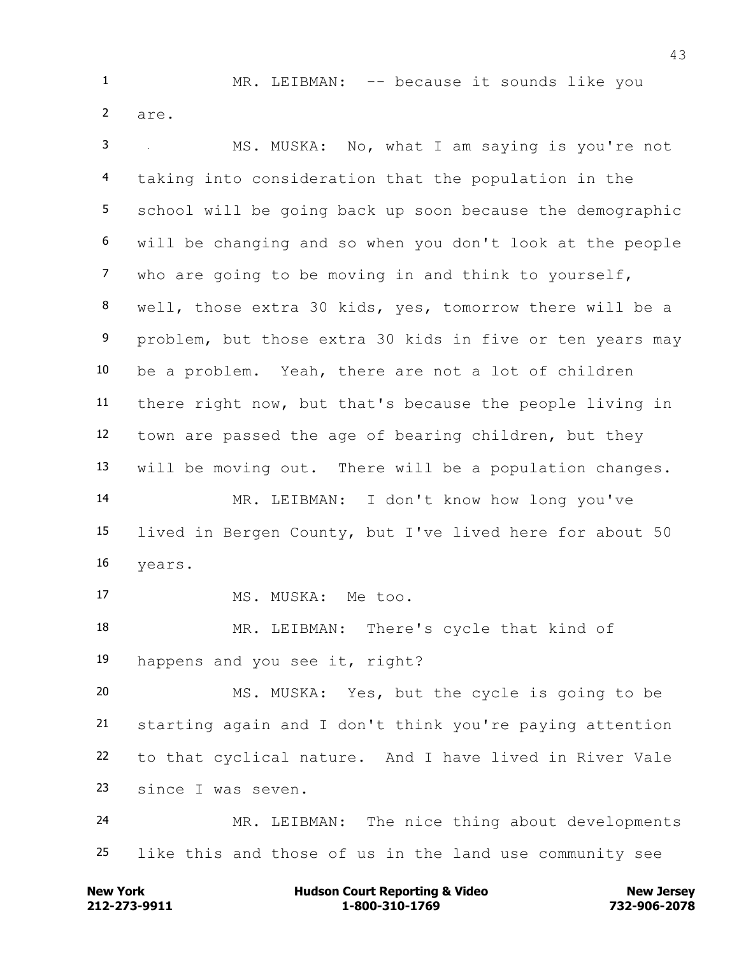1 MR. LEIBMAN: -- because it sounds like you are.

 MS. MUSKA: No, what I am saying is you're not taking into consideration that the population in the school will be going back up soon because the demographic will be changing and so when you don't look at the people who are going to be moving in and think to yourself, well, those extra 30 kids, yes, tomorrow there will be a problem, but those extra 30 kids in five or ten years may be a problem. Yeah, there are not a lot of children there right now, but that's because the people living in town are passed the age of bearing children, but they will be moving out. There will be a population changes. MR. LEIBMAN: I don't know how long you've lived in Bergen County, but I've lived here for about 50 years. 17 MS. MUSKA: Me too. MR. LEIBMAN: There's cycle that kind of happens and you see it, right? MS. MUSKA: Yes, but the cycle is going to be

 starting again and I don't think you're paying attention to that cyclical nature. And I have lived in River Vale since I was seven.

 MR. LEIBMAN: The nice thing about developments like this and those of us in the land use community see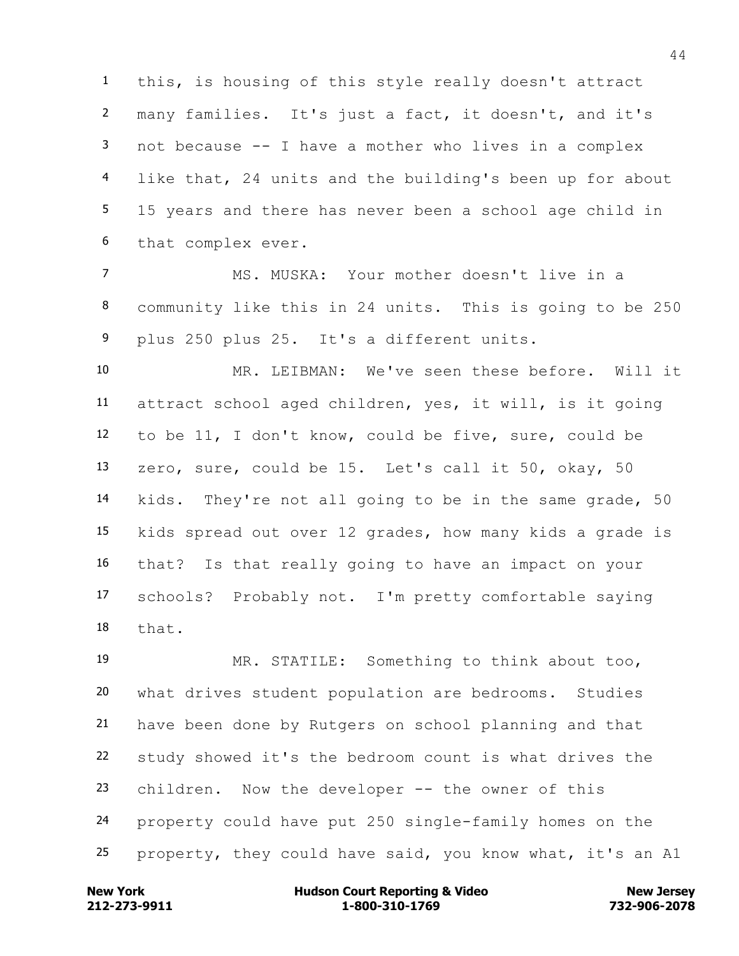this, is housing of this style really doesn't attract many families. It's just a fact, it doesn't, and it's not because -- I have a mother who lives in a complex like that, 24 units and the building's been up for about 15 years and there has never been a school age child in that complex ever.

 MS. MUSKA: Your mother doesn't live in a community like this in 24 units. This is going to be 250 plus 250 plus 25. It's a different units.

 MR. LEIBMAN: We've seen these before. Will it attract school aged children, yes, it will, is it going to be 11, I don't know, could be five, sure, could be zero, sure, could be 15. Let's call it 50, okay, 50 kids. They're not all going to be in the same grade, 50 kids spread out over 12 grades, how many kids a grade is that? Is that really going to have an impact on your schools? Probably not. I'm pretty comfortable saying that.

 MR. STATILE: Something to think about too, what drives student population are bedrooms. Studies have been done by Rutgers on school planning and that study showed it's the bedroom count is what drives the children. Now the developer -- the owner of this property could have put 250 single-family homes on the property, they could have said, you know what, it's an A1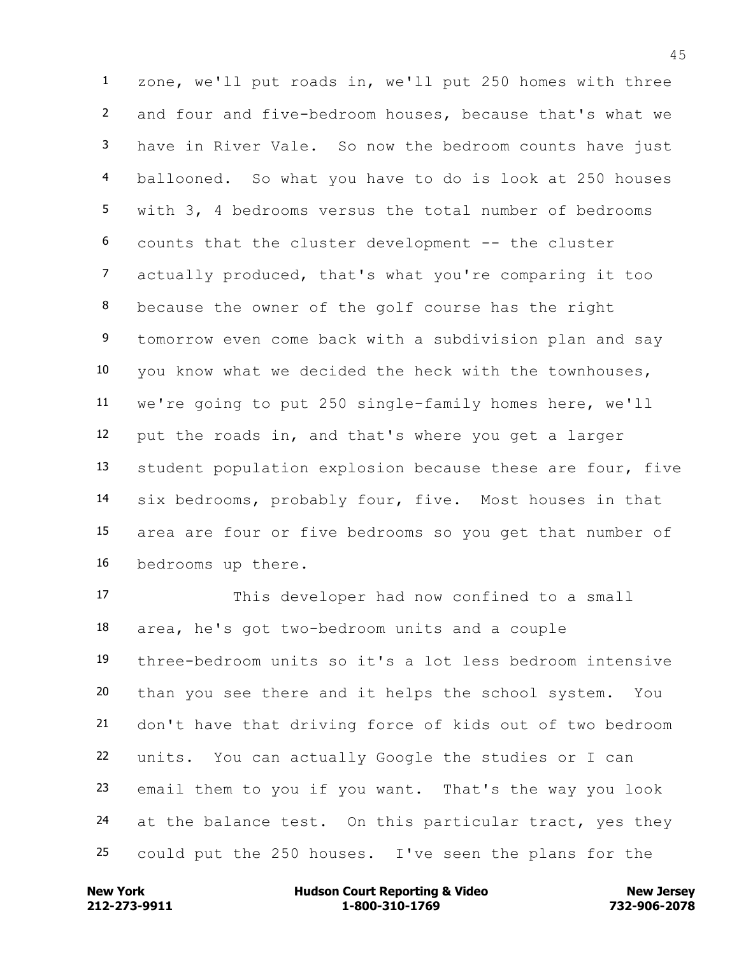zone, we'll put roads in, we'll put 250 homes with three and four and five-bedroom houses, because that's what we have in River Vale. So now the bedroom counts have just ballooned. So what you have to do is look at 250 houses with 3, 4 bedrooms versus the total number of bedrooms counts that the cluster development -- the cluster actually produced, that's what you're comparing it too because the owner of the golf course has the right tomorrow even come back with a subdivision plan and say you know what we decided the heck with the townhouses, we're going to put 250 single-family homes here, we'll put the roads in, and that's where you get a larger student population explosion because these are four, five six bedrooms, probably four, five. Most houses in that area are four or five bedrooms so you get that number of bedrooms up there.

 This developer had now confined to a small area, he's got two-bedroom units and a couple three-bedroom units so it's a lot less bedroom intensive than you see there and it helps the school system. You don't have that driving force of kids out of two bedroom units. You can actually Google the studies or I can email them to you if you want. That's the way you look 24 at the balance test. On this particular tract, yes they could put the 250 houses. I've seen the plans for the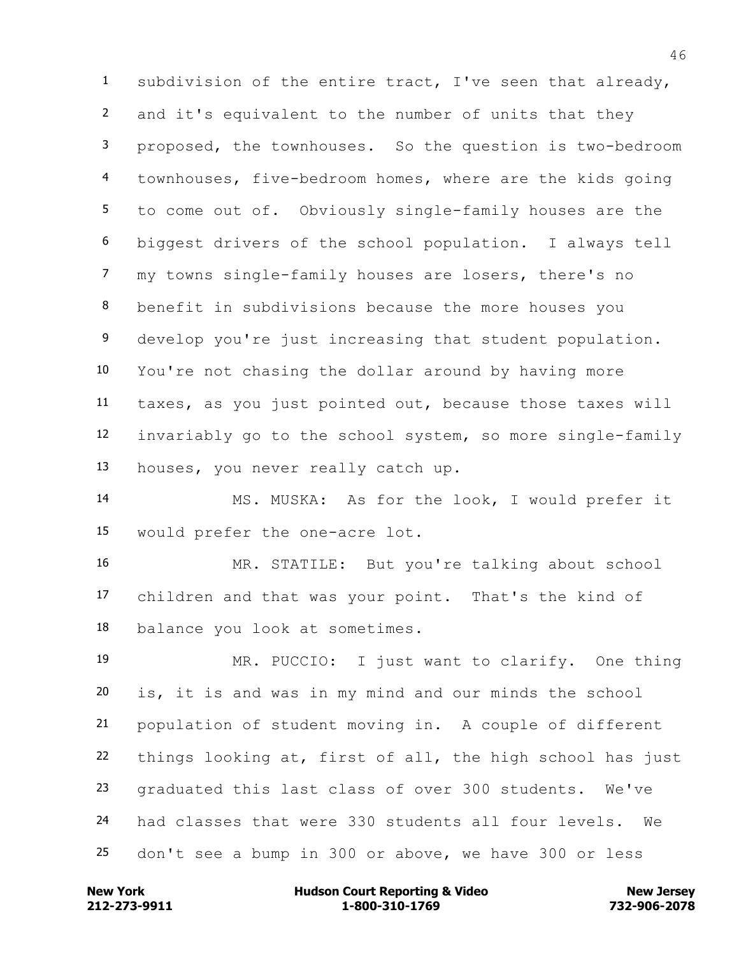subdivision of the entire tract, I've seen that already, and it's equivalent to the number of units that they proposed, the townhouses. So the question is two-bedroom townhouses, five-bedroom homes, where are the kids going to come out of. Obviously single-family houses are the biggest drivers of the school population. I always tell my towns single-family houses are losers, there's no benefit in subdivisions because the more houses you 9 develop you're just increasing that student population. You're not chasing the dollar around by having more taxes, as you just pointed out, because those taxes will invariably go to the school system, so more single-family houses, you never really catch up.

 MS. MUSKA: As for the look, I would prefer it would prefer the one-acre lot.

 MR. STATILE: But you're talking about school children and that was your point. That's the kind of balance you look at sometimes.

 MR. PUCCIO: I just want to clarify. One thing is, it is and was in my mind and our minds the school population of student moving in. A couple of different things looking at, first of all, the high school has just graduated this last class of over 300 students. We've had classes that were 330 students all four levels. We don't see a bump in 300 or above, we have 300 or less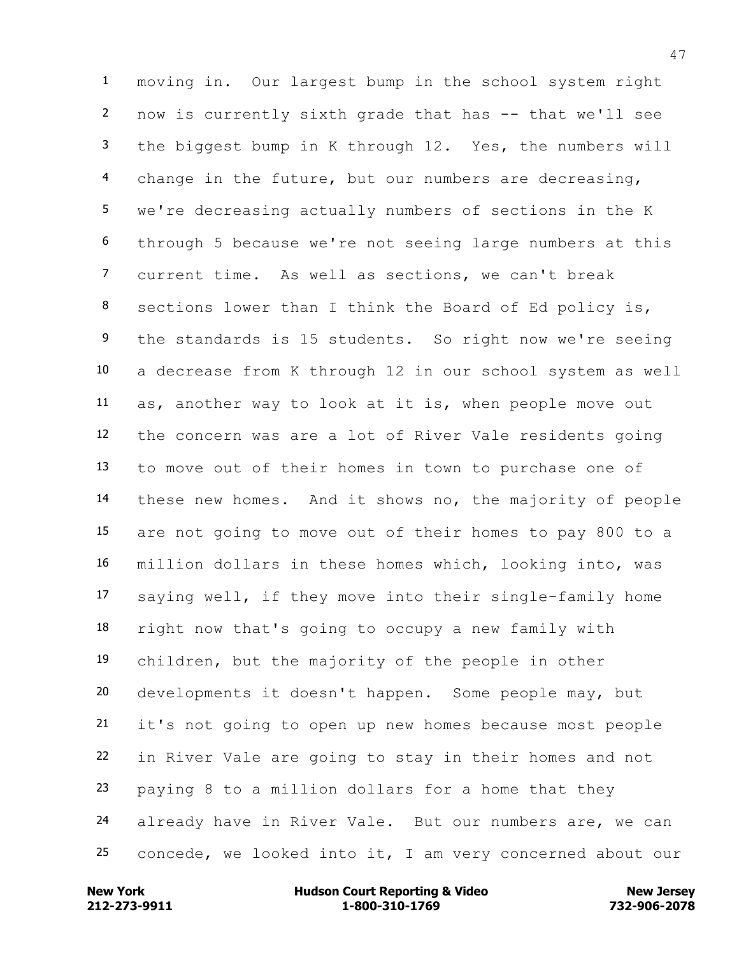moving in. Our largest bump in the school system right now is currently sixth grade that has -- that we'll see the biggest bump in K through 12. Yes, the numbers will change in the future, but our numbers are decreasing, we're decreasing actually numbers of sections in the K through 5 because we're not seeing large numbers at this current time. As well as sections, we can't break sections lower than I think the Board of Ed policy is, 9 the standards is 15 students. So right now we're seeing a decrease from K through 12 in our school system as well as, another way to look at it is, when people move out the concern was are a lot of River Vale residents going to move out of their homes in town to purchase one of these new homes. And it shows no, the majority of people are not going to move out of their homes to pay 800 to a million dollars in these homes which, looking into, was saying well, if they move into their single-family home right now that's going to occupy a new family with children, but the majority of the people in other developments it doesn't happen. Some people may, but it's not going to open up new homes because most people in River Vale are going to stay in their homes and not paying 8 to a million dollars for a home that they already have in River Vale. But our numbers are, we can concede, we looked into it, I am very concerned about our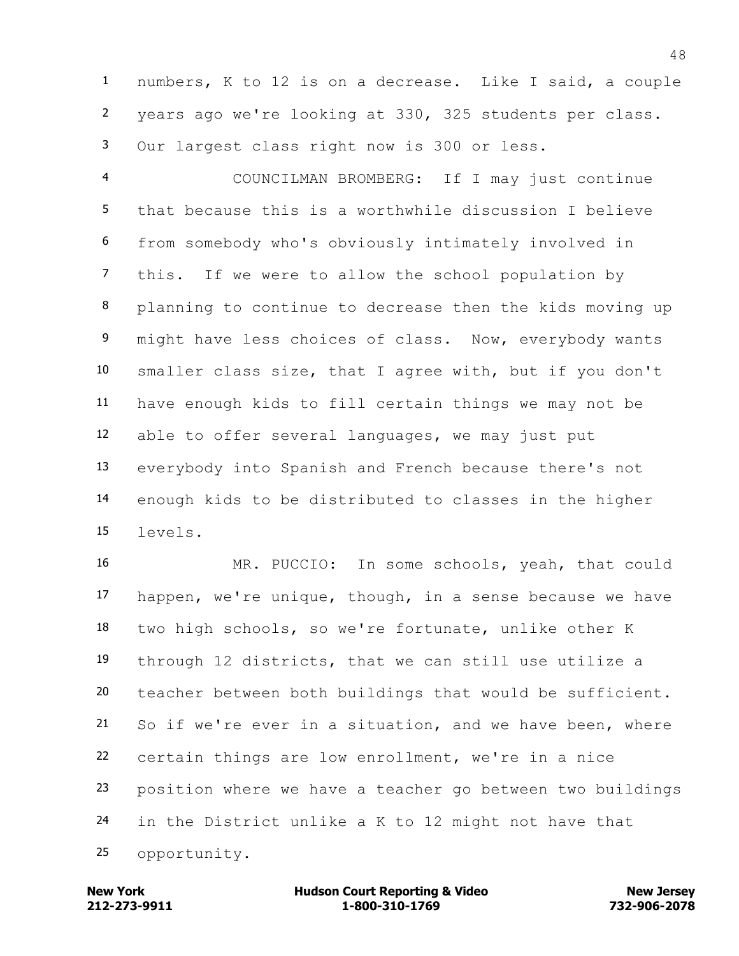numbers, K to 12 is on a decrease. Like I said, a couple years ago we're looking at 330, 325 students per class. Our largest class right now is 300 or less.

 COUNCILMAN BROMBERG: If I may just continue that because this is a worthwhile discussion I believe from somebody who's obviously intimately involved in this. If we were to allow the school population by planning to continue to decrease then the kids moving up 9 might have less choices of class. Now, everybody wants smaller class size, that I agree with, but if you don't have enough kids to fill certain things we may not be able to offer several languages, we may just put everybody into Spanish and French because there's not enough kids to be distributed to classes in the higher levels.

 MR. PUCCIO: In some schools, yeah, that could happen, we're unique, though, in a sense because we have two high schools, so we're fortunate, unlike other K through 12 districts, that we can still use utilize a teacher between both buildings that would be sufficient. So if we're ever in a situation, and we have been, where certain things are low enrollment, we're in a nice position where we have a teacher go between two buildings in the District unlike a K to 12 might not have that opportunity.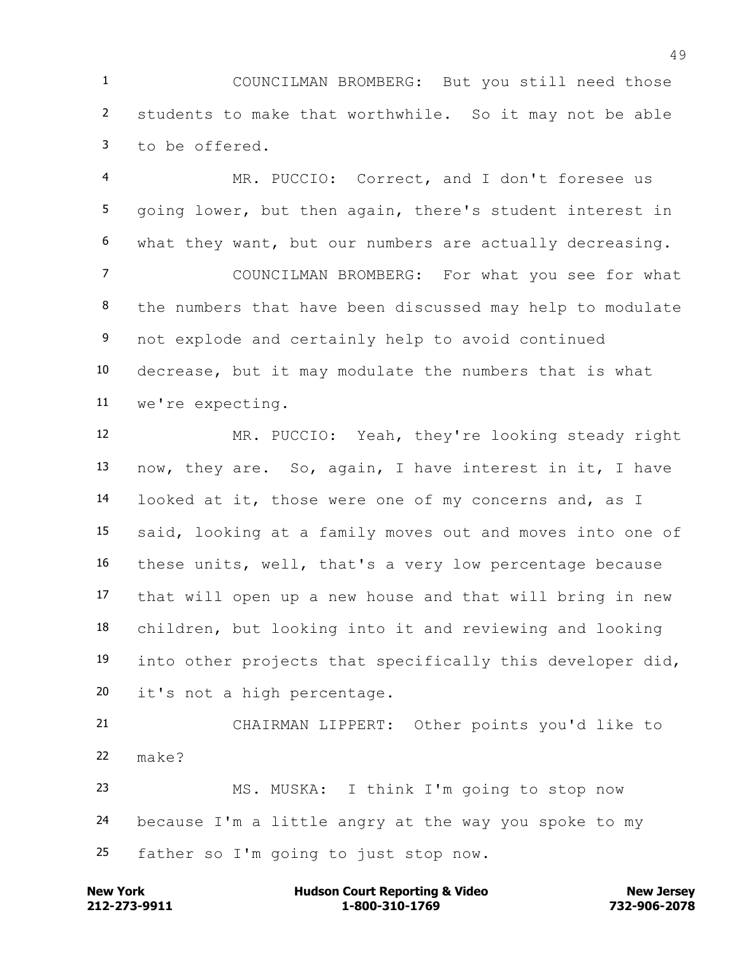COUNCILMAN BROMBERG: But you still need those students to make that worthwhile. So it may not be able to be offered.

 MR. PUCCIO: Correct, and I don't foresee us going lower, but then again, there's student interest in what they want, but our numbers are actually decreasing. COUNCILMAN BROMBERG: For what you see for what the numbers that have been discussed may help to modulate not explode and certainly help to avoid continued decrease, but it may modulate the numbers that is what we're expecting.

 MR. PUCCIO: Yeah, they're looking steady right now, they are. So, again, I have interest in it, I have looked at it, those were one of my concerns and, as I said, looking at a family moves out and moves into one of these units, well, that's a very low percentage because that will open up a new house and that will bring in new children, but looking into it and reviewing and looking into other projects that specifically this developer did, it's not a high percentage.

 CHAIRMAN LIPPERT: Other points you'd like to make?

 MS. MUSKA: I think I'm going to stop now because I'm a little angry at the way you spoke to my father so I'm going to just stop now.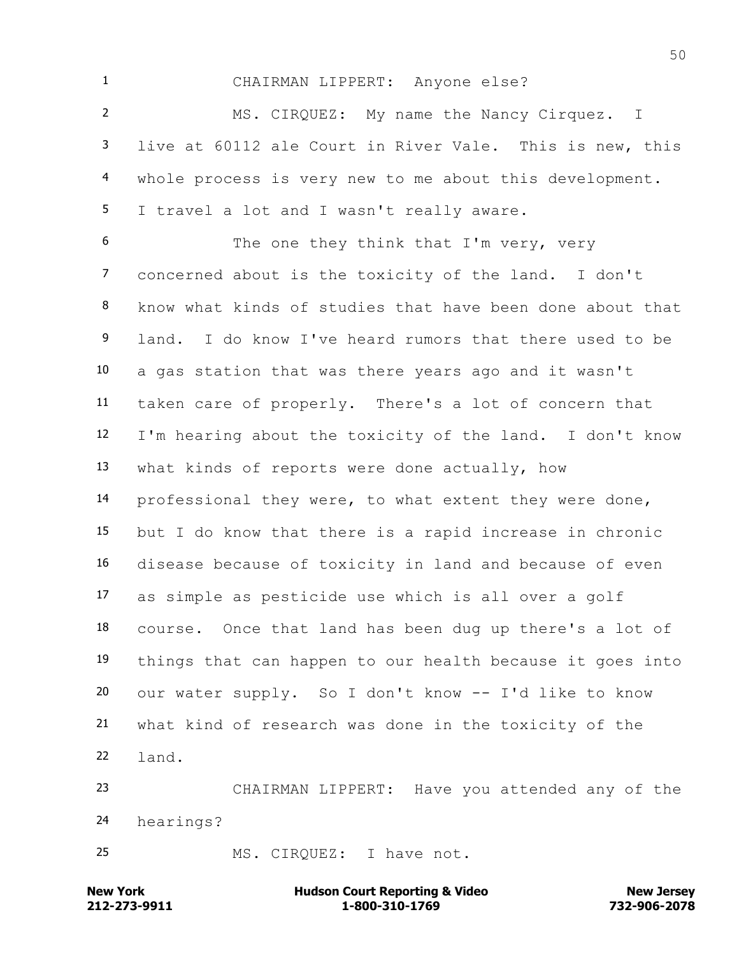CHAIRMAN LIPPERT: Anyone else?

 MS. CIRQUEZ: My name the Nancy Cirquez. I live at 60112 ale Court in River Vale. This is new, this whole process is very new to me about this development. 5 I travel a lot and I wasn't really aware.

 The one they think that I'm very, very concerned about is the toxicity of the land. I don't know what kinds of studies that have been done about that land. I do know I've heard rumors that there used to be a gas station that was there years ago and it wasn't taken care of properly. There's a lot of concern that I'm hearing about the toxicity of the land. I don't know what kinds of reports were done actually, how professional they were, to what extent they were done, but I do know that there is a rapid increase in chronic disease because of toxicity in land and because of even as simple as pesticide use which is all over a golf course. Once that land has been dug up there's a lot of things that can happen to our health because it goes into our water supply. So I don't know -- I'd like to know what kind of research was done in the toxicity of the land.

 CHAIRMAN LIPPERT: Have you attended any of the hearings?

MS. CIRQUEZ: I have not.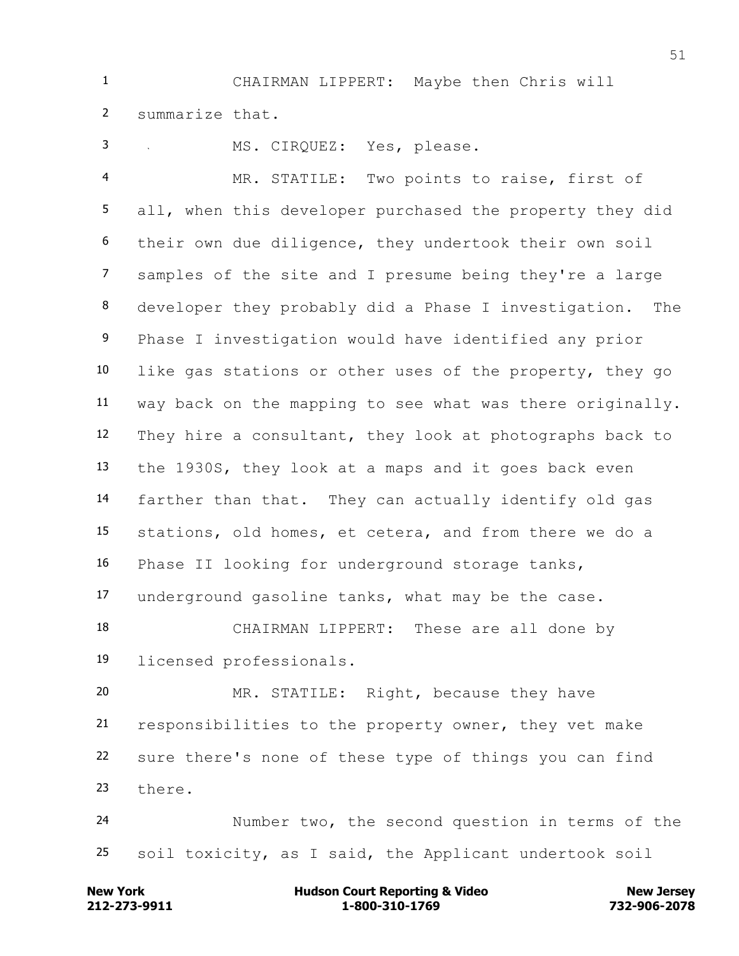CHAIRMAN LIPPERT: Maybe then Chris will summarize that.

MS. CIRQUEZ: Yes, please.

 MR. STATILE: Two points to raise, first of all, when this developer purchased the property they did their own due diligence, they undertook their own soil samples of the site and I presume being they're a large developer they probably did a Phase I investigation. The Phase I investigation would have identified any prior like gas stations or other uses of the property, they go way back on the mapping to see what was there originally. They hire a consultant, they look at photographs back to the 1930S, they look at a maps and it goes back even farther than that. They can actually identify old gas stations, old homes, et cetera, and from there we do a Phase II looking for underground storage tanks, underground gasoline tanks, what may be the case.

 CHAIRMAN LIPPERT: These are all done by licensed professionals.

 MR. STATILE: Right, because they have responsibilities to the property owner, they vet make sure there's none of these type of things you can find there.

 Number two, the second question in terms of the soil toxicity, as I said, the Applicant undertook soil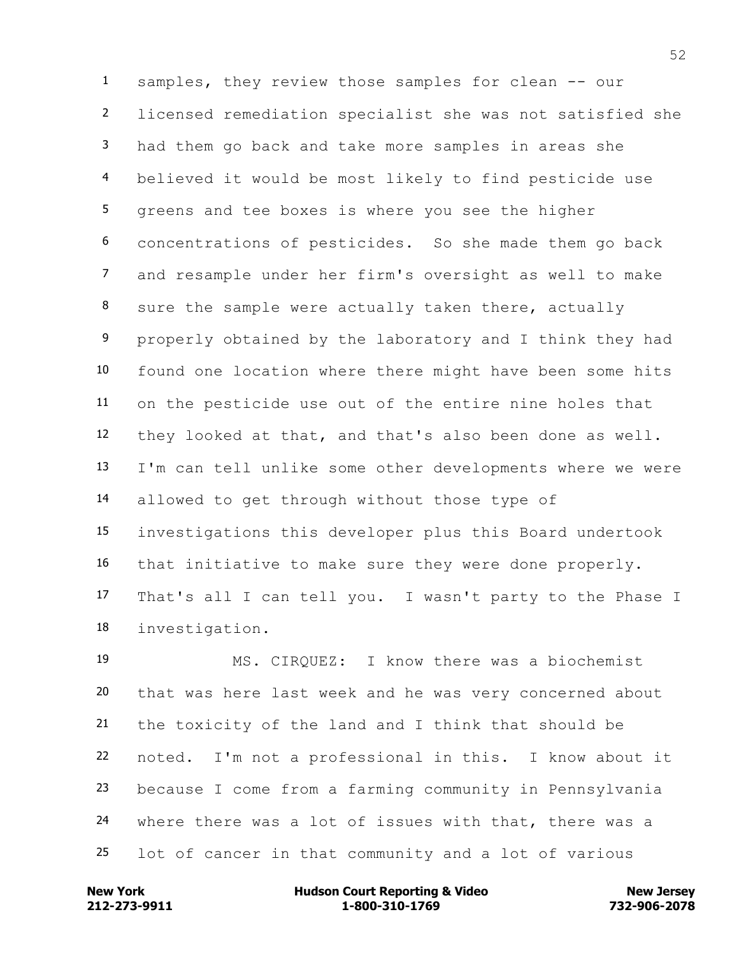samples, they review those samples for clean -- our licensed remediation specialist she was not satisfied she had them go back and take more samples in areas she believed it would be most likely to find pesticide use greens and tee boxes is where you see the higher concentrations of pesticides. So she made them go back and resample under her firm's oversight as well to make sure the sample were actually taken there, actually properly obtained by the laboratory and I think they had found one location where there might have been some hits on the pesticide use out of the entire nine holes that they looked at that, and that's also been done as well. I'm can tell unlike some other developments where we were allowed to get through without those type of investigations this developer plus this Board undertook that initiative to make sure they were done properly. That's all I can tell you. I wasn't party to the Phase I investigation.

 MS. CIRQUEZ: I know there was a biochemist that was here last week and he was very concerned about the toxicity of the land and I think that should be noted. I'm not a professional in this. I know about it because I come from a farming community in Pennsylvania where there was a lot of issues with that, there was a lot of cancer in that community and a lot of various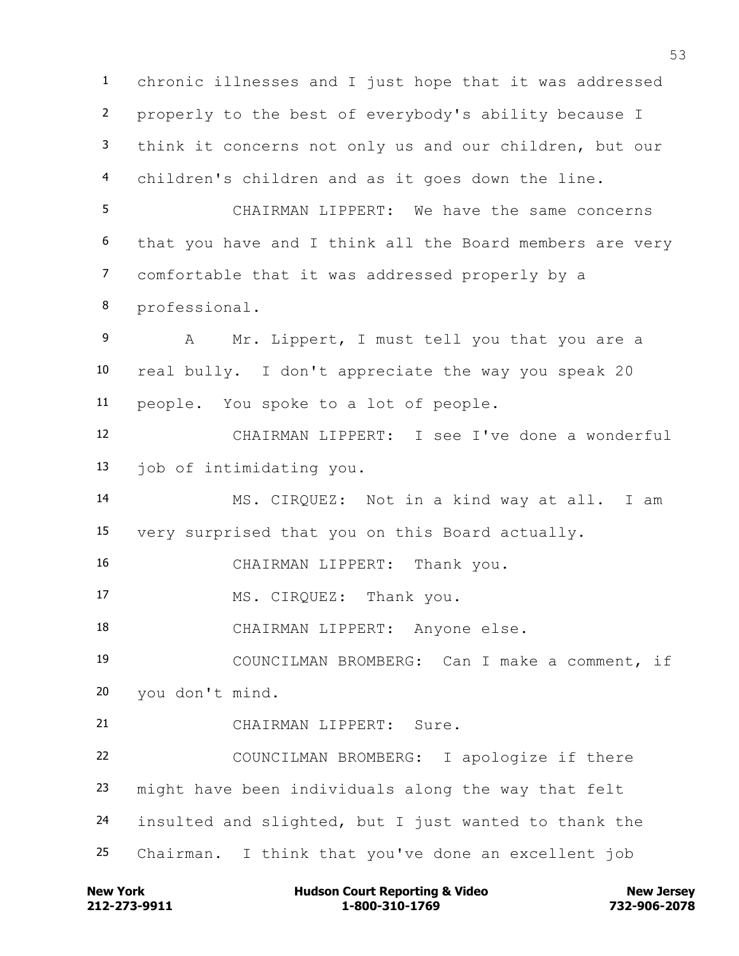chronic illnesses and I just hope that it was addressed properly to the best of everybody's ability because I think it concerns not only us and our children, but our children's children and as it goes down the line. CHAIRMAN LIPPERT: We have the same concerns that you have and I think all the Board members are very comfortable that it was addressed properly by a professional. 9 A Mr. Lippert, I must tell you that you are a real bully. I don't appreciate the way you speak 20 people. You spoke to a lot of people. CHAIRMAN LIPPERT: I see I've done a wonderful job of intimidating you. MS. CIRQUEZ: Not in a kind way at all. I am very surprised that you on this Board actually. CHAIRMAN LIPPERT: Thank you. MS. CIRQUEZ: Thank you. CHAIRMAN LIPPERT: Anyone else. COUNCILMAN BROMBERG: Can I make a comment, if you don't mind. CHAIRMAN LIPPERT: Sure. COUNCILMAN BROMBERG: I apologize if there might have been individuals along the way that felt insulted and slighted, but I just wanted to thank the Chairman. I think that you've done an excellent job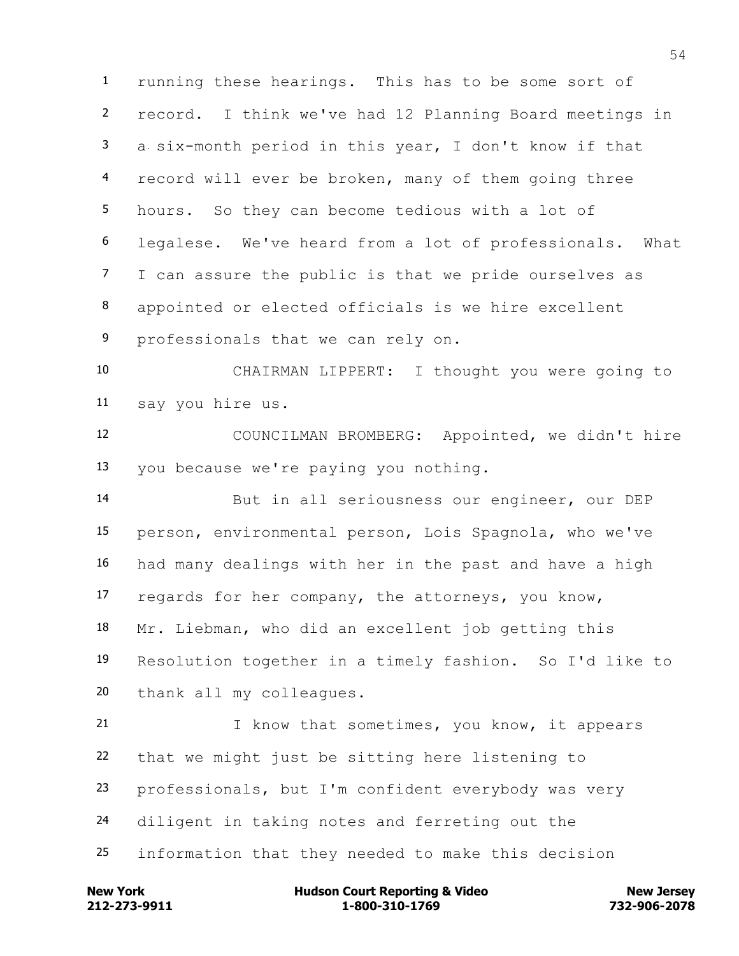running these hearings. This has to be some sort of record. I think we've had 12 Planning Board meetings in a six-month period in this year, I don't know if that record will ever be broken, many of them going three hours. So they can become tedious with a lot of legalese. We've heard from a lot of professionals. What I can assure the public is that we pride ourselves as appointed or elected officials is we hire excellent 9 professionals that we can rely on.

 CHAIRMAN LIPPERT: I thought you were going to say you hire us.

 COUNCILMAN BROMBERG: Appointed, we didn't hire you because we're paying you nothing.

 But in all seriousness our engineer, our DEP person, environmental person, Lois Spagnola, who we've had many dealings with her in the past and have a high regards for her company, the attorneys, you know, Mr. Liebman, who did an excellent job getting this Resolution together in a timely fashion. So I'd like to thank all my colleagues.

21 1 I know that sometimes, you know, it appears that we might just be sitting here listening to professionals, but I'm confident everybody was very diligent in taking notes and ferreting out the information that they needed to make this decision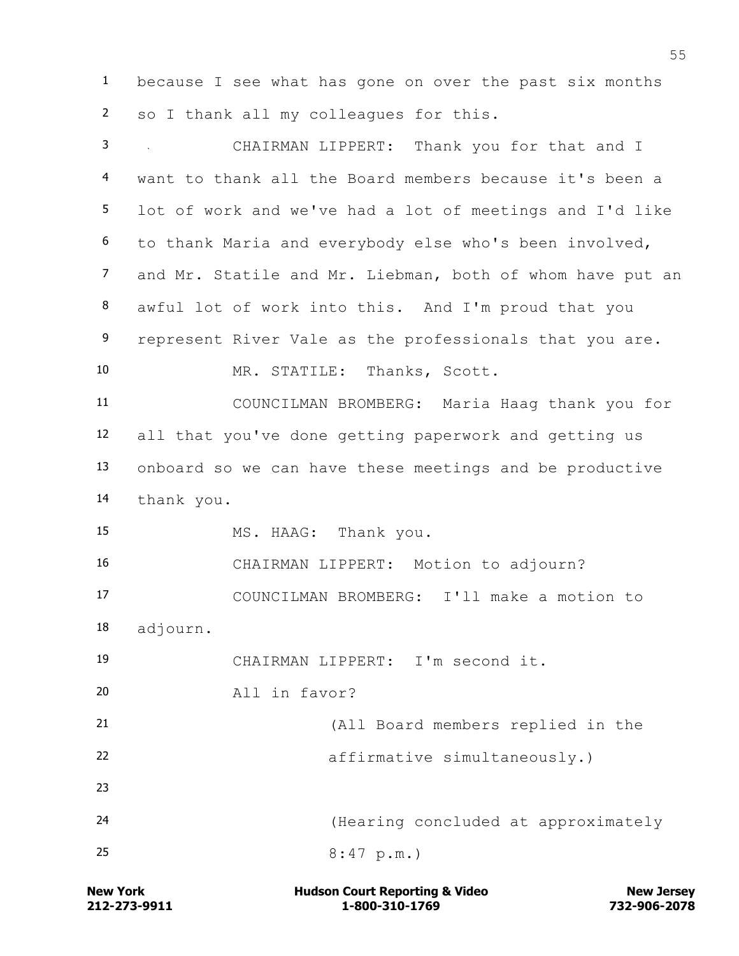because I see what has gone on over the past six months so I thank all my colleagues for this.

 CHAIRMAN LIPPERT: Thank you for that and I want to thank all the Board members because it's been a lot of work and we've had a lot of meetings and I'd like to thank Maria and everybody else who's been involved, and Mr. Statile and Mr. Liebman, both of whom have put an awful lot of work into this. And I'm proud that you 9 represent River Vale as the professionals that you are. MR. STATILE: Thanks, Scott. COUNCILMAN BROMBERG: Maria Haag thank you for all that you've done getting paperwork and getting us onboard so we can have these meetings and be productive thank you. MS. HAAG: Thank you. CHAIRMAN LIPPERT: Motion to adjourn? COUNCILMAN BROMBERG: I'll make a motion to adjourn. CHAIRMAN LIPPERT: I'm second it. All in favor? (All Board members replied in the affirmative simultaneously.) (Hearing concluded at approximately 25 8:47 p.m.)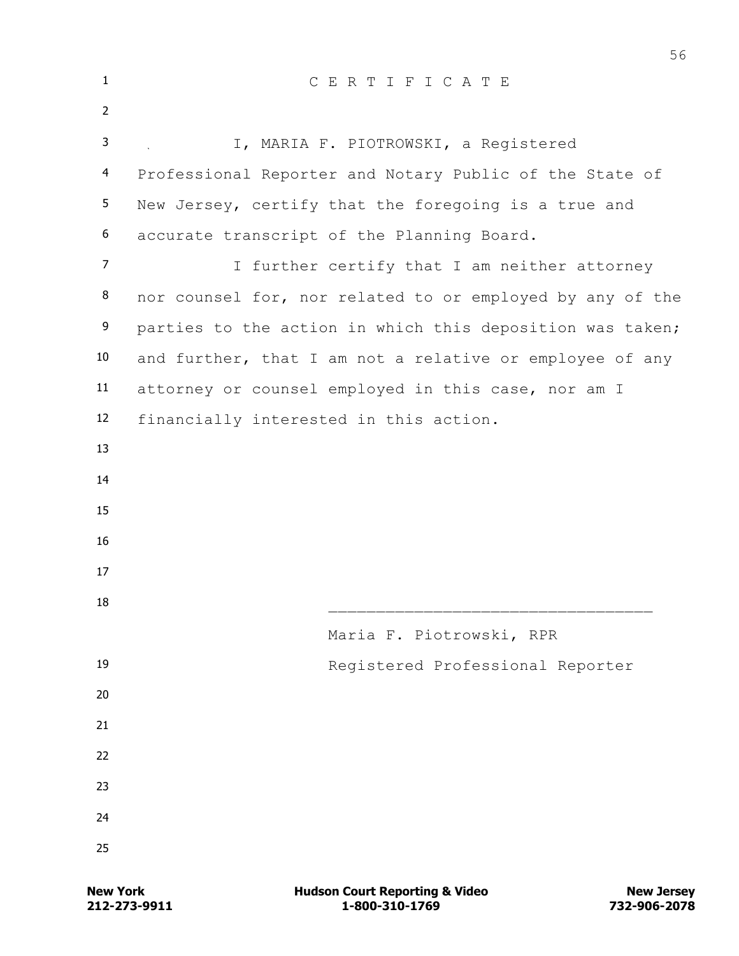| $\mathbf{1}$      | CERTIFICATE                                               |
|-------------------|-----------------------------------------------------------|
| $\overline{2}$    |                                                           |
| 3                 | I, MARIA F. PIOTROWSKI, a Registered                      |
| 4                 | Professional Reporter and Notary Public of the State of   |
| 5                 | New Jersey, certify that the foregoing is a true and      |
| 6                 | accurate transcript of the Planning Board.                |
| $\overline{7}$    | I further certify that I am neither attorney              |
| 8                 | nor counsel for, nor related to or employed by any of the |
| 9                 | parties to the action in which this deposition was taken; |
| 10                | and further, that I am not a relative or employee of any  |
| 11                | attorney or counsel employed in this case, nor am I       |
| $12 \overline{ }$ | financially interested in this action.                    |
| 13                |                                                           |
| 14                |                                                           |
| 15                |                                                           |
| 16                |                                                           |
| 17                |                                                           |
| 18                |                                                           |
|                   | Maria F. Piotrowski, RPR                                  |
| 19                | Registered Professional Reporter                          |
| 20                |                                                           |
| 21                |                                                           |
| 22                |                                                           |
| 23                |                                                           |
| 24                |                                                           |
| 25                |                                                           |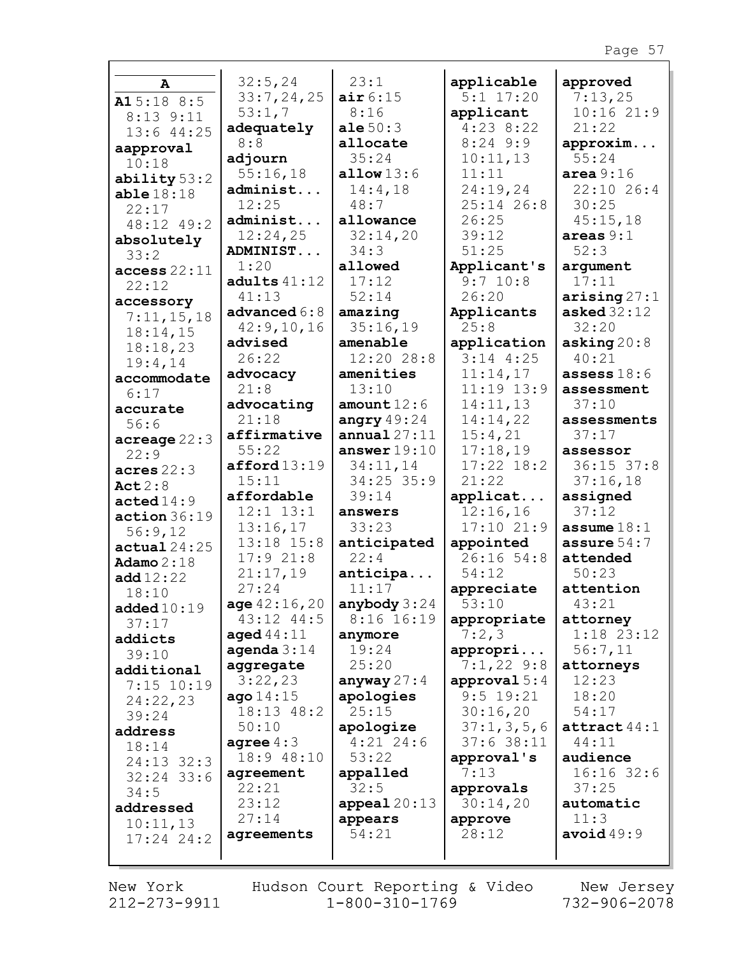| A                    | 32:5, 24       | 23:1           | applicable     | approved               |
|----------------------|----------------|----------------|----------------|------------------------|
| A15:188:5            | 33:7,24,25     | air 6:15       | $5:1$ 17:20    | 7:13,25                |
| 8:13 9:11            | 53:1,7         | 8:16           | applicant      | 10:1621:9              |
| $13:6$ 44:25         | adequately     | ale $50:3$     | $4:23$ 8:22    | 21:22                  |
| aapproval            | 8:8            | allocate       | $8:24$ 9:9     | approxim               |
| 10:18                | adjourn        | 35:24          | 10:11,13       | 55:24                  |
| ability $53:2$       | 55:16,18       | allow $13:6$   | 11:11          | area $9:16$            |
| able18:18            | administ       | 14:4,18        | 24:19,24       | 22:10 26:4             |
| 22:17                | 12:25          | 48:7           | 25:14 26:8     | 30:25                  |
| 48:12 49:2           | administ       | allowance      | 26:25          | 45:15,18               |
| absolutely           | 12:24,25       | 32:14,20       | 39:12          | areas $9:1$            |
| 33:2                 | ADMINIST       | 34:3           | 51:25          | 52:3                   |
| access 22:11         | 1:20           | allowed        | Applicant's    | argument               |
| 22:12                | adults $41:12$ | 17:12          | $9:7$ 10:8     | 17:11                  |
|                      | 41:13          | 52:14          | 26:20          | arising $27:1$         |
| accessory            | advanced $6:8$ | amazing        | Applicants     | asked $32:12$          |
| 7:11,15,18           | 42:9,10,16     | 35:16,19       | 25:8           | 32:20                  |
| 18:14,15             | advised        | amenable       | application    | asking $20:8$          |
| 18:18,23             | 26:22          | 12:20 28:8     | $3:14$ 4:25    | 40:21                  |
| 19:4,14              | advocacy       | amenities      | 11:14,17       | assess $18:6$          |
| accommodate          | 21:8           | 13:10          | $11:19$ $13:9$ | assessment             |
| 6:17                 | advocating     | amount $12:6$  | 14:11,13       | 37:10                  |
| accurate             | 21:18          | angry $49:24$  | 14:14,22       | assessments            |
| 56:6                 | affirmative    | annual $27:11$ | 15:4,21        | 37:17                  |
| acreage 22:3         | 55:22          | answer $19:10$ | 17:18,19       | assessor               |
| 22:9                 | afford13:19    | 34:11,14       | $17:22$ $18:2$ | $36:15$ $37:8$         |
| acres $22:3$         | 15:11          | $34:25$ 35:9   | 21:22          | 37:16,18               |
| Act $2:8$            | affordable     | 39:14          | applicat       | assigned               |
| $\texttt{acted14:9}$ | $12:1$ $13:1$  | answers        | 12:16,16       | 37:12                  |
| action36:19          | 13:16,17       | 33:23          | 17:1021:9      | assume $18:1$          |
| 56:9,12              | 13:18 15:8     | anticipated    | appointed      | assure $54:7$          |
| actual24:25          | 17:921:8       | 22:4           | $26:16$ 54:8   | attended               |
| Adamo $2:18$         | 21:17,19       | anticipa       | 54:12          | 50:23                  |
| add 12:22            | 27:24          | 11:17          | appreciate     | attention              |
| 18:10                | age $42:16,20$ | anybody $3:24$ | 53:10          | 43:21                  |
| added $10:19$        | 43:12 44:5     | $8:16$ 16:19   | appropriate    | attorney               |
| 37:17                | aged $44:11$   | anymore        | 7:2,3          | $1:18$ 23:12           |
| addicts              | agenda $3:14$  | 19:24          | appropri       | 56:7,11                |
| 39:10                | aggregate      | 25:20          | $7:1,22$ 9:8   | attorneys              |
| additional           | 3:22,23        | anyway $27:4$  | approval $5:4$ | 12:23                  |
| $7:15$ 10:19         | ago14:15       | apologies      | $9:5$ 19:21    | 18:20                  |
| 24:22,23             | 18:13 48:2     | 25:15          | 30:16,20       | 54:17                  |
| 39:24                | 50:10          | apologize      | 37:1, 3, 5, 6  | $\texttt{attract}44:1$ |
| address              | agree $4:3$    | $4:21$ 24:6    | $37:6$ 38:11   | 44:11                  |
| 18:14                | 18:9 48:10     | 53:22          | approval's     | audience               |
| 24:13 32:3           | agreement      | appalled       | 7:13           | $16:16$ 32:6           |
| $32:24$ 33:6         | 22:21          | 32:5           | approvals      | 37:25                  |
| 34:5                 | 23:12          | $append120:13$ | 30:14,20       | automatic              |
| addressed            | 27:14          | appears        | approve        | 11:3                   |
| 10:11,13             | agreements     | 54:21          | 28:12          | avoid $49:9$           |
| $17:24$ $24:2$       |                |                |                |                        |
|                      |                |                |                |                        |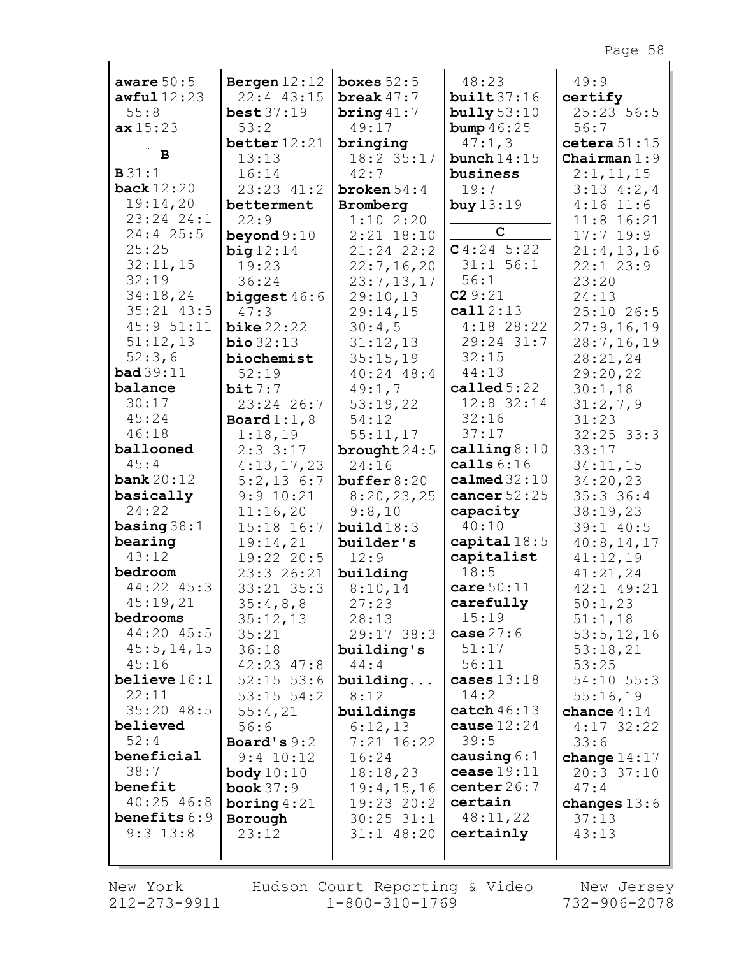| aware $50:5$                 | Bergen $12:12$               | boxes $52:5$      | 48:23                  | 49:9               |
|------------------------------|------------------------------|-------------------|------------------------|--------------------|
| awful12:23                   | 22:4 43:15                   | break $47:7$      | built37:16             | certify            |
| 55:8                         | best $37:19$                 | bring $41:7$      | bully $53:10$          | 25:23 56:5         |
| ax15:23                      | 53:2                         | 49:17             | bump $46:25$           | 56:7               |
|                              | better $12:21$               | bringing          | 47:1,3                 | cetera $51:15$     |
| в                            | 13:13                        | 18:2 35:17        | bunch $14:15$          | Chairman $1:9$     |
| B31:1                        | 16:14                        | 42:7              | business               | 2:1,11,15          |
| <b>back</b> 12:20            | 23:23 41:2                   | broken $54:4$     | 19:7                   | $3:13 \quad 4:2,4$ |
| 19:14,20                     | betterment                   | Bromberg          | buy $13:19$            | $4:16$ 11:6        |
| 23:24 24:1                   | 22:9                         | 1:102:20          |                        | $11:8$ 16:21       |
| 24:4 25:5                    | beyond $9:10$                | $2:21$ 18:10      | $\mathbf C$            | $17:7$ 19:9        |
| 25:25                        | big12:14                     | $21:24$ $22:2$    | C4:245:22              | 21:4,13,16         |
| 32:11,15                     | 19:23                        | 22:7, 16, 20      | 31:1 56:1              | $22:1$ $23:9$      |
| 32:19                        | 36:24                        | 23:7,13,17        | 56:1                   | 23:20              |
| 34:18,24                     | biggest $46:6$               | 29:10,13          | C29:21                 | 24:13              |
| $35:21$ $43:5$               | 47:3                         | 29:14,15          | cal12:13               | 25:10 26:5         |
| 45:9 51:11                   | $\text{bike } 22:22$         | 30:4,5            | $4:18$ 28:22           | 27:9,16,19         |
| 51:12,13                     | bio 32:13                    | 31:12,13          | 29:24 31:7             | 28:7, 16, 19       |
| 52:3,6                       | biochemist                   | 35:15,19          | 32:15                  | 28:21,24           |
| bad39:11<br>balance          | 52:19<br>bit7:7              | $40:24$ $48:4$    | 44:13<br>called $5:22$ | 29:20,22           |
| 30:17                        |                              | 49:1,7            | 12:8 32:14             | 30:1,18            |
| 45:24                        | 23:24 26:7<br>Board $1:1, 8$ | 53:19,22<br>54:12 | 32:16                  | 31:2,7,9<br>31:23  |
| 46:18                        | 1:18,19                      | 55:11,17          | 37:17                  | $32:25$ $33:3$     |
| ballooned                    | $2:3$ 3:17                   | brought $24:5$    | calling $8:10$         | 33:17              |
| 45:4                         | 4:13,17,23                   | 24:16             | calls $6:16$           | 34:11,15           |
| bank $20:12$                 | $5:2,13$ 6:7                 | buffer $8:20$     | cal32:10               | 34:20,23           |
| basically                    | 9:9 10:21                    | 8:20,23,25        | cancer $52:25$         | 35:336:4           |
| 24:22                        | 11:16,20                     | 9:8,10            | capacity               | 38:19,23           |
| basing $38:1$                | 15:18 16:7                   | build18:3         | 40:10                  | 39:1 40:5          |
| bearing                      | 19:14,21                     | builder's         | capital $18:5$         | 40:8, 14, 17       |
| 43:12                        | 19:22 20:5                   | 12:9              | capitalist             | 41:12,19           |
| bedroom                      | 23:3 26:21                   | building          | 18:5                   | 41:21,24           |
| 44:22 45:3                   | 33:21 35:3                   | 8:10,14           | care $50:11$           | 42:1 49:21         |
| 45:19,21                     | 35:4,8,8                     | 27:23             | carefully              | 50:1,23            |
| bedrooms                     | 35:12,13                     | 28:13             | 15:19                  | 51:1,18            |
| 44:20 45:5                   | 35:21                        | 29:17 38:3        | case $27:6$            | 53:5, 12, 16       |
| 45:5, 14, 15                 | 36:18                        | building's        | 51:17                  | 53:18,21           |
| 45:16                        | $42:23$ $47:8$               | 44:4              | 56:11                  | 53:25              |
| believe $16:1$               | $52:15$ 53:6                 | building          | cases $13:18$          | 54:10 55:3         |
| 22:11                        | $53:15$ $54:2$               | 8:12              | 14:2                   | 55:16,19           |
| $35:20$ 48:5                 | 55:4,21                      | buildings         | catch $46:13$          | chance $4:14$      |
| believed                     | 56:6                         | 6:12,13           | cause $12:24$          | $4:17$ 32:22       |
| 52:4                         | Board's $9:2$                | $7:21$ 16:22      | 39:5                   | 33:6               |
| beneficial                   | $9:4$ 10:12                  | 16:24             | causing $6:1$          | change $14:17$     |
| 38:7                         | body $10:10$                 | 18:18,23          | cease 19:11            | $20:3$ 37:10       |
| benefit                      | book $37:9$                  | 19:4,15,16        | center $26:7$          | 47:4               |
| $40:25$ $46:8$               | boring $4:21$                | 19:23 20:2        | certain                | changes $13:6$     |
| benefits $6:9$<br>$9:3$ 13:8 | Borough                      | $30:25$ $31:1$    | 48:11,22               | 37:13              |
|                              | 23:12                        | $31:1$ 48:20      | certainly              | 43:13              |
|                              |                              |                   |                        |                    |

Г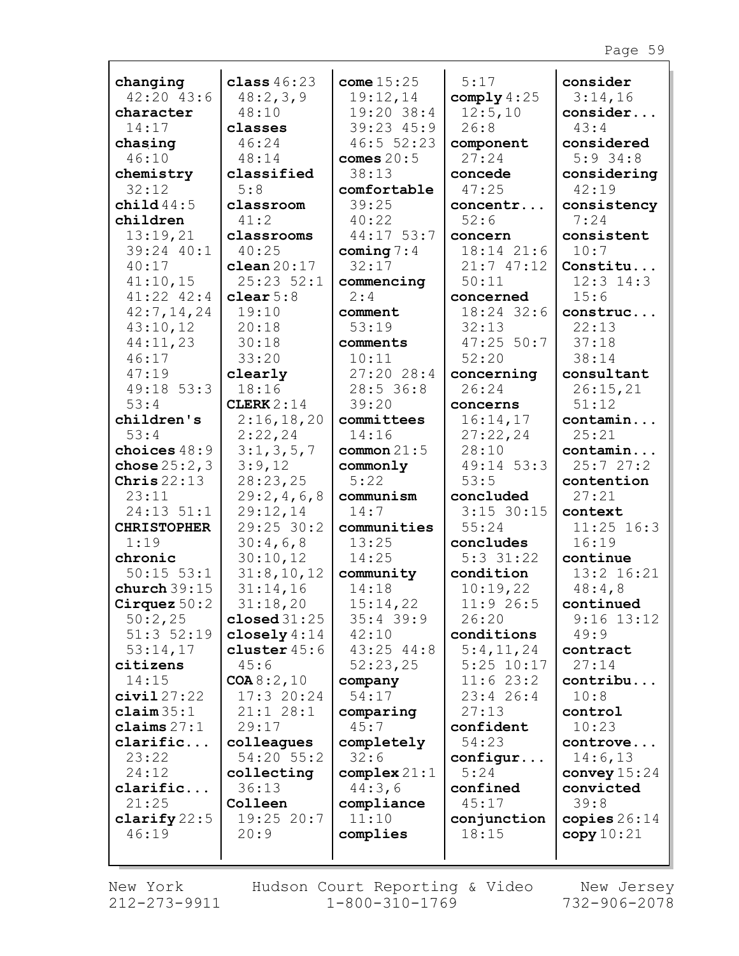| changing                        | class $46:23$          | come $15:25$      | 5:17               | consider            |
|---------------------------------|------------------------|-------------------|--------------------|---------------------|
| $42:20$ $43:6$                  | 48:2,3,9               | 19:12,14          | comply $4:25$      | 3:14,16             |
| character                       | 48:10                  | 19:20 38:4        | 12:5,10            | consider            |
| 14:17                           | classes                | 39:23 45:9        | 26:8               | 43:4                |
| chasing                         | 46:24                  | 46:552:23         | component          | considered          |
| 46:10                           | 48:14                  | comes $20:5$      | 27:24              | $5:9$ 34:8          |
| chemistry                       | classified             | 38:13             | concede            | considering         |
| 32:12                           | 5:8                    | comfortable       | 47:25              | 42:19               |
| child $44:5$                    | classroom              | 39:25             | concentr           | consistency         |
| children                        | 41:2                   | 40:22             | 52:6               | 7:24                |
| 13:19,21                        | classrooms             | $44:17$ 53:7      | concern            | consistent          |
| 39:24 40:1                      | 40:25                  | coming $7:4$      | 18:14 21:6         | 10:7                |
| 40:17                           | clean20:17             | 32:17             | 21:747:12          | Constitu            |
| 41:10,15                        | $25:23$ $52:1$         | commencing        | 50:11              | $12:3$ $14:3$       |
| $41:22$ $42:4$                  | clear $5:8$            | 2:4               | concerned          | 15:6                |
| 42:7, 14, 24                    | 19:10                  | comment           | 18:24 32:6         | construc            |
| 43:10,12                        | 20:18                  | 53:19             | 32:13              | 22:13               |
| 44:11,23                        | 30:18                  | comments          | $47:25$ 50:7       | 37:18               |
| 46:17                           | 33:20                  | 10:11             | 52:20              | 38:14               |
| 47:19                           | clearly                | 27:2028:4         | concerning         | consultant          |
| 49:18 53:3                      | 18:16                  | 28:536:8          | 26:24              | 26:15,21            |
| 53:4                            | CLERK $2:14$           | 39:20             | concerns           | 51:12               |
| children's                      | 2:16,18,20             | committees        | 16:14,17           | contamin            |
| 53:4                            | 2:22,24                | 14:16             | 27:22,24           | 25:21               |
| choices $48:9$                  | 3:1,3,5,7              | common $21:5$     | 28:10              | contamin            |
| chose $25:2,3$<br>Chris $22:13$ | 3:9,12                 | commonly<br>5:22  | 49:14 53:3<br>53:5 | 25:727:2            |
| 23:11                           | 28:23,25               |                   | concluded          | contention<br>27:21 |
| 24:13 51:1                      | 29:2,4,6,8<br>29:12,14 | communism<br>14:7 | $3:15$ 30:15       | context             |
| <b>CHRISTOPHER</b>              | 29:25 30:2             | communities       | 55:24              | $11:25$ 16:3        |
| 1:19                            | 30:4,6,8               | 13:25             | concludes          | 16:19               |
| chronic                         | 30:10,12               | 14:25             | $5:3$ 31:22        | continue            |
| $50:15$ $53:1$                  | 31:8,10,12             | community         | condition          | 13:2 16:21          |
| church $39:15$                  | 31:14,16               | 14:18             | 10:19,22           | 48:4,8              |
| Cirquez $50:2$                  | 31:18,20               | 15:14,22          | 11:9 26:5          | continued           |
| 50:2,25                         | closed $31:25$         | $35:4$ 39:9       | 26:20              | $9:16$ 13:12        |
| $51:3$ $52:19$                  | closely $4:14$         | 42:10             | conditions         | 49:9                |
| 53:14,17                        | cluster $45:6$         | $43:25$ $44:8$    | 5:4,11,24          | contract            |
| citizens                        | 45:6                   | 52:23,25          | $5:25$ 10:17       | 27:14               |
| 14:15                           | COA 8:2,10             | company           | 11:623:2           | contribu            |
| civial27:22                     | 17:320:24              | 54:17             | $23:4$ 26:4        | 10:8                |
| $\texttt{claim} 35:1$           | $21:1$ $28:1$          | comparing         | 27:13              | control             |
| claims $27:1$                   | 29:17                  | 45:7              | confident          | 10:23               |
| clarific                        | colleagues             | completely        | 54:23              | controve            |
| 23:22                           | 54:20 55:2             | 32:6              | configur           | 14:6,13             |
| 24:12                           | collecting             | complex21:1       | 5:24               | convey $15:24$      |
| clarific                        | 36:13                  | 44:3,6            | confined           | convicted           |
| 21:25                           | Colleen                | compliance        | 45:17              | 39:8                |
| clarify $22:5$                  | 19:25 20:7             | 11:10             | conjunction        | copies $26:14$      |
| 46:19                           | 20:9                   | complies          | 18:15              | copy 10:21          |
|                                 |                        |                   |                    |                     |

Г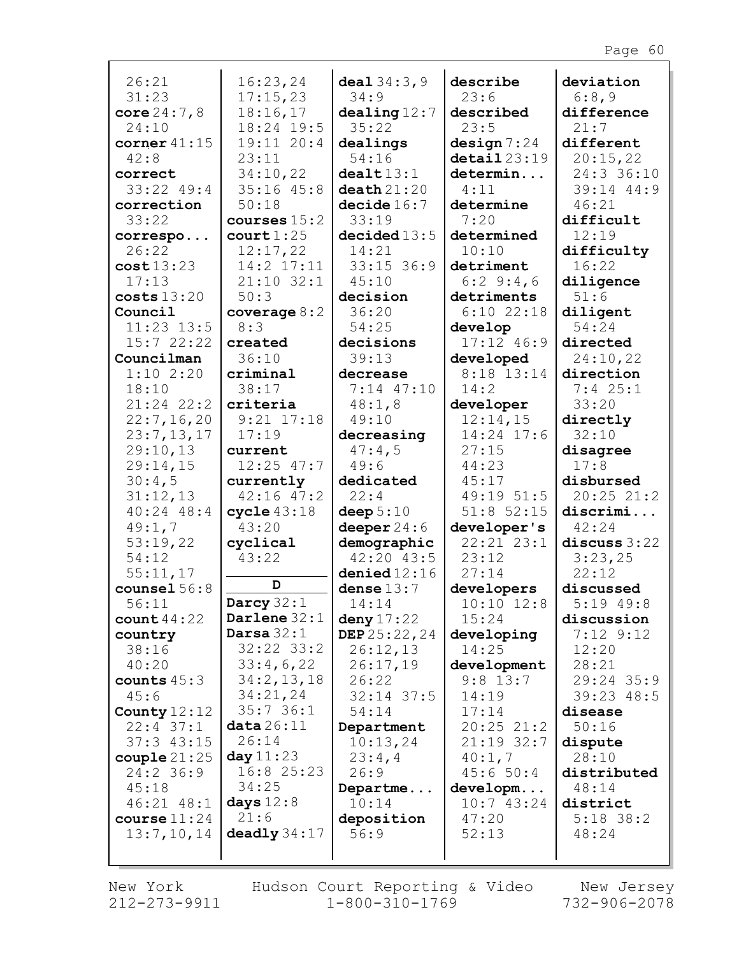| 26:21                    | 16:23,24             | deal $34:3,9$                | describe                    | deviation         |
|--------------------------|----------------------|------------------------------|-----------------------------|-------------------|
| 31:23                    | 17:15,23             | 34:9                         | 23:6                        | 6:8,9             |
| core $24:7,8$            | 18:16,17             | dealing12:7                  | described                   | difference        |
| 24:10                    | 18:24 19:5           | 35:22                        | 23:5                        | 21:7              |
| corner $41:15$           | 19:11 20:4           | dealings                     | design 7:24                 | different         |
| 42:8                     | 23:11                | 54:16                        | $\texttt{detail} 23:19$     | 20:15,22          |
| correct                  | 34:10,22             | dealt13:1                    | determin                    | 24:3 36:10        |
| $33:22$ 49:4             | $35:16$ $45:8$       | death21:20                   | 4:11                        | 39:14 44:9        |
| correction               | 50:18                | decide 16:7                  | determine                   | 46:21             |
| 33:22                    | courses $15:2$       | 33:19                        | 7:20                        | difficult         |
| correspo                 | court 1:25           | decided13:5                  | determined                  | 12:19             |
| 26:22                    | 12:17,22             | 14:21                        | 10:10                       | difficulty        |
| cost13:23                | 14:2 17:11           | $33:15$ 36:9                 | detriment                   | 16:22             |
| 17:13                    | $21:10$ 32:1         | 45:10                        | 6:29:4,6                    | diligence         |
| costs 13:20              | 50:3                 | decision                     | detriments                  | 51:6              |
| Council                  | coverage $8:2$       | 36:20                        | $6:10$ 22:18                | diligent          |
| $11:23$ $13:5$           | 8:3                  | 54:25                        | develop                     | 54:24             |
| 15:722:22                | created              | decisions                    | 17:12 46:9                  | directed          |
| Councilman               | 36:10                | 39:13                        | developed                   | 24:10,22          |
| 1:102:20                 | $c$ riminal          | decrease                     | 8:18 13:14                  | direction         |
| 18:10                    | 38:17                | 7:14 47:10                   | 14:2                        | $7:4$ 25:1        |
| $21:24$ $22:2$           | criteria             | 48:1,8                       | developer                   | 33:20             |
| 22:7, 16, 20             | $9:21$ $17:18$       | 49:10                        | 12:14,15                    | directly          |
| 23:7,13,17               | 17:19                | decreasing                   | 14:24 17:6                  | 32:10             |
| 29:10,13                 | current              | 47:4,5                       | 27:15                       | disagree          |
| 29:14,15                 | $12:25$ 47:7         | 49:6                         | 44:23                       | 17:8              |
| 30:4,5                   | currently            | dedicated                    | 45:17                       | disbursed         |
| 31:12,13                 | $42:16$ $47:2$       | 22:4                         | 49:19 51:5                  | 20:2521:2         |
| $40:24$ $48:4$           | cycle 43:18<br>43:20 | deep $5:10$<br>deeper $24:6$ | $51:8$ 52:15<br>developer's | discrimi<br>42:24 |
| 49:1,7<br>53:19,22       | cyclical             | demographic                  | 22:21 23:1                  | discuss $3:22$    |
| 54:12                    | 43:22                | $42:20$ $43:5$               | 23:12                       | 3:23,25           |
| 55:11,17                 |                      | denied12:16                  | 27:14                       | 22:12             |
| counsel $56:8$           | D                    | dense $13:7$                 | developers                  | discussed         |
| 56:11                    | Darcy $32:1$         | 14:14                        | $10:10$ $12:8$              | $5:19$ 49:8       |
| count $44:22$            | Darlene $32:1$       | deny $17:22$                 | 15:24                       | discussion        |
| country                  | Darsa $32:1$         | DEP 25:22, 24                | developing                  | $7:12$ 9:12       |
| 38:16                    | $32:22$ $33:2$       | 26:12,13                     | 14:25                       | 12:20             |
| 40:20                    | 33:4,6,22            | 26:17,19                     | development                 | 28:21             |
| counts $45:3$            | 34:2,13,18           | 26:22                        | $9:8$ 13:7                  | 29:24 35:9        |
| 45:6                     | 34:21,24             | $32:14$ 37:5                 | 14:19                       | 39:23 48:5        |
| County $12:12$           | 35:736:1             | 54:14                        | 17:14                       | disease           |
| $22:4$ 37:1              | data26:11            | Department                   | $20:25$ $21:2$              | 50:16             |
| $37:3$ 43:15             | 26:14                | 10:13,24                     | $21:19$ 32:7                | dispute           |
| $\texttt{couple}\,21:25$ | day 11:23            | 23:4,4                       | 40:1,7                      | 28:10             |
| $24:2$ 36:9              | 16:8 25:23           | 26:9                         | 45:650:4                    | distributed       |
| 45:18                    | 34:25                | Departme                     | developm                    | 48:14             |
| $46:21$ $48:1$           | days $12:8$          | 10:14                        | 10:743:24                   | district          |
| course $11:24$           | 21:6                 | deposition                   | 47:20                       | $5:18$ 38:2       |
| 13:7,10,14               | $\bf{deadly}$ 34:17  | 56:9                         | 52:13                       | 48:24             |
|                          |                      |                              |                             |                   |

 $\Gamma$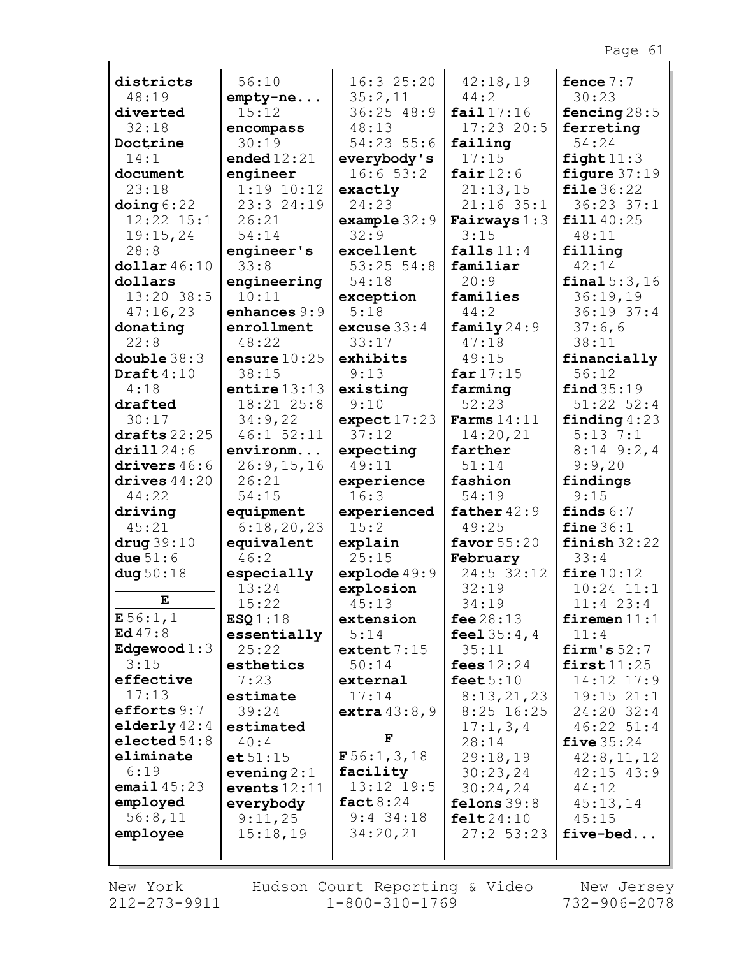|                               | 56:10               | 16:325:20                      | 42:18,19               | fence $7:7$            |
|-------------------------------|---------------------|--------------------------------|------------------------|------------------------|
| districts<br>48:19            | $empty-ne$          | 35:2,11                        | 44:2                   | 30:23                  |
| diverted                      | 15:12               | $36:25$ 48:9                   | fail 17:16             | fencing $28:5$         |
| 32:18                         | encompass           | 48:13                          | $17:23$ 20:5           | ferreting              |
| Doctrine                      | 30:19               | 54:23 55:6                     | failing                | 54:24                  |
| 14:1                          | ended $12:21$       | everybody's                    | 17:15                  | $light11:3$            |
| document                      | engineer            | 16:653:2                       | fair $12:6$            | figure $37:19$         |
| 23:18                         | $1:19$ $10:12$      | exactly                        | 21:13,15               | file 36:22             |
| $\phi$ ing 6:22               | 23:3 24:19          | 24:23                          | $21:16$ 35:1           | $36:23$ $37:1$         |
| $12:22$ $15:1$                | 26:21               | example $32:9$                 | Fairways $1:3$         | fill 40:25             |
| 19:15,24                      | 54:14               | 32:9                           | 3:15                   | 48:11                  |
| 28:8                          | engineer's          | excellent                      | falls $11:4$           | filling                |
| $\text{dollar}\,46\colon\!10$ | 33:8                | $53:25$ $54:8$                 | familiar               | 42:14                  |
| dollars                       | engineering         | 54:18                          | 20:9                   | final 5:3,16           |
| 13:20 38:5                    | 10:11               | exception                      | families               | 36:19,19               |
| 47:16,23                      | enhances 9:9        | 5:18                           | 44:2                   | 36:19 37:4             |
| donating                      | enrollment          | excuse $33:4$                  | family $24:9$          | 37:6,6                 |
| 22:8                          | 48:22               | 33:17                          | 47:18                  | 38:11                  |
| double $38:3$                 | ensure $10:25$      | exhibits                       | 49:15                  | financially            |
| Draft $4:10$                  | 38:15               | 9:13                           | far $17:15$            | 56:12                  |
| 4:18                          | entire $13:13$      | existing                       | farming                | find 35:19             |
| drafted                       | 18:21 25:8          | 9:10                           | 52:23                  | $51:22$ $52:4$         |
| 30:17                         | 34:9,22             | expect17:23                    | Farms $14:11$          | finding $4:23$         |
| drafts $22:25$                | $46:1$ 52:11        | 37:12                          | 14:20,21               | $5:13$ 7:1             |
| drill24:6<br>drivers $46:6$   | environm            | expecting<br>49:11             | farther<br>51:14       | $8:14$ 9:2,4<br>9:9,20 |
| drives $44:20$                | 26:9,15,16<br>26:21 | experience                     | fashion                | findings               |
| 44:22                         | 54:15               | 16:3                           | 54:19                  | 9:15                   |
| driving                       | equipment           | experienced                    | father $42:9$          | finds $6:7$            |
| 45:21                         | 6:18,20,23          | 15:2                           | 49:25                  | fine $36:1$            |
| $\arg 39:10$                  | equivalent          |                                |                        |                        |
|                               |                     |                                |                        |                        |
|                               | 46:2                | explain<br>25:15               | favor $55:20$          | finish $32:22$<br>33:4 |
| due $51:6$<br>dug $50:18$     | especially          |                                | February<br>24:5 32:12 | fire $10:12$           |
|                               | 13:24               | $exp$ lode $49:9$<br>explosion | 32:19                  | $10:24$ $11:1$         |
| E                             | 15:22               | 45:13                          | 34:19                  | $11:4$ 23:4            |
| E56:1,1                       | ESQ1:18             | extension                      | fee $28:13$            | firemen $11:1$         |
| Ed $47:8$                     | essentially         | 5:14                           | feel $35:4,4$          | 11:4                   |
| Edgewood $1:3$                | 25:22               | extent $7:15$                  | 35:11                  | firm's $52:7$          |
| 3:15                          | esthetics           | 50:14                          | fees $12:24$           | first11:25             |
| effective                     | 7:23                | external                       | feet $5:10$            | 14:12 17:9             |
| 17:13                         | estimate            | 17:14                          | 8:13,21,23             | 19:15 21:1             |
| efforts $9:7$                 | 39:24               | extra $43:8,9$                 | $8:25$ 16:25           | 24:20 32:4             |
| elderly $42:4$                | estimated           |                                | 17:1,3,4               | $46:22$ $51:4$         |
| elected $54:8$                | 40:4                | F                              | 28:14                  | five $35:24$           |
| eliminate                     | $e$ t 51:15         | F56:1, 3, 18                   | 29:18,19               | 42:8,11,12             |
| 6:19                          | evening $2:1$       | facility                       | 30:23,24               | $42:15$ $43:9$         |
| email $45:23$                 | events $12:11$      | 13:12 19:5                     | 30:24,24               | 44:12                  |
| employed                      | everybody           | fact $8:24$                    | felons $39:8$          | 45:13,14               |
| 56:8,11                       | 9:11,25             | $9:4$ 34:18                    | $\texttt{felt24:10}$   | 45:15                  |
| employee                      | 15:18,19            | 34:20,21                       | $27:2$ 53:23           | five-bed               |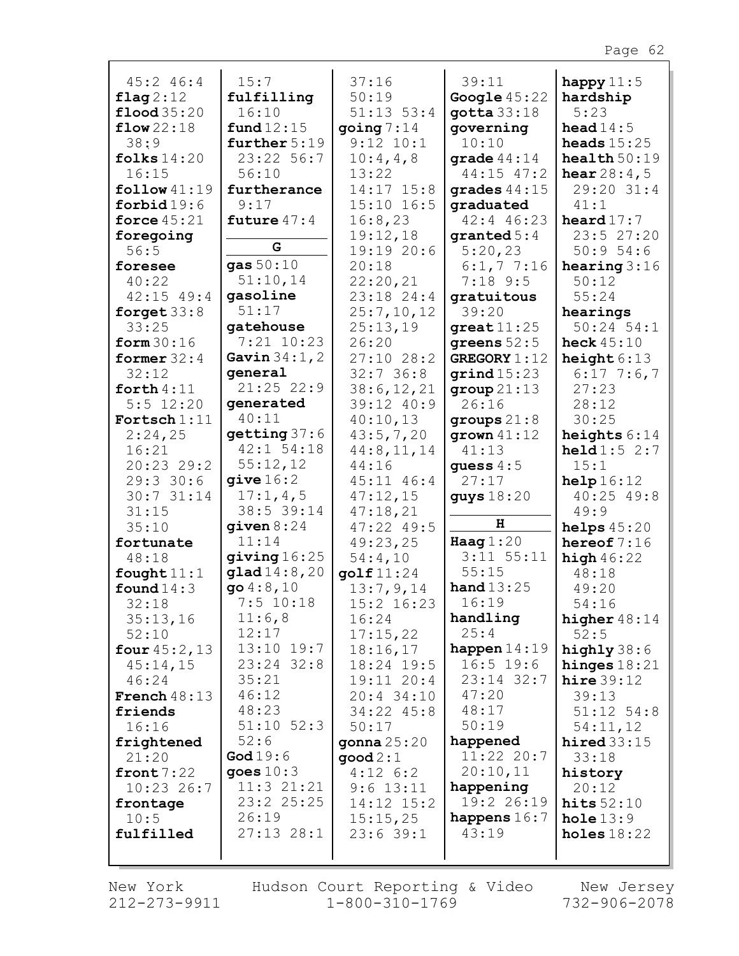| 45:246:4                    | 15:7                         | 37:16                      | 39:11                   | happy $11:5$          |
|-----------------------------|------------------------------|----------------------------|-------------------------|-----------------------|
| flag $2:12$                 | fulfilling                   | 50:19                      | Google $45:22$          | hardship              |
| $\text{flood } 35:20$       | 16:10                        | $51:13$ $53:4$             | $q$ otta $33:18$        | 5:23                  |
| flow22:18                   | fund $12:15$                 | $\gamma$ ing 7:14          | governing               | head $14:5$           |
| 38:9                        | further $5:19$               | $9:12$ $10:1$              | 10:10                   | heads $15:25$         |
| folks $14:20$               | 23:22 56:7                   | 10:4,4,8                   | grade $44:14$           | health $50:19$        |
| 16:15                       | 56:10                        | 13:22                      | 44:15 47:2              | <b>hear</b> $28:4,5$  |
| follow 41:19                | furtherance                  | 14:17 15:8                 | grades $44:15$          | 29:20 31:4            |
| forbid $19:6$               | 9:17                         | $15:10$ $16:5$             | graduated               | 41:1                  |
| force $45:21$               | future $47:4$                | 16:8,23                    | $42:4$ 46:23            | heard $17:7$          |
| foregoing                   |                              | 19:12,18                   | $\texttt{granted 5:4}$  | 23:5 27:20            |
| 56:5                        | G                            | 19:19 20:6                 | 5:20,23                 | 50:954:6              |
| foresee                     | gas $50:10$                  | 20:18                      | $6:1,7$ 7:16            | hearing $3:16$        |
| 40:22                       | 51:10,14                     | 22:20,21                   | $7:18$ 9:5              | 50:12                 |
| $42:15$ $49:4$              | gasoline                     | 23:18 24:4                 | gratuitous              | 55:24                 |
| forget $33:8$               | 51:17                        | 25:7,10,12                 | 39:20                   | hearings              |
| 33:25                       | gatehouse                    | 25:13,19                   | $great11:25$            | $50:24$ $54:1$        |
| form $30:16$                | $7:21$ 10:23                 | 26:20                      | greens $52:5$           | heck $45:10$          |
| former $32:4$               | Gavin $34:1, 2$              | $27:10$ 28:2               | <b>GREGORY 1:12</b>     | height $6:13$         |
| 32:12                       | qeneral<br>$21:25$ 22:9      | 32:736:8                   | $\sigma$ rind $15:23$   | $6:17$ 7:6,7<br>27:23 |
| forth $4:11$<br>$5:5$ 12:20 | generated                    | 38:6, 12, 21<br>39:12 40:9 | group 21:13<br>26:16    | 28:12                 |
| Fortsch $1:11$              | 40:11                        | 40:10,13                   | groups $21:8$           | 30:25                 |
| 2:24,25                     | getting 37:6                 | 43:5,7,20                  | grown $41:12$           | heights $6:14$        |
| 16:21                       | $42:1$ 54:18                 | 44:8, 11, 14               | 41:13                   | $\text{held} 1:5 2:7$ |
| 20:23 29:2                  | 55:12,12                     | 44:16                      | guess $4:5$             | 15:1                  |
| 29:330:6                    | give 16:2                    | 45:11 46:4                 | 27:17                   | help16:12             |
| 30:731:14                   | 17:1,4,5                     | 47:12,15                   | guys $18:20$            | $40:25$ $49:8$        |
| 31:15                       | 38:5 39:14                   | 47:18,21                   |                         | 49:9                  |
| 35:10                       | given $8:24$                 | 47:22 49:5                 | н                       | helps $45:20$         |
| fortunate                   | 11:14                        | 49:23,25                   | Haag $1:20$             | hereof $7:16$         |
| 48:18                       | giving 16:25                 | 54:4,10                    | $3:11$ $55:11$          | high $46:22$          |
| fought $11:1$               | glad14:8,20                  | golf $11:24$               | 55:15                   | 48:18                 |
| found $14:3$                | $go\ 4:8,10$                 | 13:7,9,14                  | hand $13:25$            | 49:20                 |
| 32:18                       | $7:5$ 10:18                  | 15:2 16:23                 | 16:19                   | 54:16                 |
| 35:13,16                    | 11:6,8                       | 16:24                      | handling                | higher $48:14$        |
| 52:10                       | 12:17                        | 17:15,22                   | 25:4                    | 52:5                  |
| four $45:2, 13$             | $13:10$ $19:7$               | 18:16,17                   | happen $14:19$          | highly $38:6$         |
| 45:14,15                    | 23:24 32:8                   | 18:24 19:5                 | $16:5$ 19:6             | hinges $18:21$        |
| 46:24                       | 35:21                        | 19:11 20:4                 | 23:14 32:7              | hire $39:12$          |
| <b>French</b> $48:13$       | 46:12                        | $20:4$ 34:10               | 47:20                   | 39:13                 |
| friends                     | 48:23                        | 34:22 45:8                 | 48:17                   | $51:12$ $54:8$        |
| 16:16                       | $51:10$ $52:3$               | 50:17                      | 50:19                   | 54:11,12              |
| frightened                  | 52:6                         | gonna $25:20$              | happened                | hired $33:15$         |
| 21:20                       | God $19:6$                   | $\mathsf{good}\,2:1$       | 11:22 20:7              | 33:18                 |
| front $7:22$                | goes $10:3$                  | $4:12 \quad 6:2$           | 20:10,11                | history               |
| $10:23$ 26:7                | $11:3$ $21:21$<br>23:2 25:25 | $9:6$ 13:11                | happening               | 20:12                 |
| frontage                    | 26:19                        | 14:12 15:2                 | 19:2 26:19              | hits $52:10$          |
| 10:5<br>fulfilled           | $27:13$ $28:1$               | 15:15,25                   | happens $16:7$<br>43:19 | hole $13:9$           |
|                             |                              | 23:639:1                   |                         | holes $18:22$         |
|                             |                              |                            |                         |                       |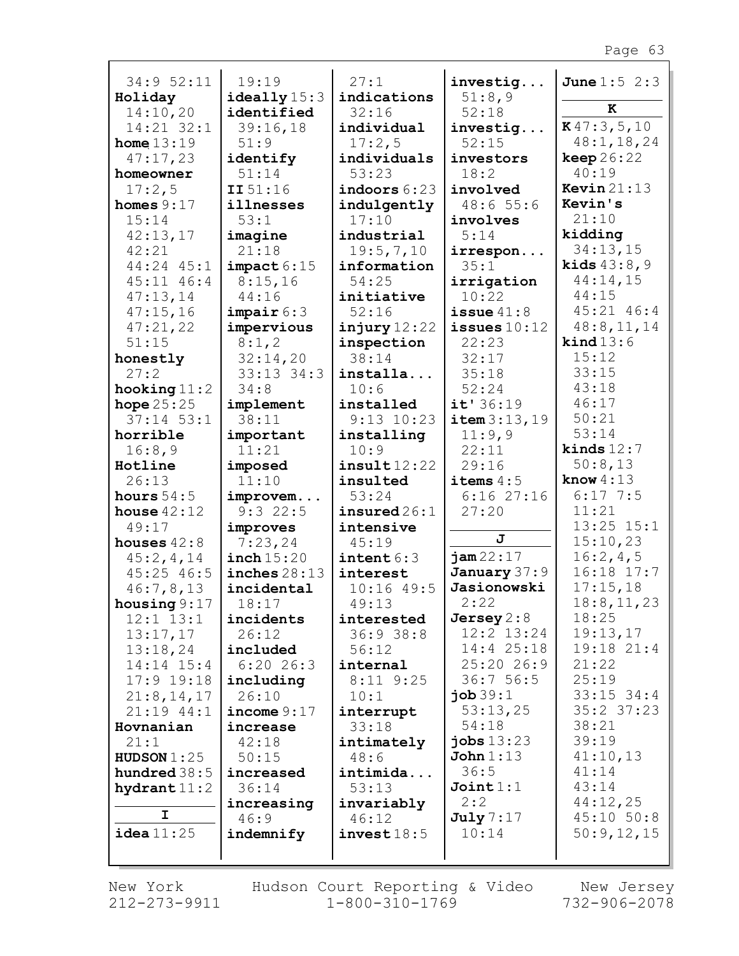| 34:9 52:11      | 19:19                 | 27:1                         | investig           | <b>June</b> $1:5$ $2:3$ |
|-----------------|-----------------------|------------------------------|--------------------|-------------------------|
| Holiday         | $i$ deally $15:3$     | indications                  | 51:8,9             |                         |
| 14:10,20        | identified            | 32:16                        | 52:18              | ĸ                       |
| 14:21 32:1      | 39:16,18              | individual                   | investig           | K47:3,5,10              |
| home $13:19$    | 51:9                  | 17:2,5                       | 52:15              | 48:1, 18, 24            |
| 47:17,23        | identify              | individuals                  | investors          | keep 26:22              |
| homeowner       | 51:14                 | 53:23                        | 18:2               | 40:19                   |
| 17:2,5          | II 51:16              | $i$ ndoors $6:23$            | involved           | Kevin $21:13$           |
| homes $9:17$    | illnesses             | indulgently                  | 48:655:6           | Kevin's                 |
| 15:14           | 53:1                  | 17:10                        | involves           | 21:10                   |
| 42:13,17        | imagine               | industrial                   | 5:14               | kidding                 |
| 42:21           | 21:18                 | 19:5,7,10                    | irrespon           | 34:13,15                |
| 44:24 45:1      | impact 6:15           | information                  | 35:1               | <b>kids</b> $43:8,9$    |
| $45:11$ $46:4$  | 8:15,16               | 54:25                        | irrigation         | 44:14,15                |
| 47:13,14        | 44:16                 | initiative                   | 10:22              | 44:15                   |
| 47:15,16        | impair 6:3            | 52:16                        | issue $41:8$       | 45:21 46:4              |
| 47:21,22        | impervious            | injury 12:22                 | issues $10:12$     | 48:8,11,14              |
| 51:15           | 8:1,2                 | inspection                   | 22:23              | $\text{kind} 13:6$      |
| honestly        | 32:14,20              | 38:14                        | 32:17              | 15:12                   |
| 27:2            | 33:13 34:3            | installa                     | 35:18              | 33:15                   |
| hooking $11:2$  | 34:8                  | 10:6                         | 52:24              | 43:18                   |
| hope $25:25$    | implement             | installed                    | it'36:19           | 46:17                   |
| $37:14$ 53:1    | 38:11                 | $9:13$ $10:23$               | item 3:13,19       | 50:21                   |
| horrible        | important             | installing                   | 11:9,9             | 53:14                   |
| 16:8,9          | 11:21                 | 10:9                         | 22:11              | kinds $12:7$            |
| Hotline         | imposed               | insult12:22                  | 29:16              | 50:8,13                 |
| 26:13           | 11:10                 | insulted                     | items $4:5$        | know $4:13$             |
| hours $54:5$    | improvem              | 53:24                        | $6:16$ 27:16       | $6:17$ 7:5              |
| house $42:12$   | 9:322:5               | $\mathtt{insured}\,26\!:\!1$ | 27:20              | 11:21                   |
| 49:17           | improves              | intensive                    |                    | $13:25$ $15:1$          |
| houses $42:8$   | 7:23,24               | 45:19                        | J                  | 15:10,23                |
| 45:2,4,14       | $\texttt{inch}$ 15:20 | $\texttt{intent}\,6:3$       | jam22:17           | 16:2,4,5                |
| $45:25$ $46:5$  | inches $28:13$        | interest                     | January 37:9       | 16:18 17:7              |
| 46:7,8,13       | incidental            | $10:16$ 49:5                 | Jasionowski        | 17:15,18                |
| housing $9:17$  | 18:17                 | 49:13                        | 2:22               | 18:8, 11, 23            |
| $12:1$ $13:1$   | incidents             | interested                   | Jersey $2:8$       | 18:25                   |
| 13:17,17        | 26:12                 | 36:938:8                     | $12:2$ $13:24$     | 19:13,17                |
| 13:18,24        | included              | 56:12                        | $14:4$ 25:18       | 19:18 21:4              |
| $14:14$ $15:4$  | $6:20$ 26:3           | internal                     | 25:20 26:9         | 21:22                   |
| $17:9$ $19:18$  | including             | $8:11$ $9:25$                | 36:756:5           | 25:19                   |
| 21:8, 14, 17    | 26:10                 | 10:1                         | $\mathbf{job}39:1$ | $33:15$ $34:4$          |
| $21:19$ $44:1$  | income $9:17$         | interrupt                    | 53:13,25           | $35:2$ $37:23$          |
| Hovnanian       | increase              | 33:18                        | 54:18              | 38:21                   |
| 21:1            | 42:18                 | intimately                   | jobs $13:23$       | 39:19                   |
| HUDSON 1:25     | 50:15                 | 48:6                         | John 1:13          | 41:10,13                |
| hundred $38:5$  | increased             | intimida                     | 36:5               | 41:14                   |
| hydrant $11:2$  | 36:14                 | 53:13                        | Join1:1<br>2:2     | 43:14                   |
| I               | increasing            | invariably                   | July 7:17          | 44:12,25<br>45:10 50:8  |
| $i$ dea $11:25$ | 46:9                  | 46:12                        | 10:14              | 50:9,12,15              |
|                 | indemnify             | invest18:5                   |                    |                         |
|                 |                       |                              |                    |                         |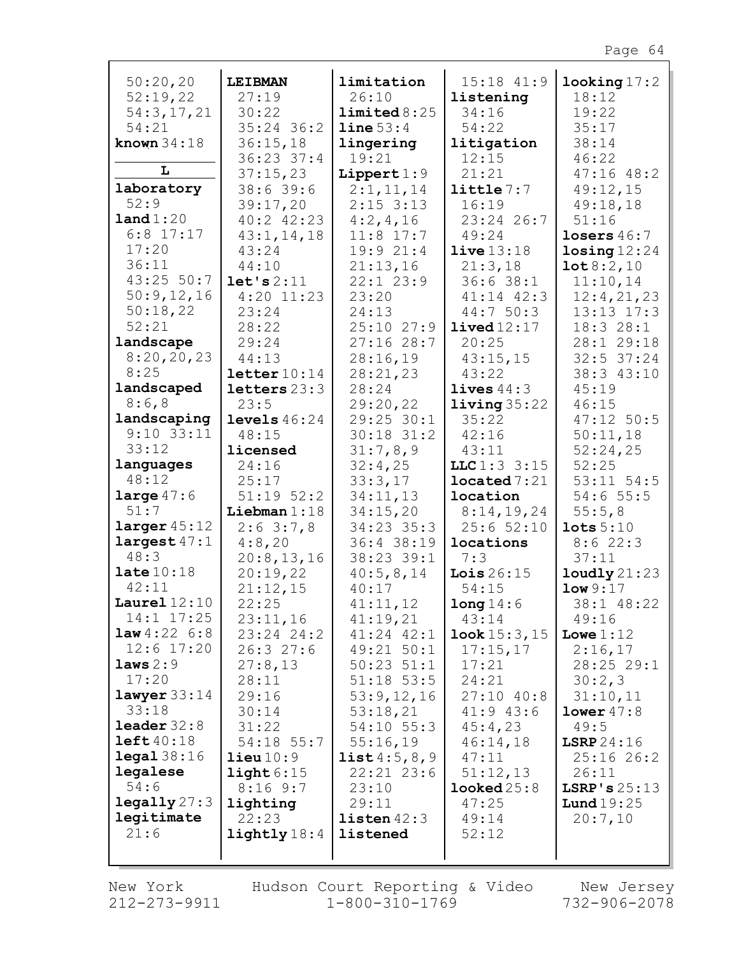| 50:20,20                | <b>LEIBMAN</b>             | limitation                 | 15:18 41:9               | $\texttt{looking} 17:2$ |
|-------------------------|----------------------------|----------------------------|--------------------------|-------------------------|
| 52:19,22                | 27:19                      | 26:10                      | listening                | 18:12                   |
| 54:3,17,21              | 30:22                      | limited 8:25               | 34:16                    | 19:22                   |
| 54:21                   | $35:24$ 36:2               | line 53:4                  | 54:22                    | 35:17                   |
| known $34:18$           | 36:15,18                   | lingering                  | litigation               | 38:14                   |
|                         | 36:23 37:4                 | 19:21                      | 12:15                    | 46:22                   |
| L                       |                            |                            |                          |                         |
|                         | 37:15,23                   | Lippert $1:9$              | 21:21                    | $47:16$ $48:2$          |
| laboratory              | 38:639:6                   | 2:1,11,14                  | $\text{little} 7:7$      | 49:12,15                |
| 52:9                    | 39:17,20                   | $2:15$ 3:13                | 16:19                    | 49:18,18                |
| land 1:20               | $40:2$ $42:23$             | 4:2,4,16                   | 23:24 26:7               | 51:16                   |
| $6:8$ 17:17             | 43:1, 14, 18               | $11:8$ 17:7                | 49:24                    | losers $46:7$           |
| 17:20                   | 43:24                      | 19:921:4                   | live13:18                | $\texttt{losing} 12:24$ |
| 36:11                   | 44:10                      | 21:13,16                   | 21:3,18                  | 10t8:2,10               |
| 43:25 50:7              | let's 2:11                 | $22:1$ $23:9$              | 36:638:1                 | 11:10,14                |
| 50:9,12,16              | $4:20$ 11:23               | 23:20                      | 41:14 42:3               | 12:4,21,23              |
| 50:18,22                | 23:24                      | 24:13                      | 44:7 50:3                | $13:13$ $17:3$          |
| 52:21                   |                            |                            |                          |                         |
|                         | 28:22                      | $25:10$ $27:9$             | $1$ ived $12:17$         | 18:3 28:1               |
| landscape<br>8:20,20,23 | 29:24                      | 27:1628:7                  | 20:25                    | 28:1 29:18              |
|                         | 44:13                      | 28:16,19                   | 43:15,15                 | $32:5$ 37:24            |
| 8:25                    | letter10:14                | 28:21,23                   | 43:22                    | 38:3 43:10              |
| landscaped              | letters $23:3$             | 28:24                      | lives $44:3$             | 45:19                   |
| 8:6,8                   | 23:5                       | 29:20,22                   | $1$ iving $35:22$        | 46:15                   |
| landscaping             | levels $46:24$             | 29:25 30:1                 | 35:22                    | $47:12$ 50:5            |
| $9:10$ 33:11            | 48:15                      | $30:18$ 31:2               | 42:16                    | 50:11,18                |
| 33:12                   | licensed                   | 31:7,8,9                   | 43:11                    | 52:24,25                |
| languages               | 24:16                      | 32:4,25                    | LLC1:33:15               | 52:25                   |
| 48:12                   | 25:17                      | 33:3,17                    | $1$ ocated $7:21$        | $53:11$ $54:5$          |
| large $47:6$            | $51:19$ $52:2$             | 34:11,13                   | location                 | 54:655:5                |
| 51:7                    | Liebman $1:18$             | 34:15,20                   | 8:14,19,24               | 55:5,8                  |
| larger 45:12            | 2:63:7,8                   | 34:23 35:3                 | 25:652:10                | $\texttt{lots} 5:10$    |
| largest 47:1            | 4:8,20                     | 36:4 38:19                 | locations                | 8:622:3                 |
| 48:3                    | 20:8, 13, 16               | 38:23 39:1                 | 7:3                      | 37:11                   |
| $\texttt{late}10:18$    | 20:19,22                   | 40:5,8,14                  | Lois $26:15$             | $1$ oudly $21:23$       |
| 42:11                   | 21:12,15                   | 40:17                      | 54:15                    | low 9:17                |
| Laurel $12:10$          | 22:25                      | 41:11,12                   | long14:6                 | $38:1$ 48:22            |
| $14:1$ $17:25$          |                            |                            | 43:14                    |                         |
| <b>law</b> $4:22 \ 6:8$ | 23:11,16<br>$23:24$ $24:2$ | 41:19,21<br>$41:24$ $42:1$ | $\texttt{look} 15:3, 15$ | 49:16<br>Lowe $1:12$    |
| $12:6$ 17:20            | 26:327:6                   | 49:21 50:1                 | 17:15,17                 |                         |
|                         |                            |                            |                          | 2:16,17                 |
| laws 2:9                | 27:8,13                    | $50:23$ $51:1$             | 17:21                    | 28:25 29:1              |
| 17:20                   | 28:11                      | $51:18$ 53:5               | 24:21                    | 30:2,3                  |
| $l$ awyer $33:14$       | 29:16                      | 53:9,12,16                 | $27:10$ 40:8             | 31:10,11                |
| 33:18                   | 30:14                      | 53:18,21                   | $41:9$ $43:6$            | lower 47:8              |
| $\text{leader } 32:8$   | 31:22                      | $54:10$ $55:3$             | 45:4,23                  | 49:5                    |
| left40:18               | 54:18 55:7                 | 55:16,19                   | 46:14,18                 | LSRP24:16               |
| $\texttt{legal } 38:16$ | $\text{lieu}10:9$          | list 4:5, 8, 9             | 47:11                    | 25:1626:2               |
| legalese                | $\texttt{light}6:15$       | $22:21$ $23:6$             | 51:12,13                 | 26:11                   |
| 54:6                    | 8:169::7                   | 23:10                      | $1$ ooked $25:8$         | LSRP's $25:13$          |
| $\texttt{legally} 27:3$ | lighting                   | 29:11                      | 47:25                    | Lund $19:25$            |
| legitimate              | 22:23                      | listen 42:3                | 49:14                    | 20:7,10                 |
| 21:6                    | $\text{lightly} 18:4$      | listened                   | 52:12                    |                         |
|                         |                            |                            |                          |                         |
|                         |                            |                            |                          |                         |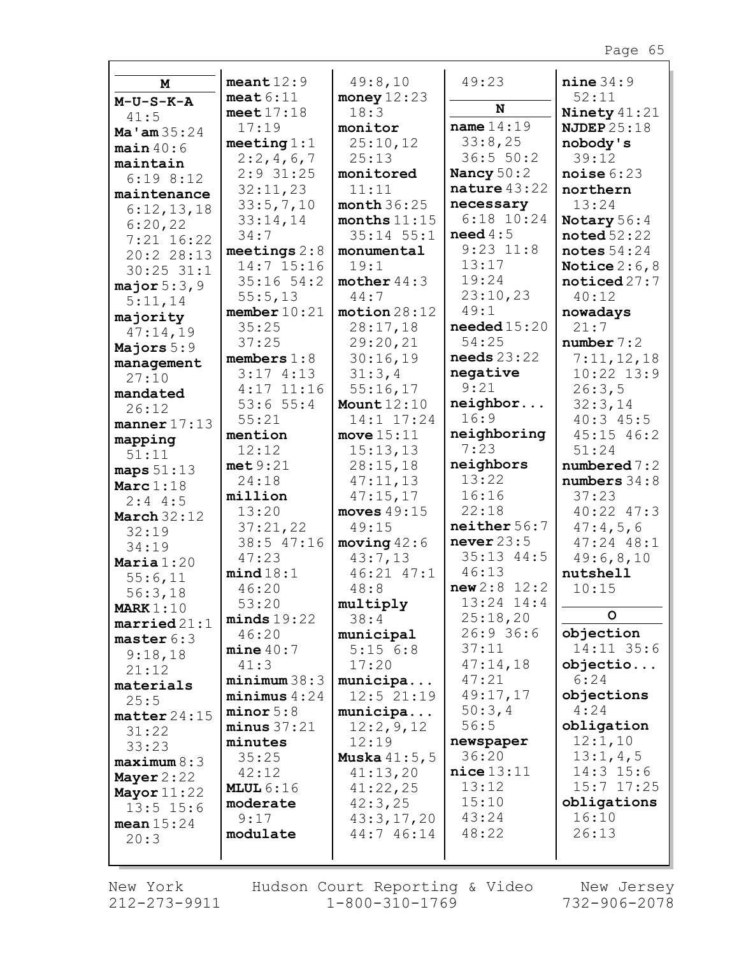| M                       | meant $12:9$         | 49:8,10                   | 49:23                                     | nine 34:9              |
|-------------------------|----------------------|---------------------------|-------------------------------------------|------------------------|
| $M-U-S-K-A$             | meat $6:11$          | money $12:23$             |                                           | 52:11                  |
| 41:5                    | meet $17:18$         | 18:3                      | N                                         | Ninety $41:21$         |
| Ma $\tan 35:24$         | 17:19                | monitor                   | name $14:19$                              | <b>NJDEP</b> 25:18     |
| $main$ 40:6             | meeting $1:1$        | 25:10,12                  | 33:8,25                                   | nobody's               |
| maintain                | 2:2,4,6,7            | 25:13                     | 36:5 50:2                                 | 39:12                  |
| 6:198:12                | $2:9$ 31:25          | monitored                 | Nancy 50:2                                | noise $6:23$           |
| maintenance             | 32:11,23             | 11:11                     | nature $43:22$                            | northern               |
| 6:12,13,18              | 33:5,7,10            | month $36:25$             | necessary                                 | 13:24                  |
| 6:20,22                 | 33:14,14             | months $11:15$            | $6:18$ $10:24$                            | Notary 56:4            |
| $7:21$ 16:22            | 34:7                 | $35:14$ $55:1$            | need 4:5                                  | $\texttt{noted}~52:22$ |
| 20:2 28:13              | meetings $2:8$       | monumental                | $9:23$ $11:8$                             | notes $54:24$          |
| $30:25$ $31:1$          | $14:7$ 15:16         | 19:1                      | 13:17                                     | Notice $2:6,8$         |
| major 5:3,9             | $35:16$ $54:2$       | mother $44:3$             | 19:24                                     | $\texttt{noticed27:7}$ |
| 5:11,14                 | 55:5,13              | 44:7                      | 23:10,23                                  | 40:12                  |
| majority                | member 10:21         | motion 28:12              | 49:1                                      | nowadays               |
| 47:14,19                | 35:25                | 28:17,18                  | $\boldsymbol{\mathsf{needed}}\,15\!:\!20$ | 21:7                   |
| Majors $5:9$            | 37:25                | 29:20,21                  | 54:25                                     | number 7:2             |
| management              | members $1:8$        | 30:16,19                  | $\boldsymbol{needs}$ 23:22                | 7:11,12,18             |
| 27:10                   | 3:174:13             | 31:3,4                    | negative                                  | $10:22$ $13:9$         |
| mandated                | $4:17$ 11:16         | 55:16,17                  | 9:21                                      | 26:3,5                 |
| 26:12                   | 53:655:4             | Mount $12:10$             | neighbor                                  | 32:3,14                |
| manner $17:13$          | 55:21                | 14:1 17:24                | 16:9                                      | $40:3$ $45:5$          |
| mapping                 | mention              | move $15:11$              | neighboring                               | $45:15$ $46:2$         |
| 51:11                   | 12:12                | 15:13,13                  | 7:23                                      | 51:24                  |
| maps $51:13$            | met9:21              | 28:15,18                  | neighbors                                 | numbered 7:2           |
| Marc $1:18$             | 24:18                | 47:11,13                  | 13:22                                     | numbers $34:8$         |
| $2:4$ 4:5               | million              | 47:15,17                  | 16:16                                     | 37:23                  |
| <b>March 32:12</b>      | 13:20                | moves $49:15$             | 22:18                                     | 40:22 47:3             |
| 32:19                   | 37:21,22             | 49:15                     | neither 56:7                              | 47:4,5,6               |
| 34:19                   | 38:5 47:16           | moving 42:6               | never $23:5$<br>$35:13$ $44:5$            | $47:24$ $48:1$         |
| Maria $1:20$            | 47:23                | 43:7,13<br>$46:21$ $47:1$ | 46:13                                     | 49:6,8,10              |
| 55:6,11                 | mind18:1             | 48:8                      | new2:8 12:2                               | nutshell               |
| 56:3,18                 | 46:20                |                           | $13:24$ $14:4$                            | 10:15                  |
| MARK $1:10$             | 53:20<br>minds 19:22 | multiply<br>38:4          | 25:18,20                                  | O                      |
| $\texttt{married21:1}$  | 46:20                | municipal                 | 26:936:6                                  | objection              |
| master 6:3              | mine 40:7            | 5:156:8                   | 37:11                                     | 14:11 35:6             |
| 9:18,18                 | 41:3                 | 17:20                     | 47:14,18                                  | objectio               |
| 21:12                   | minimum38:3          | municipa                  | 47:21                                     | 6:24                   |
| materials               | minimus 4:24         | 12:521:19                 | 49:17,17                                  | objections             |
| 25:5                    | minor 5:8            | municipa                  | 50:3,4                                    | 4:24                   |
| $\texttt{matter} 24:15$ | minus 37:21          | 12:2,9,12                 | 56:5                                      | obligation             |
| 31:22                   | minutes              | 12:19                     | newspaper                                 | 12:1,10                |
| 33:23                   | 35:25                | <b>Muska</b> $41:5, 5$    | 36:20                                     | 13:1,4,5               |
| maximum 8:3             | 42:12                | 41:13,20                  | nice 13:11                                | $14:3$ 15:6            |
| Mayer $2:22$            | MLUL $6:16$          | 41:22,25                  | 13:12                                     | $15:7$ $17:25$         |
| Mayor $11:22$           | moderate             | 42:3,25                   | 15:10                                     | obligations            |
| $13:5$ $15:6$           | 9:17                 | 43:3,17,20                | 43:24                                     | 16:10                  |
| mean $15:24$            | modulate             | 44:7 46:14                | 48:22                                     | 26:13                  |
| 20:3                    |                      |                           |                                           |                        |
|                         |                      |                           |                                           |                        |

Г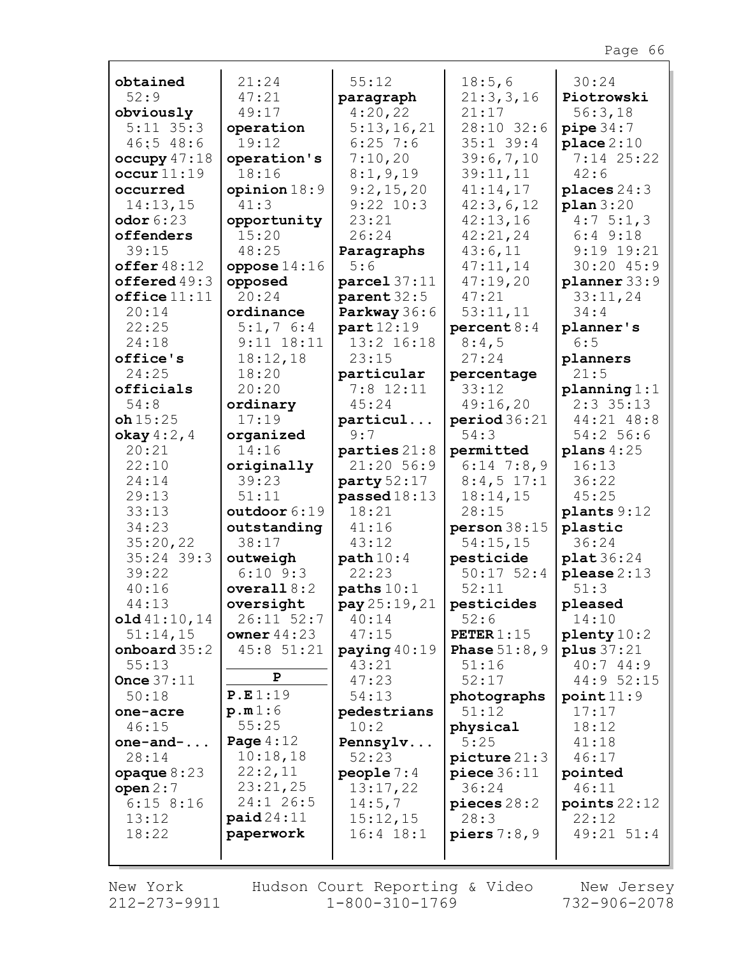| obtained                   | 21:24                             | 55:12                   | 18:5,6                | 30:24                   |
|----------------------------|-----------------------------------|-------------------------|-----------------------|-------------------------|
| 52:9                       | 47:21<br>49:17                    | paragraph<br>4:20,22    | 21:3,3,16<br>21:17    | Piotrowski              |
| obviously<br>$5:11$ $35:3$ |                                   | 5:13,16,21              | 28:10 32:6            | 56:3,18                 |
| 46:548:6                   | operation<br>19:12                | $6:25$ 7:6              | $35:1$ 39:4           | pipe 34:7<br>place 2:10 |
| occupy 47:18               | operation's                       | 7:10,20                 | 39:6,7,10             | 7:14 25:22              |
| occur11:19                 | 18:16                             | 8:1, 9, 19              | 39:11,11              | 42:6                    |
| occurred                   | opinion $18:9$                    | 9:2,15,20               | 41:14,17              | places $24:3$           |
| 14:13,15                   | 41:3                              | $9:22$ $10:3$           | 42:3,6,12             | plan 3:20               |
| odor $6:23$                | opportunity                       | 23:21                   | 42:13,16              | 4:75:1,3                |
| offenders                  | 15:20                             | 26:24                   | 42:21,24              | $6:4$ $9:18$            |
| 39:15                      | 48:25                             | Paragraphs              | 43:6,11               | $9:19$ 19:21            |
| offer $48:12$              | oppose $14:16$                    | 5:6                     | 47:11,14              | 30:20 45:9              |
| offered $49:3$             | opposed                           | $\texttt{parcel}$ 37:11 | 47:19,20              | planner 33:9            |
| $offline 11:11$            | 20:24                             | parent 32:5             | 47:21                 | 33:11,24                |
| 20:14                      | ordinance                         | Parkway 36:6            | 53:11,11              | 34:4                    |
| 22:25                      | $5:1,7$ 6:4                       | part12:19               | percent 8:4           | planner's               |
| 24:18                      | $9:11$ $18:11$                    | 13:2 16:18              | 8:4,5                 | 6:5                     |
| office's                   | 18:12,18                          | 23:15                   | 27:24                 | planners                |
| 24:25                      | 18:20                             | particular              | percentage            | 21:5                    |
| officials                  | 20:20                             | $7:8$ 12:11             | 33:12                 | planning 1:1            |
| 54:8                       | ordinary                          | 45:24                   | 49:16,20              | $2:3$ 35:13             |
| oh15:25                    | 17:19                             | particul                | period 36:21          | 44:21 48:8              |
| okay $4:2$ , $4$           | organized                         | 9:7                     | 54:3                  | 54:2 56:6               |
| 20:21                      | 14:16                             | parties $21:8$          | permitted             | plans $4:25$            |
| 22:10                      | originally                        | 21:20 56:9              | $6:14$ 7:8,9          | 16:13                   |
| 24:14                      | 39:23                             | party $52:17$           | $8:4,5$ 17:1          | 36:22                   |
| 29:13<br>33:13             | 51:11<br>outdoor 6:19             | passed $18:13$<br>18:21 | 18:14,15<br>28:15     | 45:25                   |
| 34:23                      | outstanding                       | 41:16                   | person 38:15          | plants 9:12<br>plastic  |
| 35:20,22                   | 38:17                             | 43:12                   | 54:15,15              | 36:24                   |
| $35:24$ 39:3               | outweigh                          | path 10:4               | pesticide             | plat 36:24              |
| 39:22                      | $6:10$ $9:3$                      | 22:23                   | $50:17$ 52:4          | $\n    please 2:13\n$   |
| 40:16                      | overall $8:2$                     | paths 10:1              | 52:11                 | 51:3                    |
| 44:13                      | oversight                         | pay 25:19, 21           | pesticides            | pleased                 |
| old41:10,14                | 26:11 52:7                        | 40:14                   | 52:6                  | 14:10                   |
| 51:14,15                   | owner $44:23$                     | 47:15                   | PETER $1:15$          | $\text{plenty} 10:2$    |
| onboard $35:2$             | 45:8 51:21                        | paying $40:19$          | <b>Phase</b> $51:8,9$ | plus $37:21$            |
| 55:13                      |                                   | 43:21                   | 51:16                 | 40:744:9                |
| Once $37:11$               | P                                 | 47:23                   | 52:17                 | 44:9 52:15              |
| 50:18                      | P.E1:19                           | 54:13                   | photographs           | point11:9               |
| one-acre                   | p.m1:6                            | pedestrians             | 51:12                 | 17:17                   |
| 46:15                      | 55:25                             | 10:2                    | physical              | 18:12                   |
| one-and- $\ldots$          | Page $4:12$                       | Pennsylv                | 5:25                  | 41:18                   |
| 28:14                      | 10:18,18                          | 52:23                   | picture 21:3          | 46:17                   |
| opaque $8:23$              | 22:2,11                           | people $7:4$            | piece 36:11           | pointed                 |
| open 2:7                   | 23:21,25                          | 13:17,22                | 36:24                 | 46:11                   |
| $6:15$ 8:16                | 24:1 26:5                         | 14:5,7                  | pieces 28:2           | points $22:12$          |
| 13:12                      | $\texttt{paid}24:11$<br>paperwork | 15:12,15                | 28:3                  | 22:12                   |
| 18:22                      |                                   | $16:4$ $18:1$           | piers $7:8,9$         | 49:21 51:4              |
|                            |                                   |                         |                       |                         |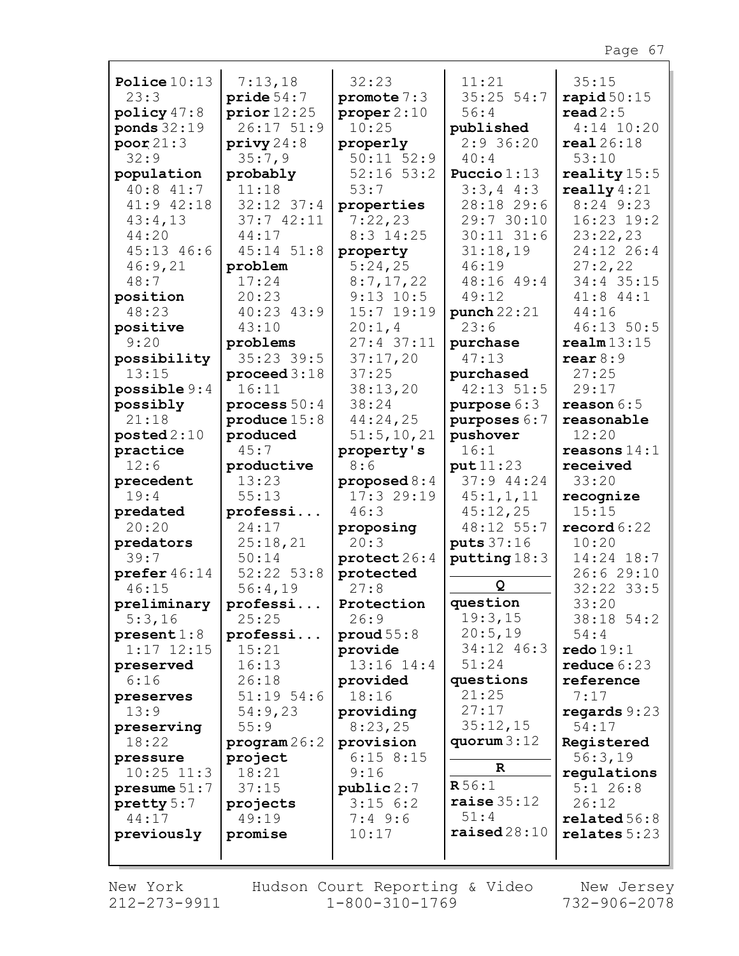| Police $10:13$        | 7:13,18            | 32:23                        | 11:21                   | 35:15                  |
|-----------------------|--------------------|------------------------------|-------------------------|------------------------|
| 23:3                  | pride54:7          | promote $7:3$                | $35:25$ 54:7            | $\texttt{rapid} 50:15$ |
| policy $47:8$         | prior12:25         | proper 2:10                  | 56:4                    | $\texttt{read} 2:5$    |
| ponds $32:19$         | $26:17$ $51:9$     | 10:25                        | published               | $4:14$ 10:20           |
| poor21:3              | $\text{priv} 24:8$ | properly                     | $2:9$ 36:20             | real26:18              |
| 32:9                  | 35:7,9             | $50:11$ $52:9$               | 40:4                    | 53:10                  |
| population            | probably           | $52:16$ $53:2$               | Puccio $1:13$           | reality $15:5$         |
| 40:8 41:7             | 11:18              | 53:7                         | $3:3,4$ 4:3             | really $4:21$          |
| 41:9 42:18            | $32:12$ $37:4$     | properties                   | 28:18 29:6              | 8:24 9:23              |
| 43:4,13               | 37:742:11          | 7:22,23                      | 29:7 30:10              | 16:23 19:2             |
| 44:20                 | 44:17              | $8:3$ 14:25                  | $30:11$ $31:6$          | 23:22,23               |
| $45:13$ $46:6$        | $45:14$ $51:8$     | property                     | 31:18,19                | 24:12 26:4             |
| 46:9,21               | problem            | 5:24,25                      | 46:19                   | 27:2,22                |
| 48:7                  | 17:24              | 8:7,17,22                    | 48:16 49:4              | 34:4 35:15             |
| position              | 20:23              | $9:13$ 10:5                  | 49:12                   | 41:8 44:1              |
| 48:23                 | 40:23 43:9         | 15:7 19:19                   | punch $22:21$           | 44:16                  |
| positive              | 43:10              | 20:1,4                       | 23:6                    | 46:13 50:5             |
| 9:20                  | problems           | 27:4 37:11                   | purchase                | $\texttt{realm13:15}$  |
| possibility           | $35:23$ 39:5       | 37:17,20                     | 47:13                   | $\texttt{rear} 8:9$    |
| 13:15                 | proceed $3:18$     | 37:25                        | purchased               | 27:25                  |
| possible 9:4          | 16:11              | 38:13,20                     | 42:13 51:5              | 29:17                  |
| possibly              | process $50:4$     | 38:24                        | purpose $6:3$           | reason $6:5$           |
| 21:18                 | produce $15:8$     | 44:24,25                     | purposes 6:7            | reasonable             |
| $\texttt{posted2:10}$ | produced           | 51:5, 10, 21                 | pushover                | 12:20                  |
| practice              | 45:7               | property's                   | 16:1                    | reasons $14:1$         |
| 12:6                  | productive         | 8:6                          | put11:23<br>37:9 44:24  | received               |
| precedent<br>19:4     | 13:23<br>55:13     | proposed $8:4$<br>17:3 29:19 |                         | 33:20                  |
| predated              | professi           | 46:3                         | 45:1, 1, 11<br>45:12,25 | recognize<br>15:15     |
| 20:20                 | 24:17              | proposing                    | 48:12 55:7              | record $6:22$          |
| predators             | 25:18,21           | 20:3                         | puts 37:16              | 10:20                  |
| 39:7                  | 50:14              | protect26:4                  | putting 18:3            | 14:24 18:7             |
| prefer $46:14$        | $52:22$ $53:8$     | protected                    |                         | 26:6 29:10             |
| 46:15                 | 56:4,19            | 27:8                         | Q                       | 32:22 33:5             |
| preliminary           | professi           | Protection                   | question                | 33:20                  |
| 5:3,16                | 25:25              | 26:9                         | 19:3,15                 | 38:18 54:2             |
| present 1:8           | professi           | prod 55:8                    | 20:5,19                 | 54:4                   |
| $1:17$ $12:15$        | 15:21              | provide                      | 34:12 46:3              | $\texttt{redo}~19:1$   |
| preserved             | 16:13              | $13:16$ $14:4$               | 51:24                   | reduce $6:23$          |
| 6:16                  | 26:18              | provided                     | questions               | reference              |
| preserves             | $51:19$ 54:6       | 18:16                        | 21:25                   | 7:17                   |
| 13:9                  | 54:9,23            | providing                    | 27:17                   | regards $9:23$         |
| preserving            | 55:9               | 8:23,25                      | 35:12,15                | 54:17                  |
| 18:22                 | program 26:2       | provision                    | quorum $3:12$           | Registered             |
| pressure              | project            | $6:15$ 8:15                  | $\mathbf{R}$            | 56:3,19                |
| $10:25$ $11:3$        | 18:21              | 9:16                         |                         | regulations            |
| presume $51:7$        | 37:15              | public 2:7                   | R56:1                   | $5:1$ 26:8             |
| pretty 5:7            | projects           | $3:15$ 6:2                   | raise $35:12$           | 26:12                  |
| 44:17                 | 49:19              | $7:4$ 9:6                    | 51:4                    | related 56:8           |
| previously            | promise            | 10:17                        | $\texttt{raised}28:10$  | relates 5:23           |
|                       |                    |                              |                         |                        |

Г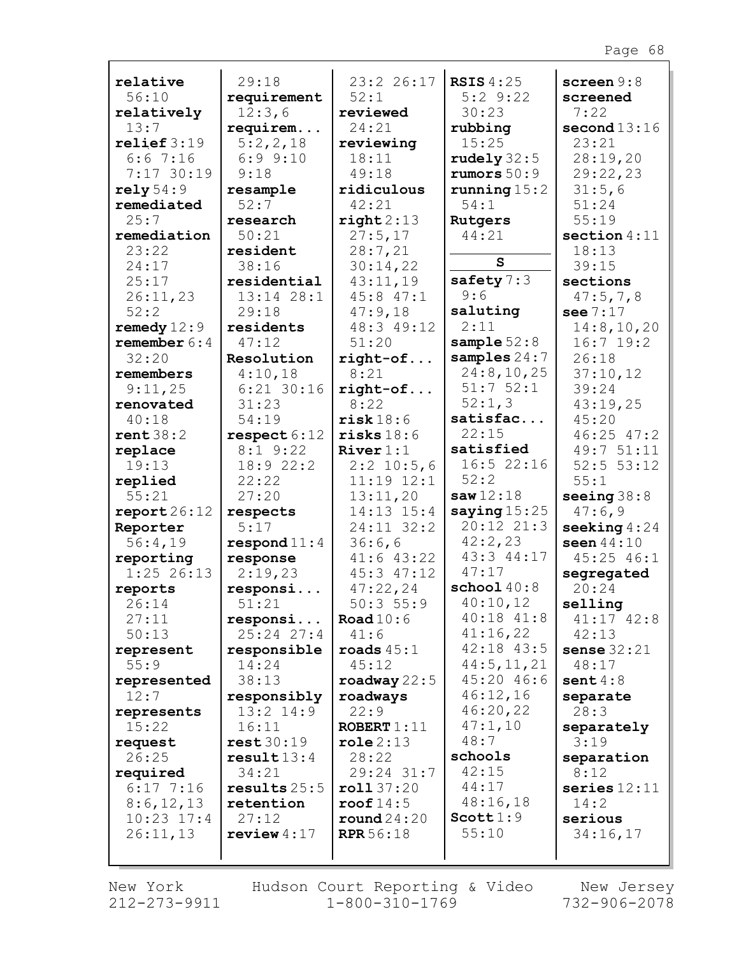| relative               | 29:18                      | 23:2 26:17          | <b>RSIS 4:25</b>           | screen $9:8$            |
|------------------------|----------------------------|---------------------|----------------------------|-------------------------|
| 56:10                  | requirement                | 52:1                | $5:2$ $9:22$               | screened                |
| relatively             | 12:3,6                     | reviewed            | 30:23                      | 7:22                    |
| 13:7                   | requirem                   | 24:21               | rubbing                    | second $13:16$          |
| relief 3:19            | 5:2,2,18                   | reviewing           | 15:25                      | 23:21                   |
| 6:67:16                | $6:9$ $9:10$               | 18:11               | rudely $32:5$              | 28:19,20                |
| 7:17 30:19             | 9:18                       | 49:18               | rumors $50:9$              | 29:22,23                |
| rely 54:9              | resample                   | ridiculous          | running $15:2$             | 31:5,6                  |
| remediated             | 52:7                       | 42:21               | 54:1                       | 51:24                   |
| 25:7<br>remediation    | research<br>50:21          | right2:13           | Rutgers<br>44:21           | 55:19<br>section $4:11$ |
| 23:22                  | resident                   | 27:5,17<br>28:7,21  |                            | 18:13                   |
| 24:17                  | 38:16                      | 30:14,22            | S                          | 39:15                   |
| 25:17                  | residential                | 43:11,19            | safety $7:3$               | sections                |
| 26:11,23               | 13:14 28:1                 | $45:8$ $47:1$       | 9:6                        | 47:5,7,8                |
| 52:2                   | 29:18                      | 47:9,18             | saluting                   | see $7:17$              |
| remedy $12:9$          | residents                  | 48:3 49:12          | 2:11                       | 14:8, 10, 20            |
| remember $6:4$         | 47:12                      | 51:20               | sample $52:8$              | $16:7$ 19:2             |
| 32:20                  | Resolution                 | $right-of$          | samples $24:7$             | 26:18                   |
| remembers              | 4:10,18                    | 8:21                | 24:8, 10, 25               | 37:10,12                |
| 9:11,25                | $6:21$ 30:16               | $right-of$          | 51:752:1                   | 39:24                   |
| renovated              | 31:23                      | 8:22                | 52:1,3                     | 43:19,25                |
| 40:18                  | 54:19                      | risk 18:6           | satisfac                   | 45:20                   |
| rent 38:2              | respect 6:12               | risks 18:6          | 22:15                      | $46:25$ $47:2$          |
| replace                | $8:1$ 9:22                 | River $1:1$         | satisfied                  | 49:7 51:11              |
| 19:13                  | 18:9 22:2                  | $2:2$ 10:5,6        | 16:522:16                  | 52:5 53:12              |
| replied                | 22:22                      | $11:19$ $12:1$      | 52:2                       | 55:1                    |
| 55:21                  | 27:20                      | 13:11,20            | saw12:18                   | seeing $38:8$           |
| $\texttt{report26:12}$ | respects                   | 14:13 15:4          | saying $15:25$             | 47:6,9                  |
| Reporter               | 5:17                       | 24:11 32:2          | 20:12 21:3                 | seeking $4:24$          |
| 56:4,19                | respond $11:4$             | 36:6,6              | 42:2,23                    | seen $44:10$            |
| reporting              | response                   | $41:6$ $43:22$      | 43:3 44:17                 | 45:25 46:1              |
| $1:25$ 26:13           | 2:19,23                    | $45:3$ $47:12$      | 47:17                      | segregated              |
| reports                | responsi                   | 47:22,24            | $\texttt{school}~40:8$     | 20:24                   |
| 26:14                  | 51:21                      | 50:3 55:9           | 40:10,12<br>$40:18$ $41:8$ | selling                 |
| 27:11<br>50:13         | responsi<br>$25:24$ $27:4$ | Road $10:6$<br>41:6 | 41:16,22                   | $41:17$ $42:8$<br>42:13 |
|                        | responsible                | roads $45:1$        | $42:18$ $43:5$             | sense $32:21$           |
| represent<br>55:9      | 14:24                      | 45:12               | 44:5, 11, 21               | 48:17                   |
| represented            | 38:13                      | roadway $22:5$      | 45:20 46:6                 | sent $4:8$              |
| 12:7                   | responsibly                | roadways            | 46:12,16                   | separate                |
| represents             | $13:2$ $14:9$              | 22:9                | 46:20,22                   | 28:3                    |
| 15:22                  | 16:11                      | ROBERT $1:11$       | 47:1,10                    | separately              |
| request                | rest30:19                  | role 2:13           | 48:7                       | 3:19                    |
| 26:25                  | result13:4                 | 28:22               | schools                    | separation              |
| required               | 34:21                      | 29:24 31:7          | 42:15                      | 8:12                    |
| $6:17$ 7:16            | results $25:5$             | roll37:20           | 44:17                      | series $12:11$          |
| 8:6,12,13              | retention                  | roof $14:5$         | 48:16,18                   | 14:2                    |
| $10:23$ $17:4$         | 27:12                      | round24:20          | Scott1:9                   | serious                 |
| 26:11,13               | review $4:17$              | <b>RPR</b> 56:18    | 55:10                      | 34:16,17                |
|                        |                            |                     |                            |                         |

Г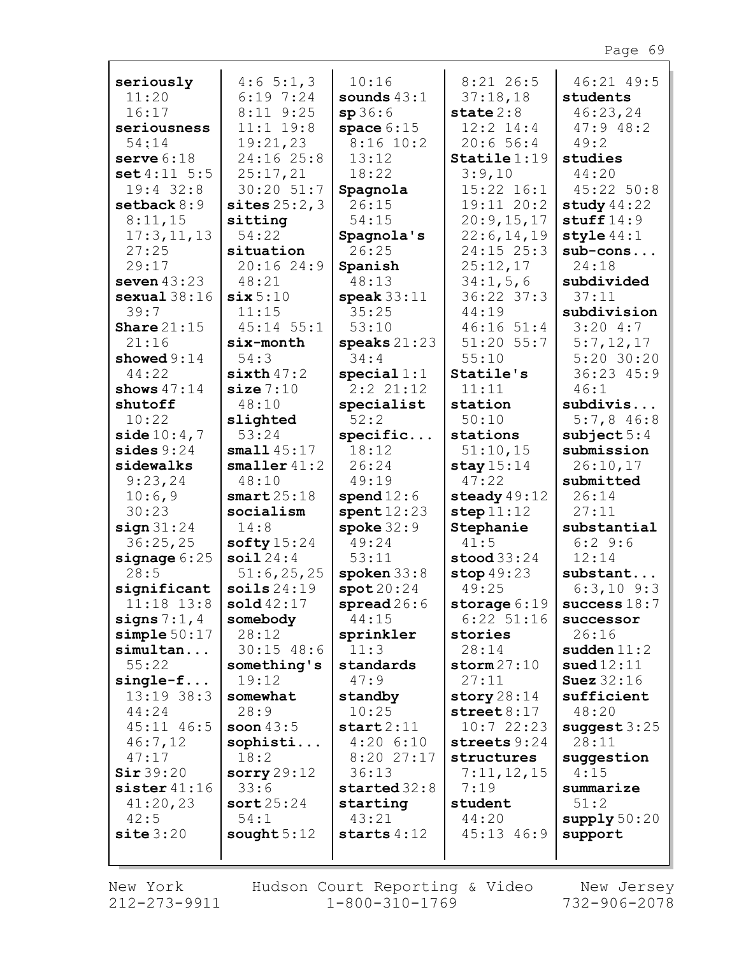|                               | 4:65::1,3               | 10:16                       | $8:21$ 26:5                    | 46:21 49:5             |
|-------------------------------|-------------------------|-----------------------------|--------------------------------|------------------------|
| seriously<br>11:20            | 6:197:24                | sounds $43:1$               | 37:18,18                       |                        |
| 16:17                         | $8:11$ $9:25$           | sp36:6                      | state $2:8$                    | students<br>46:23,24   |
| seriousness                   | $11:1$ $19:8$           | space $6:15$                | $12:2$ $14:4$                  | 47:948:2               |
| 54:14                         | 19:21,23                | $8:16$ 10:2                 | 20:656:4                       | 49:2                   |
| serve $6:18$                  | 24:16 25:8              | 13:12                       | $Staticle 1:19$                | studies                |
| set 4:11 5:5                  | 25:17,21                | 18:22                       | 3:9,10                         | 44:20                  |
| $19:4$ 32:8                   | $30:20$ $51:7$          | Spagnola                    | 15:22 16:1                     | 45:22 50:8             |
| setback $8:9$                 | sites $25:2,3$          | 26:15                       | 19:11 20:2                     | study $44:22$          |
| 8:11,15                       | sitting                 | 54:15                       | 20:9,15,17                     | stuff $14:9$           |
| 17:3, 11, 13                  | 54:22                   | Spagnola's                  | 22:6, 14, 19                   | style $44:1$           |
| 27:25                         | situation               | 26:25                       | 24:15 25:3                     | $sub-cons$             |
| 29:17                         | 20:1624:9               | Spanish                     | 25:12,17                       | 24:18                  |
| seven $43:23$                 | 48:21                   | 48:13                       | 34:1, 5, 6                     | subdivided             |
| sexual38:16                   | $\texttt{six} 5:10$     | $\text{speak} 33:11$        | 36:22 37:3                     | 37:11                  |
| 39:7                          | 11:15                   | 35:25                       | 44:19                          | subdivision            |
| Share $21:15$                 | $45:14$ 55:1            | 53:10                       | 46:1651:4                      | 3:204:7                |
| 21:16                         | six-month               | speaks $21:23$              | $51:20$ $55:7$                 | 5:7,12,17              |
| showed $9:14$                 | 54:3                    | 34:4                        | 55:10                          | $5:20$ 30:20           |
| 44:22                         | $sixth$ 47:2            | special 1:1                 | Statile's                      | $36:23$ $45:9$         |
| shows $47:14$                 | size 7:10               | 2:2 21:12                   | 11:11                          | 46:1                   |
| shutoff                       | 48:10                   | specialist                  | station                        | subdivis               |
| 10:22                         | slighted                | 52:2                        | 50:10                          | $5:7,8$ 46:8           |
| side $10:4,7$                 | 53:24                   | specific                    | stations                       | subject $5:4$          |
| sides $9:24$                  | small 45:17             | 18:12                       | 51:10,15                       | submission             |
| sidewalks                     | $smaller$ $41:2$        | 26:24                       | stay $15:14$                   | 26:10,17               |
| 9:23,24                       | 48:10                   | 49:19                       | 47:22                          | submitted              |
| 10:6,9<br>30:23               | smart25:18<br>socialism | spend $12:6$<br>spent 12:23 | steady $49:12$<br>step 11:12   | 26:14<br>27:11         |
| sign 31:24                    |                         |                             |                                |                        |
|                               |                         |                             |                                |                        |
|                               | 14:8                    | $\texttt{spoke}~32:9$       | Stephanie                      | substantial            |
| 36:25,25                      | softy $15:24$           | 49:24                       | 41:5                           | 6:29:6                 |
| signage $6:25$                | soi124:4                | 53:11                       | $\mathbf{stood}33:24$          | 12:14                  |
| 28:5                          | 51:6,25,25              | spoken $33:8$               | stop $49:23$                   | substant               |
| significant                   | soils24:19              | spot20:24                   | 49:25                          | $6:3,10$ $9:3$         |
| $11:18$ $13:8$                | $\text{solid }42:17$    | spread26:6<br>44:15         | storage $6:19$<br>$6:22$ 51:16 | success $18:7$         |
| signs $7:1,4$<br>simple 50:17 | somebody<br>28:12       | sprinkler                   | stories                        | successor<br>26:16     |
| simultan                      | $30:15$ 48:6            | 11:3                        | 28:14                          | sudden $11:2$          |
| 55:22                         | something's             | standards                   | storm27:10                     | sued $12:11$           |
| $single-f$                    | 19:12                   | 47:9                        | 27:11                          | <b>Suez</b> 32:16      |
| 13:19 38:3                    | somewhat                | standby                     | story $28:14$                  | sufficient             |
| 44:24                         | 28:9                    | 10:25                       | $\texttt{street}\,8\!:\!17$    | 48:20                  |
| 45:11 46:5                    | soon $43:5$             | start2:11                   | 10:722:23                      | suggest $3:25$         |
| 46:7,12                       | sophisti                | $4:20$ 6:10                 | streets 9:24                   | 28:11                  |
| 47:17                         | 18:2                    | 8:2027:17                   | structures                     | suggestion             |
| Sir 39:20                     | sorry $29:12$           | 36:13                       | 7:11,12,15                     | 4:15                   |
| sister 41:16                  | 33:6                    | started 32:8                | 7:19                           | summarize              |
| 41:20,23                      | sort25:24               | starting                    | student                        | 51:2                   |
| 42:5                          | 54:1                    | 43:21                       | 44:20                          | $\text{supply}\,50:20$ |
| site 3:20                     | sought $5:12$           | starts $4:12$               | $45:13$ $46:9$                 | support                |

Г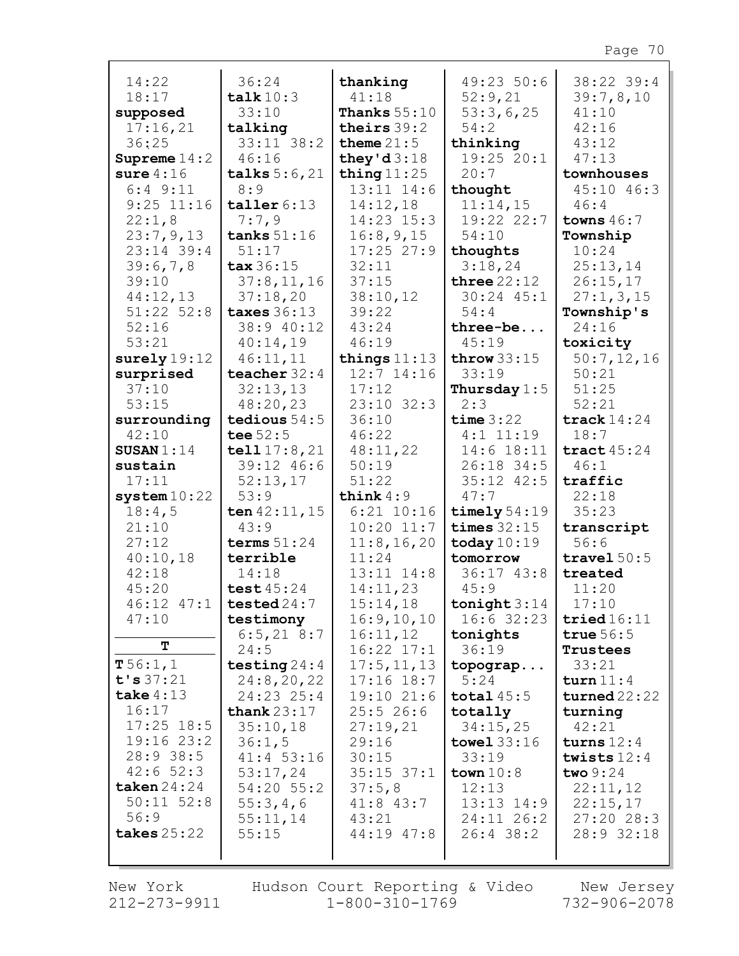| 14:22                        | 36:24                          | thanking                         | 49:2350:6            | 38:22 39:4                    |
|------------------------------|--------------------------------|----------------------------------|----------------------|-------------------------------|
| 18:17                        | talk $10:3$                    | 41:18                            | 52:9,21              | 39:7,8,10                     |
| supposed                     | 33:10                          | <b>Thanks</b> $55:10$            | 53:3,6,25            | 41:10                         |
| 17:16,21                     | talking                        | theirs $39:2$                    | 54:2                 | 42:16                         |
| 36:25                        | 33:11 38:2                     | theme $21:5$                     | thinking             | 43:12                         |
| Supreme $14:2$               | 46:16                          | they'd $3:18$                    | 19:25 20:1           | 47:13                         |
| sure $4:16$                  | talks $5:6,21$                 | thing $11:25$<br>$13:11$ $14:6$  | 20:7                 | townhouses                    |
| $6:4$ $9:11$<br>$9:25$ 11:16 | 8:9                            |                                  | thought<br>11:14,15  | $45:10$ $46:3$<br>46:4        |
| 22:1,8                       | taller 6:13<br>7:7,9           | 14:12,18<br>14:23 15:3           | 19:22 22:7           | towns $46:7$                  |
| 23:7,9,13                    | tanks $51:16$                  | 16:8,9,15                        | 54:10                | Township                      |
| $23:14$ 39:4                 | 51:17                          | $17:25$ 27:9                     |                      | 10:24                         |
| 39:6,7,8                     | $\texttt{tax}36:15$            | 32:11                            | thoughts<br>3:18,24  | 25:13,14                      |
| 39:10                        | 37:8,11,16                     | 37:15                            | three $22:12$        | 26:15,17                      |
| 44:12,13                     | 37:18,20                       | 38:10,12                         | $30:24$ $45:1$       | 27:1,3,15                     |
| $51:22$ $52:8$               | taxes $36:13$                  | 39:22                            | 54:4                 | Township's                    |
| 52:16                        | 38:9 40:12                     | 43:24                            | three-be             | 24:16                         |
| 53:21                        | 40:14,19                       | 46:19                            | 45:19                | toxicity                      |
| surely $19:12$               | 46:11,11                       | things $11:13$                   | throw $33:15$        | 50:7,12,16                    |
| surprised                    | teacher $32:4$                 | $12:7$ 14:16                     | 33:19                | 50:21                         |
| 37:10                        | 32:13,13                       | 17:12                            | Thursday $1:5$       | 51:25                         |
| 53:15                        | 48:20,23                       | $23:10$ $32:3$                   | 2:3                  | 52:21                         |
| surrounding                  | tedious $54:5$                 | 36:10                            | time 3:22            | track $14:24$                 |
| 42:10                        | tee $52:5$                     | 46:22                            | $4:1$ 11:19          | 18:7                          |
| SUSAN $1:14$                 | tell $17:8,21$                 | 48:11,22                         | $14:6$ 18:11         | tract $45:24$                 |
| sustain                      | 39:12 46:6                     | 50:19                            | 26:18 34:5           | 46:1                          |
| 17:11                        | 52:13,17                       | 51:22                            | $35:12$ $42:5$       | traffic                       |
| system10:22                  | 53:9                           | think $4:9$                      | 47:7                 | 22:18                         |
| 18:4,5                       | ten $42:11, 15$                | $6:21$ $10:16$                   | timely $54:19$       | 35:23                         |
| 21:10                        | 43:9                           | $10:20$ $11:7$                   | times $32:15$        | transcript                    |
| 27:12                        | terms $51:24$                  | 11:8, 16, 20                     | today $10:19$        | 56:6                          |
| 40:10,18                     | terrible                       | 11:24                            | tomorrow             | travel $50:5$                 |
| 42:18                        | 14:18                          | $13:11$ $14:8$                   | $36:17$ $43:8$       | treated                       |
| 45:20                        | test $45:24$                   | 14:11,23                         | 45:9                 | 11:20                         |
|                              | $46:12$ $47:1$   tested $24:7$ | 15:14,18                         | tonight $3:14$       | 17:10                         |
| 47:10                        | testimony                      | 16:9, 10, 10                     | $16:6$ 32:23         | tried16:11                    |
| т                            | $6:5, 21$ 8:7                  | 16:11,12                         | tonights             | true $56:5$                   |
| T 56:1, 1                    | 24:5                           | $16:22$ $17:1$                   | 36:19                | Trustees                      |
| t's 37:21                    | testing $24:4$<br>24:8,20,22   | 17:5, 11, 13                     | topograp             | 33:21                         |
| take $4:13$                  | 24:23 25:4                     | $17:16$ $18:7$<br>$19:10$ $21:6$ | 5:24<br>total $45:5$ | turn $11:4$<br>$turned$ 22:22 |
| 16:17                        | thank $23:17$                  | 25:526:6                         | totally              | turning                       |
| $17:25$ 18:5                 | 35:10,18                       | 27:19,21                         | 34:15,25             | 42:21                         |
| $19:16$ $23:2$               | 36:1,5                         | 29:16                            | towel $33:16$        | turns $12:4$                  |
| 28:938:5                     | $41:4$ 53:16                   | 30:15                            | 33:19                | twists $12:4$                 |
| 42:652:3                     | 53:17,24                       | $35:15$ $37:1$                   | town $10:8$          | two $9:24$                    |
| taken $24:24$                | 54:20 55:2                     | 37:5,8                           | 12:13                | 22:11,12                      |
| $50:11$ $52:8$               | 55:3,4,6                       | $41:8$ $43:7$                    | $13:13$ $14:9$       | 22:15,17                      |
| 56:9                         | 55:11,14                       | 43:21                            | 24:11 26:2           | 27:2028:3                     |
| takes $25:22$                | 55:15                          | 44:19 47:8                       | $26:4$ 38:2          | 28:9 32:18                    |
|                              |                                |                                  |                      |                               |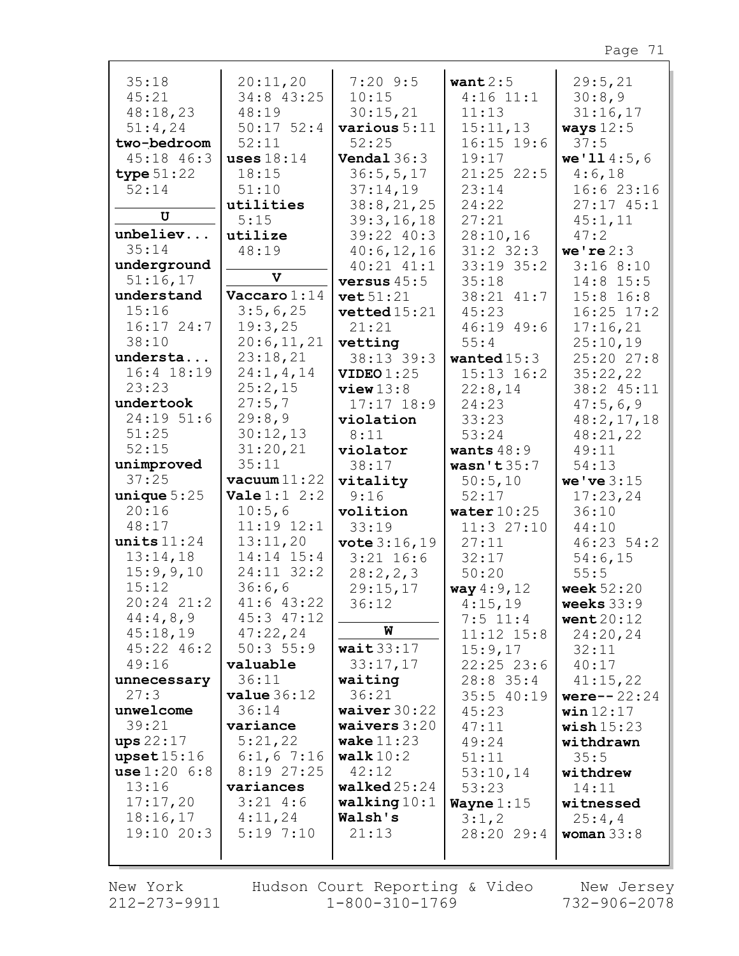| 35:18          | 20:11,20                | $7:20$ 9:5              | want $2:5$     | 29:5,21        |
|----------------|-------------------------|-------------------------|----------------|----------------|
| 45:21          | 34:8 43:25              | 10:15                   | $4:16$ 11:1    | 30:8,9         |
| 48:18,23       | 48:19                   | 30:15,21                | 11:13          | 31:16,17       |
| 51:4,24        | $50:17$ $52:4$          | various $5:11$          | 15:11,13       | ways $12:5$    |
| two-bedroom    | 52:11                   | 52:25                   | $16:15$ 19:6   | 37:5           |
| $45:18$ $46:3$ | uses $18:14$            | Vendal $36:3$           | 19:17          | we' 114:5, 6   |
| type $51:22$   | 18:15                   | 36:5, 5, 17             | $21:25$ 22:5   | 4:6,18         |
| 52:14          | 51:10                   | 37:14,19                | 23:14          | 16:623:16      |
|                | utilities               | 38:8,21,25              | 24:22          | $27:17$ 45:1   |
| U              | 5:15                    | 39:3,16,18              | 27:21          | 45:1,11        |
| unbeliev       | utilize                 | 39:22 40:3              | 28:10,16       | 47:2           |
| 35:14          | 48:19                   | 40:6,12,16              | $31:2$ $32:3$  | we're $2:3$    |
| underground    |                         | $40:21$ $41:1$          | 33:19 35:2     | 3:168:10       |
| 51:16,17       | $\mathbf v$             | versus $45:5$           |                |                |
|                |                         |                         | 35:18          | 14:8 15:5      |
| understand     | Vaccaro $1:14$          | vet 51:21               | 38:21 41:7     | $15:8$ $16:8$  |
| 15:16          | 3:5,6,25                | vetted15:21             | 45:23          | $16:25$ $17:2$ |
| $16:17$ 24:7   | 19:3,25                 | 21:21                   | 46:19 49:6     | 17:16,21       |
| 38:10          | 20:6,11,21              | vetting                 | 55:4           | 25:10,19       |
| understa       | 23:18,21                | 38:13 39:3              | wanted $15:3$  | 25:20 27:8     |
| 16:4 18:19     | 24:1, 4, 14             | VIDEO1:25               | $15:13$ $16:2$ | 35:22,22       |
| 23:23          | 25:2,15                 | view13:8                | 22:8,14        | 38:2 45:11     |
| undertook      | 27:5,7                  | $17:17$ $18:9$          | 24:23          | 47:5,6,9       |
| 24:19 51:6     | 29:8,9                  | violation               | 33:23          | 48:2, 17, 18   |
| 51:25          | 30:12,13                | 8:11                    | 53:24          | 48:21,22       |
| 52:15          | 31:20,21                | violator                | wants $48:9$   | 49:11          |
| unimproved     | 35:11                   | 38:17                   | wasn't $35:7$  | 54:13          |
| 37:25          | $vacuum$ 11:22          | vitality                | 50:5,10        | we've $3:15$   |
|                |                         |                         |                |                |
| unique $5:25$  | <b>Vale</b> $1:1$ $2:2$ | 9:16                    | 52:17          | 17:23,24       |
| 20:16          | 10:5,6                  | volition                | water $10:25$  | 36:10          |
| 48:17          | 11:19 12:1              | 33:19                   | 11:3 27:10     | 44:10          |
| units $11:24$  | 13:11,20                | $\texttt{vote} 3:16,19$ | 27:11          | 46:2354:2      |
| 13:14,18       | $14:14$ $15:4$          | $3:21$ 16:6             | 32:17          | 54:6,15        |
| 15:9,9,10      | 24:11 32:2              | 28:2,2,3                | 50:20          | 55:5           |
| 15:12          | 36:6,6                  | 29:15,17                | way 4:9, 12    | week $52:20$   |
| 20:24 21:2     | 41:6 43:22              | 36:12                   | 4:15,19        | weeks $33:9$   |
| 44:4,8,9       | 45:3 47:12              |                         | $7:5$ 11:4     | went $20:12$   |
| 45:18,19       | 47:22,24                | W                       | $11:12$ $15:8$ | 24:20,24       |
| 45:22 46:2     | 50:355:9                | wait $33:17$            | 15:9,17        | 32:11          |
| 49:16          | valuable                | 33:17,17                | $22:25$ $23:6$ | 40:17          |
| unnecessary    | 36:11                   | waiting                 | $28:8$ 35:4    | 41:15,22       |
| 27:3           | value 36:12             | 36:21                   | 35:540:19      | $were--22:24$  |
| unwelcome      | 36:14                   | waiver $30:22$          | 45:23          | win $12:17$    |
| 39:21          | variance                | waivers $3:20$          | 47:11          | wish $15:23$   |
| $ups$ 22:17    | 5:21,22                 | wake $11:23$            | 49:24          | withdrawn      |
| upset15:16     | $6:1,6$ 7:16            | walk $10:2$             | 51:11          | 35:5           |
| use 1:20 6:8   | 8:1927:25               | 42:12                   | 53:10,14       | withdrew       |
| 13:16          | variances               | $\texttt{walked25:24}$  | 53:23          | 14:11          |
| 17:17,20       | $3:21$ 4:6              | walking $10:1$          | Wayne $1:15$   | witnessed      |
| 18:16,17       | 4:11,24                 | Walsh's                 | 3:1,2          | 25:4,4         |
| 19:1020:3      | 5:197:10                | 21:13                   | 28:20 29:4     | woman $33:8$   |
|                |                         |                         |                |                |